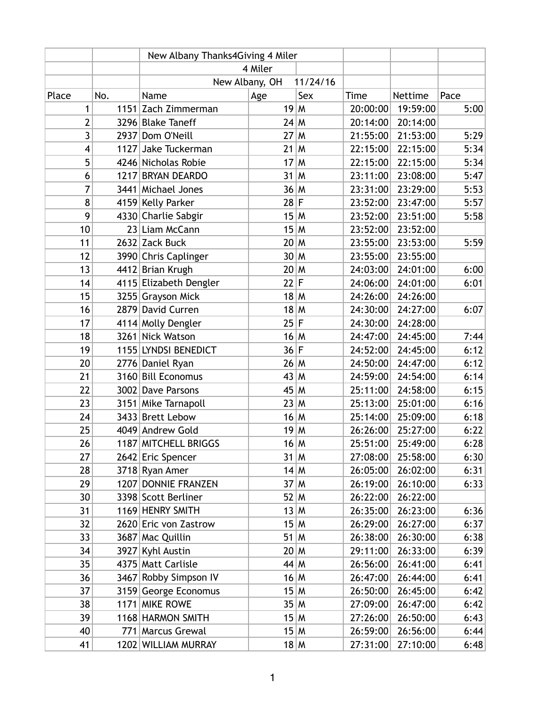|       |                |      |                        | New Albany Thanks4Giving 4 Miler |              |             |          |      |
|-------|----------------|------|------------------------|----------------------------------|--------------|-------------|----------|------|
|       |                |      |                        | 4 Miler                          |              |             |          |      |
|       |                |      |                        | New Albany, OH                   | 11/24/16     |             |          |      |
| Place |                | No.  | Name                   | Age                              | Sex          | <b>Time</b> | Nettime  | Pace |
|       | 1              | 1151 | Zach Zimmerman         |                                  | 19 M         | 20:00:00    | 19:59:00 | 5:00 |
|       | $\overline{2}$ |      | 3296 Blake Taneff      |                                  | 24 M         | 20:14:00    | 20:14:00 |      |
|       | 3              | 2937 | Dom O'Neill            |                                  | 27M          | 21:55:00    | 21:53:00 | 5:29 |
|       | 4              |      | 1127 Jake Tuckerman    |                                  | $21$ M       | 22:15:00    | 22:15:00 | 5:34 |
|       | 5              |      | 4246 Nicholas Robie    | 17                               | $\mathsf{M}$ | 22:15:00    | 22:15:00 | 5:34 |
|       | 6              | 1217 | <b>BRYAN DEARDO</b>    |                                  | $31$ M       | 23:11:00    | 23:08:00 | 5:47 |
|       | 7              | 3441 | Michael Jones          |                                  | 36 M         | 23:31:00    | 23:29:00 | 5:53 |
|       | 8              |      | 4159 Kelly Parker      | $28$ F                           |              | 23:52:00    | 23:47:00 | 5:57 |
|       | 9              |      | 4330 Charlie Sabgir    |                                  | 15 M         | 23:52:00    | 23:51:00 | 5:58 |
|       | 10             |      | 23 Liam McCann         | 15                               | ۱M           | 23:52:00    | 23:52:00 |      |
|       | 11             |      | 2632 Zack Buck         |                                  | 20 M         | 23:55:00    | 23:53:00 | 5:59 |
|       | 12             |      | 3990 Chris Caplinger   |                                  | $30$ M       | 23:55:00    | 23:55:00 |      |
|       | 13             |      | 4412 Brian Krugh       |                                  | 20 M         | 24:03:00    | 24:01:00 | 6:00 |
|       | 14             |      | 4115 Elizabeth Dengler | 22 F                             |              | 24:06:00    | 24:01:00 | 6:01 |
|       | 15             |      | 3255 Grayson Mick      |                                  | 18 M         | 24:26:00    | 24:26:00 |      |
|       | 16             |      | 2879 David Curren      |                                  | 18 M         | 24:30:00    | 24:27:00 | 6:07 |
|       | 17             |      | 4114 Molly Dengler     | 25 F                             |              | 24:30:00    | 24:28:00 |      |
|       | 18             | 3261 | <b>Nick Watson</b>     |                                  | 16 M         | 24:47:00    | 24:45:00 | 7:44 |
|       | 19             | 1155 | LYNDSI BENEDICT        | 36 F                             |              | 24:52:00    | 24:45:00 | 6:12 |
|       | 20             |      | 2776 Daniel Ryan       |                                  | 26 M         | 24:50:00    | 24:47:00 | 6:12 |
|       | 21             |      | 3160 Bill Economus     |                                  | 43 M         | 24:59:00    | 24:54:00 | 6:14 |
|       | 22             |      | 3002 Dave Parsons      |                                  | 45 M         | 25:11:00    | 24:58:00 | 6:15 |
|       | 23             | 3151 | Mike Tarnapoll         |                                  | 23 M         | 25:13:00    | 25:01:00 | 6:16 |
|       | 24             |      | 3433 Brett Lebow       |                                  | 16 M         | 25:14:00    | 25:09:00 | 6:18 |
|       | 25             |      | 4049 Andrew Gold       |                                  | 19 M         | 26:26:00    | 25:27:00 | 6:22 |
|       | 26             |      | 1187 MITCHELL BRIGGS   |                                  | 16 M         | 25:51:00    | 25:49:00 | 6:28 |
|       | 27             |      | 2642 Eric Spencer      |                                  | $31$ M       | 27:08:00    | 25:58:00 | 6:30 |
|       | 28             |      | 3718 Ryan Amer         |                                  | 14 M         | 26:05:00    | 26:02:00 | 6:31 |
|       | 29             | 1207 | <b>DONNIE FRANZEN</b>  |                                  | 37 M         | 26:19:00    | 26:10:00 | 6:33 |
|       | 30             |      | 3398 Scott Berliner    |                                  | $52$ M       | 26:22:00    | 26:22:00 |      |
|       | 31             |      | 1169 HENRY SMITH       |                                  | 13 M         | 26:35:00    | 26:23:00 | 6:36 |
|       | 32             |      | 2620 Eric von Zastrow  |                                  | 15 M         | 26:29:00    | 26:27:00 | 6:37 |
|       | 33             | 3687 | Mac Quillin            |                                  | $51$ M       | 26:38:00    | 26:30:00 | 6:38 |
|       | 34             | 3927 | Kyhl Austin            |                                  | 20 M         | 29:11:00    | 26:33:00 | 6:39 |
|       | 35             |      | 4375 Matt Carlisle     |                                  | $44$ M       | 26:56:00    | 26:41:00 | 6:41 |
|       | 36             | 3467 | Robby Simpson IV       |                                  | 16 M         | 26:47:00    | 26:44:00 | 6:41 |
|       | 37             | 3159 | George Economus        |                                  | 15 M         | 26:50:00    | 26:45:00 | 6:42 |
|       | 38             |      | 1171 MIKE ROWE         |                                  | 35 M         | 27:09:00    | 26:47:00 | 6:42 |
|       | 39             |      | 1168 HARMON SMITH      |                                  | 15 M         | 27:26:00    | 26:50:00 | 6:43 |
|       | 40             |      | 771 Marcus Grewal      |                                  | 15 M         | 26:59:00    | 26:56:00 | 6:44 |
|       | 41             |      | 1202 WILLIAM MURRAY    |                                  | 18 M         | 27:31:00    | 27:10:00 | 6:48 |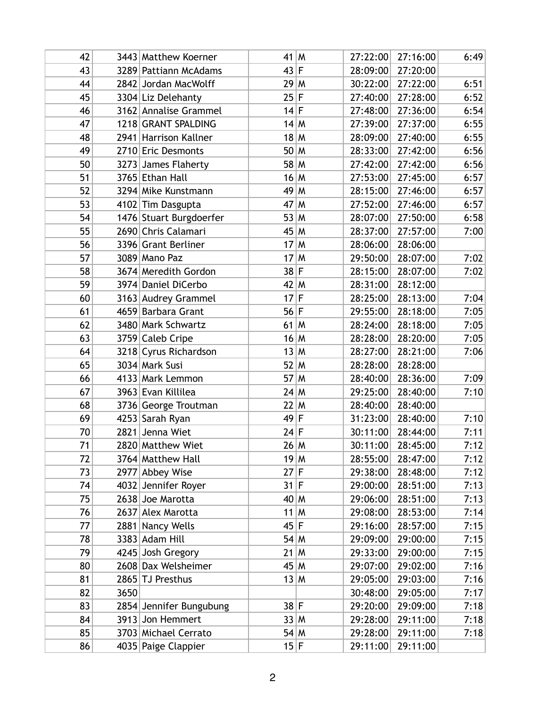| 42 |      | 3443 Matthew Koerner    | $41$ M | 27:22:00 | 27:16:00 | 6:49 |
|----|------|-------------------------|--------|----------|----------|------|
| 43 |      | 3289 Pattiann McAdams   | 43 F   | 28:09:00 | 27:20:00 |      |
| 44 |      | 2842 Jordan MacWolff    | 29 M   | 30:22:00 | 27:22:00 | 6:51 |
| 45 |      | 3304 Liz Delehanty      | 25 F   | 27:40:00 | 27:28:00 | 6:52 |
| 46 |      | 3162 Annalise Grammel   | 14 F   | 27:48:00 | 27:36:00 | 6:54 |
| 47 |      | 1218 GRANT SPALDING     | 14 M   | 27:39:00 | 27:37:00 | 6:55 |
| 48 |      | 2941 Harrison Kallner   | 18 M   | 28:09:00 | 27:40:00 | 6:55 |
| 49 |      | 2710 Eric Desmonts      | 50 M   | 28:33:00 | 27:42:00 | 6:56 |
| 50 |      | 3273 James Flaherty     | 58 M   | 27:42:00 | 27:42:00 | 6:56 |
| 51 |      | 3765 Ethan Hall         | 16 M   | 27:53:00 | 27:45:00 | 6:57 |
| 52 |      | 3294 Mike Kunstmann     | 49 M   | 28:15:00 | 27:46:00 | 6:57 |
| 53 |      | 4102 Tim Dasgupta       | 47 M   | 27:52:00 | 27:46:00 | 6:57 |
| 54 |      | 1476 Stuart Burgdoerfer | 53 M   | 28:07:00 | 27:50:00 | 6:58 |
| 55 |      | 2690 Chris Calamari     | 45 M   | 28:37:00 | 27:57:00 | 7:00 |
| 56 |      | 3396 Grant Berliner     | 17 M   | 28:06:00 | 28:06:00 |      |
| 57 |      | 3089 Mano Paz           | 17 M   | 29:50:00 | 28:07:00 | 7:02 |
| 58 |      | 3674 Meredith Gordon    | 38 F   | 28:15:00 | 28:07:00 | 7:02 |
| 59 |      | 3974 Daniel DiCerbo     | $42$ M | 28:31:00 | 28:12:00 |      |
| 60 |      | 3163 Audrey Grammel     | $17$ F | 28:25:00 | 28:13:00 | 7:04 |
| 61 |      | 4659 Barbara Grant      | 56 F   | 29:55:00 | 28:18:00 | 7:05 |
| 62 |      | 3480 Mark Schwartz      | $61$ M | 28:24:00 | 28:18:00 | 7:05 |
| 63 |      | 3759 Caleb Cripe        | 16 M   | 28:28:00 | 28:20:00 | 7:05 |
| 64 |      | 3218 Cyrus Richardson   | 13 M   | 28:27:00 | 28:21:00 | 7:06 |
| 65 |      | 3034 Mark Susi          | $52$ M | 28:28:00 | 28:28:00 |      |
| 66 |      | 4133 Mark Lemmon        | $57$ M | 28:40:00 | 28:36:00 | 7:09 |
| 67 |      | 3963 Evan Killilea      | 24 M   | 29:25:00 | 28:40:00 | 7:10 |
| 68 |      | 3736 George Troutman    | 22 M   | 28:40:00 | 28:40:00 |      |
| 69 |      | 4253 Sarah Ryan         | $49$ F | 31:23:00 | 28:40:00 | 7:10 |
| 70 |      | 2821 Jenna Wiet         | 24 F   | 30:11:00 | 28:44:00 | 7:11 |
| 71 |      | 2820 Matthew Wiet       | 26 M   | 30:11:00 | 28:45:00 | 7:12 |
| 72 |      | 3764 Matthew Hall       | 19 M   | 28:55:00 | 28:47:00 | 7:12 |
| 73 |      | 2977 Abbey Wise         | $27$ F | 29:38:00 | 28:48:00 | 7:12 |
| 74 |      | 4032 Jennifer Royer     | $31$ F | 29:00:00 | 28:51:00 | 7:13 |
| 75 |      | 2638 Joe Marotta        | 40 M   | 29:06:00 | 28:51:00 | 7:13 |
| 76 |      | 2637 Alex Marotta       | $11$ M | 29:08:00 | 28:53:00 | 7:14 |
| 77 |      | 2881 Nancy Wells        | 45 F   | 29:16:00 | 28:57:00 | 7:15 |
| 78 |      | 3383 Adam Hill          | 54 M   | 29:09:00 | 29:00:00 | 7:15 |
| 79 |      | 4245 Josh Gregory       | 21 M   | 29:33:00 | 29:00:00 | 7:15 |
| 80 |      | 2608 Dax Welsheimer     | 45 M   | 29:07:00 | 29:02:00 | 7:16 |
| 81 |      | 2865 TJ Presthus        | 13 M   | 29:05:00 | 29:03:00 | 7:16 |
| 82 | 3650 |                         |        | 30:48:00 | 29:05:00 | 7:17 |
| 83 |      | 2854 Jennifer Bungubung | 38 F   | 29:20:00 | 29:09:00 | 7:18 |
| 84 |      | 3913 Jon Hemmert        | 33 M   | 29:28:00 | 29:11:00 | 7:18 |
| 85 |      | 3703 Michael Cerrato    | 54 M   | 29:28:00 | 29:11:00 | 7:18 |
| 86 |      | 4035 Paige Clappier     | 15 F   | 29:11:00 | 29:11:00 |      |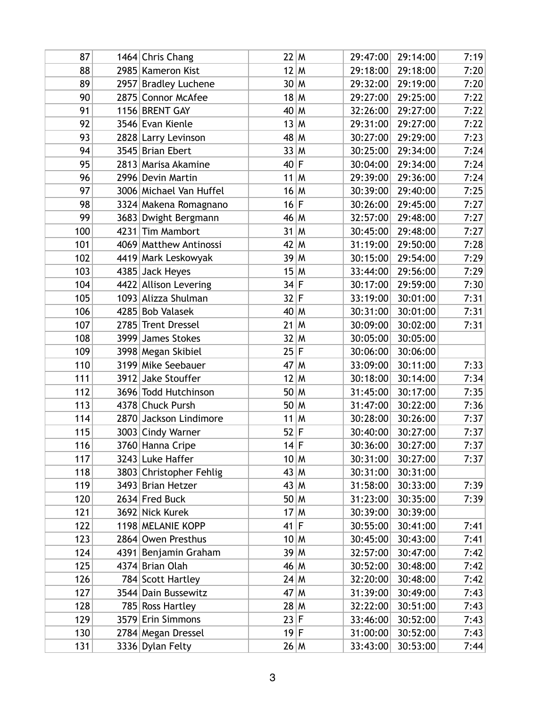| 87  |      | 1464 Chris Chang        | 22 M   |              | 29:47:00 | 29:14:00 | 7:19 |
|-----|------|-------------------------|--------|--------------|----------|----------|------|
| 88  |      | 2985 Kameron Kist       | 12 M   |              | 29:18:00 | 29:18:00 | 7:20 |
| 89  | 2957 | <b>Bradley Luchene</b>  | 30 M   |              | 29:32:00 | 29:19:00 | 7:20 |
| 90  |      | 2875 Connor McAfee      | 18 M   |              | 29:27:00 | 29:25:00 | 7:22 |
| 91  |      | 1156 BRENT GAY          | 40 M   |              | 32:26:00 | 29:27:00 | 7:22 |
| 92  |      | 3546 Evan Kienle        | 13 M   |              | 29:31:00 | 29:27:00 | 7:22 |
| 93  |      | 2828 Larry Levinson     | 48 M   |              | 30:27:00 | 29:29:00 | 7:23 |
| 94  |      | 3545 Brian Ebert        | 33 M   |              | 30:25:00 | 29:34:00 | 7:24 |
| 95  |      | 2813 Marisa Akamine     | 40 F   |              | 30:04:00 | 29:34:00 | 7:24 |
| 96  |      | 2996 Devin Martin       | 11     | $\mathsf{M}$ | 29:39:00 | 29:36:00 | 7:24 |
| 97  |      | 3006 Michael Van Huffel | 16 M   |              | 30:39:00 | 29:40:00 | 7:25 |
| 98  |      | 3324 Makena Romagnano   | 16 F   |              | 30:26:00 | 29:45:00 | 7:27 |
| 99  |      | 3683 Dwight Bergmann    | 46 M   |              | 32:57:00 | 29:48:00 | 7:27 |
| 100 |      | 4231 Tim Mambort        | $31$ M |              | 30:45:00 | 29:48:00 | 7:27 |
| 101 |      | 4069 Matthew Antinossi  | 42 M   |              | 31:19:00 | 29:50:00 | 7:28 |
| 102 |      | 4419 Mark Leskowyak     | 39 M   |              | 30:15:00 | 29:54:00 | 7:29 |
| 103 |      | 4385 Jack Heyes         | 15 M   |              | 33:44:00 | 29:56:00 | 7:29 |
| 104 |      | 4422 Allison Levering   | $34$ F |              | 30:17:00 | 29:59:00 | 7:30 |
| 105 |      | 1093 Alizza Shulman     | 32 F   |              | 33:19:00 | 30:01:00 | 7:31 |
| 106 |      | 4285 Bob Valasek        | $40$ M |              | 30:31:00 | 30:01:00 | 7:31 |
| 107 |      | 2785 Trent Dressel      | $21$ M |              | 30:09:00 | 30:02:00 | 7:31 |
| 108 |      | 3999 James Stokes       | 32 M   |              | 30:05:00 | 30:05:00 |      |
| 109 |      | 3998 Megan Skibiel      | 25 F   |              | 30:06:00 | 30:06:00 |      |
| 110 |      | 3199 Mike Seebauer      | 47     | M            | 33:09:00 | 30:11:00 | 7:33 |
| 111 |      | 3912 Jake Stouffer      | 12 M   |              | 30:18:00 | 30:14:00 | 7:34 |
| 112 |      | 3696 Todd Hutchinson    | 50 M   |              | 31:45:00 | 30:17:00 | 7:35 |
| 113 |      | 4378 Chuck Pursh        | 50 M   |              | 31:47:00 | 30:22:00 | 7:36 |
| 114 |      | 2870 Jackson Lindimore  | $11$ M |              | 30:28:00 | 30:26:00 | 7:37 |
| 115 |      | 3003 Cindy Warner       | 52 F   |              | 30:40:00 | 30:27:00 | 7:37 |
| 116 |      | 3760 Hanna Cripe        | $14$ F |              | 30:36:00 | 30:27:00 | 7:37 |
| 117 |      | 3243 Luke Haffer        |        | 10 M         | 30:31:00 | 30:27:00 | 7:37 |
| 118 |      | 3803 Christopher Fehlig | 43 M   |              | 30:31:00 | 30:31:00 |      |
| 119 |      | 3493 Brian Hetzer       | 43 M   |              | 31:58:00 | 30:33:00 | 7:39 |
| 120 |      | 2634 Fred Buck          | 50 M   |              | 31:23:00 | 30:35:00 | 7:39 |
| 121 |      | 3692 Nick Kurek         |        | 17 M         | 30:39:00 | 30:39:00 |      |
| 122 |      | 1198 MELANIE KOPP       | 41     | lF.          | 30:55:00 | 30:41:00 | 7:41 |
| 123 |      | 2864 Owen Presthus      | 10 M   |              | 30:45:00 | 30:43:00 | 7:41 |
| 124 |      | 4391 Benjamin Graham    | 39 M   |              | 32:57:00 | 30:47:00 | 7:42 |
| 125 |      | 4374 Brian Olah         | 46 M   |              | 30:52:00 | 30:48:00 | 7:42 |
| 126 |      | 784 Scott Hartley       | 24 M   |              | 32:20:00 | 30:48:00 | 7:42 |
| 127 |      | 3544 Dain Bussewitz     | 47     | M            | 31:39:00 | 30:49:00 | 7:43 |
| 128 |      | 785 Ross Hartley        | 28 M   |              | 32:22:00 | 30:51:00 | 7:43 |
| 129 |      | 3579 Erin Simmons       | 23 F   |              | 33:46:00 | 30:52:00 | 7:43 |
| 130 |      | 2784 Megan Dressel      | $19$ F |              | 31:00:00 | 30:52:00 | 7:43 |
| 131 |      | 3336 Dylan Felty        | 26 M   |              | 33:43:00 | 30:53:00 | 7:44 |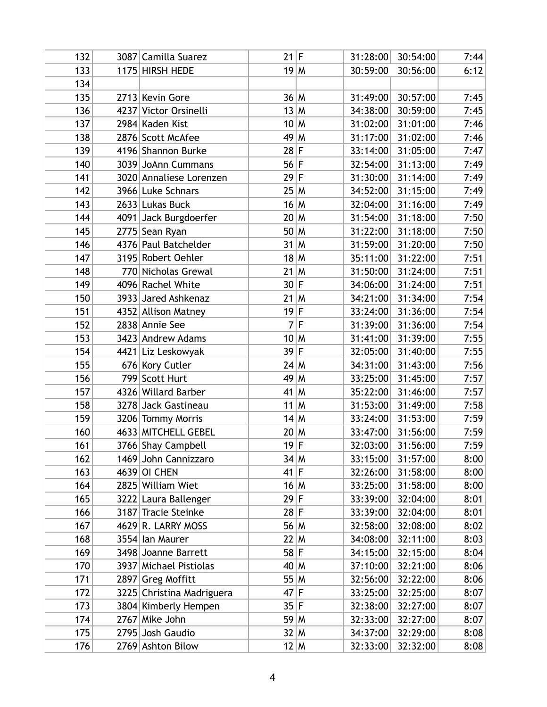| 132 | 3087 Camilla Suarez       | $21$ F |        | 31:28:00 | 30:54:00 | 7:44 |
|-----|---------------------------|--------|--------|----------|----------|------|
| 133 | 1175 HIRSH HEDE           |        | 19 M   | 30:59:00 | 30:56:00 | 6:12 |
| 134 |                           |        |        |          |          |      |
| 135 | 2713 Kevin Gore           |        | 36 M   | 31:49:00 | 30:57:00 | 7:45 |
| 136 | 4237 Victor Orsinelli     |        | 13 M   | 34:38:00 | 30:59:00 | 7:45 |
| 137 | 2984 Kaden Kist           | 10 M   |        | 31:02:00 | 31:01:00 | 7:46 |
| 138 | 2876 Scott McAfee         |        | 49 M   | 31:17:00 | 31:02:00 | 7:46 |
| 139 | 4196 Shannon Burke        | $28$ F |        | 33:14:00 | 31:05:00 | 7:47 |
| 140 | 3039 JoAnn Cummans        | 56 F   |        | 32:54:00 | 31:13:00 | 7:49 |
| 141 | 3020 Annaliese Lorenzen   | 29 F   |        | 31:30:00 | 31:14:00 | 7:49 |
| 142 | 3966 Luke Schnars         | 25 M   |        | 34:52:00 | 31:15:00 | 7:49 |
| 143 | 2633 Lukas Buck           |        | 16 M   | 32:04:00 | 31:16:00 | 7:49 |
| 144 | 4091 Jack Burgdoerfer     |        | 20 M   | 31:54:00 | 31:18:00 | 7:50 |
| 145 | 2775 Sean Ryan            | 50 M   |        | 31:22:00 | 31:18:00 | 7:50 |
| 146 | 4376 Paul Batchelder      |        | $31$ M | 31:59:00 | 31:20:00 | 7:50 |
| 147 | 3195 Robert Oehler        |        | 18 M   | 35:11:00 | 31:22:00 | 7:51 |
| 148 | 770 Nicholas Grewal       |        | $21$ M | 31:50:00 | 31:24:00 | 7:51 |
| 149 | 4096 Rachel White         | $30$ F |        | 34:06:00 | 31:24:00 | 7:51 |
| 150 | 3933 Jared Ashkenaz       | $21$ M |        | 34:21:00 | 31:34:00 | 7:54 |
| 151 | 4352 Allison Matney       | $19$ F |        | 33:24:00 | 31:36:00 | 7:54 |
| 152 | 2838 Annie See            | 7      | lF.    | 31:39:00 | 31:36:00 | 7:54 |
| 153 | 3423 Andrew Adams         | 10 M   |        | 31:41:00 | 31:39:00 | 7:55 |
| 154 | 4421 Liz Leskowyak        | 39 F   |        | 32:05:00 | 31:40:00 | 7:55 |
| 155 | 676 Kory Cutler           | 24 M   |        | 34:31:00 | 31:43:00 | 7:56 |
| 156 | 799 Scott Hurt            | 49 M   |        | 33:25:00 | 31:45:00 | 7:57 |
| 157 | 4326 Willard Barber       | $41$ M |        | 35:22:00 | 31:46:00 | 7:57 |
| 158 | 3278 Jack Gastineau       |        | $11$ M | 31:53:00 | 31:49:00 | 7:58 |
| 159 | 3206 Tommy Morris         |        | 14 M   | 33:24:00 | 31:53:00 | 7:59 |
| 160 | 4633 MITCHELL GEBEL       |        | 20 M   | 33:47:00 | 31:56:00 | 7:59 |
| 161 | 3766 Shay Campbell        | $19$ F |        | 32:03:00 | 31:56:00 | 7:59 |
| 162 | 1469 John Cannizzaro      |        | 34 M   | 33:15:00 | 31:57:00 | 8:00 |
| 163 | 4639 OI CHEN              | 41 F   |        | 32:26:00 | 31:58:00 | 8:00 |
| 164 | 2825 William Wiet         |        | 16 M   | 33:25:00 | 31:58:00 | 8:00 |
| 165 | 3222 Laura Ballenger      | 29 F   |        | 33:39:00 | 32:04:00 | 8:01 |
| 166 | 3187 Tracie Steinke       | 28 F   |        | 33:39:00 | 32:04:00 | 8:01 |
| 167 | 4629 R. LARRY MOSS        | 56 M   |        | 32:58:00 | 32:08:00 | 8:02 |
| 168 | 3554 Ian Maurer           |        | 22 M   | 34:08:00 | 32:11:00 | 8:03 |
| 169 | 3498 Joanne Barrett       | $58$ F |        | 34:15:00 | 32:15:00 | 8:04 |
| 170 | 3937 Michael Pistiolas    |        | 40 M   | 37:10:00 | 32:21:00 | 8:06 |
| 171 | 2897 Greg Moffitt         |        | 55 M   | 32:56:00 | 32:22:00 | 8:06 |
| 172 | 3225 Christina Madriguera | 47 F   |        | 33:25:00 | 32:25:00 | 8:07 |
| 173 | 3804 Kimberly Hempen      | 35 F   |        | 32:38:00 | 32:27:00 | 8:07 |
| 174 | 2767 Mike John            |        | 59 M   | 32:33:00 | 32:27:00 | 8:07 |
| 175 | 2795 Josh Gaudio          |        | 32 M   | 34:37:00 | 32:29:00 | 8:08 |
| 176 | 2769 Ashton Bilow         |        | 12 M   | 32:33:00 | 32:32:00 | 8:08 |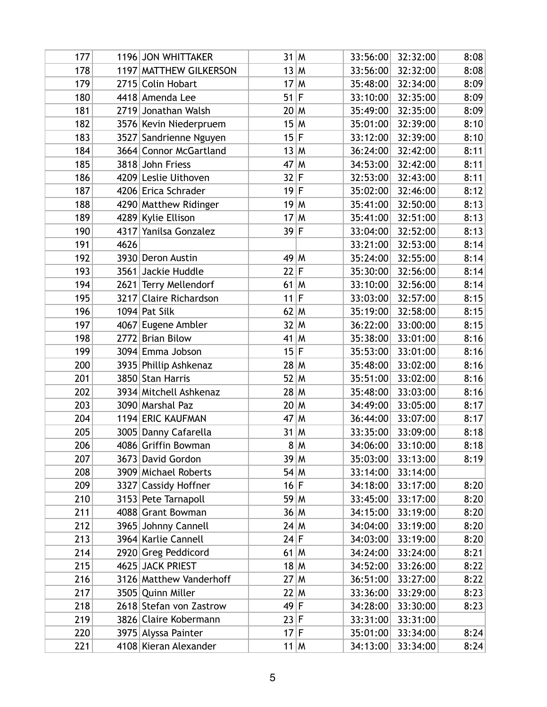| 177 |      | 1196 JON WHITTAKER      | $31$ M |                         | 33:56:00 | 32:32:00 | 8:08 |
|-----|------|-------------------------|--------|-------------------------|----------|----------|------|
| 178 |      | 1197 MATTHEW GILKERSON  | 13 M   |                         | 33:56:00 | 32:32:00 | 8:08 |
| 179 |      | 2715 Colin Hobart       | 17     | M                       | 35:48:00 | 32:34:00 | 8:09 |
| 180 |      | 4418 Amenda Lee         | 51     | $\mathsf F$             | 33:10:00 | 32:35:00 | 8:09 |
| 181 |      | 2719 Jonathan Walsh     | 20 M   |                         | 35:49:00 | 32:35:00 | 8:09 |
| 182 |      | 3576 Kevin Niederpruem  | 15 M   |                         | 35:01:00 | 32:39:00 | 8:10 |
| 183 |      | 3527 Sandrienne Nguyen  | 15     | F                       | 33:12:00 | 32:39:00 | 8:10 |
| 184 |      | 3664 Connor McGartland  | 13 M   |                         | 36:24:00 | 32:42:00 | 8:11 |
| 185 |      | 3818 John Friess        | 47     | M                       | 34:53:00 | 32:42:00 | 8:11 |
| 186 |      | 4209 Leslie Uithoven    | 32 F   |                         | 32:53:00 | 32:43:00 | 8:11 |
| 187 |      | 4206 Erica Schrader     | 19     | $\mathsf{F}$            | 35:02:00 | 32:46:00 | 8:12 |
| 188 |      | 4290 Matthew Ridinger   | 19     | M                       | 35:41:00 | 32:50:00 | 8:13 |
| 189 |      | 4289 Kylie Ellison      | 17     | M                       | 35:41:00 | 32:51:00 | 8:13 |
| 190 |      | 4317 Yanilsa Gonzalez   | 39 F   |                         | 33:04:00 | 32:52:00 | 8:13 |
| 191 | 4626 |                         |        |                         | 33:21:00 | 32:53:00 | 8:14 |
| 192 |      | 3930 Deron Austin       | 49 M   |                         | 35:24:00 | 32:55:00 | 8:14 |
| 193 |      | 3561 Jackie Huddle      | 22 F   |                         | 35:30:00 | 32:56:00 | 8:14 |
| 194 |      | 2621 Terry Mellendorf   | $61$ M |                         | 33:10:00 | 32:56:00 | 8:14 |
| 195 |      | 3217 Claire Richardson  | 11     | $\mathsf{F}$            | 33:03:00 | 32:57:00 | 8:15 |
| 196 |      | 1094 Pat Silk           | $62$ M |                         | 35:19:00 | 32:58:00 | 8:15 |
| 197 |      | 4067 Eugene Ambler      | 32 M   |                         | 36:22:00 | 33:00:00 | 8:15 |
| 198 |      | 2772 Brian Bilow        | 41     | $\mathsf{M}$            | 35:38:00 | 33:01:00 | 8:16 |
| 199 |      | 3094 Emma Jobson        | 15     | $\mathsf F$             | 35:53:00 | 33:01:00 | 8:16 |
| 200 |      | 3935 Phillip Ashkenaz   | 28 M   |                         | 35:48:00 | 33:02:00 | 8:16 |
| 201 |      | 3850 Stan Harris        | $52$ M |                         | 35:51:00 | 33:02:00 | 8:16 |
| 202 |      | 3934 Mitchell Ashkenaz  | 28 M   |                         | 35:48:00 | 33:03:00 | 8:16 |
| 203 |      | 3090 Marshal Paz        | 20 M   |                         | 34:49:00 | 33:05:00 | 8:17 |
| 204 |      | 1194 ERIC KAUFMAN       | 47     | M                       | 36:44:00 | 33:07:00 | 8:17 |
| 205 |      | 3005 Danny Cafarella    | 31     | M                       | 33:35:00 | 33:09:00 | 8:18 |
| 206 |      | 4086 Griffin Bowman     |        | 8 M                     | 34:06:00 | 33:10:00 | 8:18 |
| 207 |      | 3673 David Gordon       | 39 M   |                         | 35:03:00 | 33:13:00 | 8:19 |
| 208 |      | 3909 Michael Roberts    | 54 M   |                         | 33:14:00 | 33:14:00 |      |
| 209 | 3327 | <b>Cassidy Hoffner</b>  | 16 F   |                         | 34:18:00 | 33:17:00 | 8:20 |
| 210 |      | 3153 Pete Tarnapoll     | 59 M   |                         | 33:45:00 | 33:17:00 | 8:20 |
| 211 |      | 4088 Grant Bowman       | 36 M   |                         | 34:15:00 | 33:19:00 | 8:20 |
| 212 |      | 3965 Johnny Cannell     | 24 M   |                         | 34:04:00 | 33:19:00 | 8:20 |
| 213 |      | 3964 Karlie Cannell     | 24 F   |                         | 34:03:00 | 33:19:00 | 8:20 |
| 214 |      | 2920 Greg Peddicord     | $61$ M |                         | 34:24:00 | 33:24:00 | 8:21 |
| 215 |      | 4625 JACK PRIEST        | 18 M   |                         | 34:52:00 | 33:26:00 | 8:22 |
| 216 |      | 3126 Matthew Vanderhoff | 27     | $\overline{\mathsf{M}}$ | 36:51:00 | 33:27:00 | 8:22 |
| 217 | 3505 | <b>Quinn Miller</b>     | 22 M   |                         | 33:36:00 | 33:29:00 | 8:23 |
| 218 |      | 2618 Stefan von Zastrow | 49 F   |                         | 34:28:00 | 33:30:00 | 8:23 |
| 219 |      | 3826 Claire Kobermann   | 23 F   |                         | 33:31:00 | 33:31:00 |      |
| 220 |      | 3975 Alyssa Painter     | 17     | $\mathsf{F}$            | 35:01:00 | 33:34:00 | 8:24 |
| 221 |      | 4108 Kieran Alexander   | 11 M   |                         | 34:13:00 | 33:34:00 | 8:24 |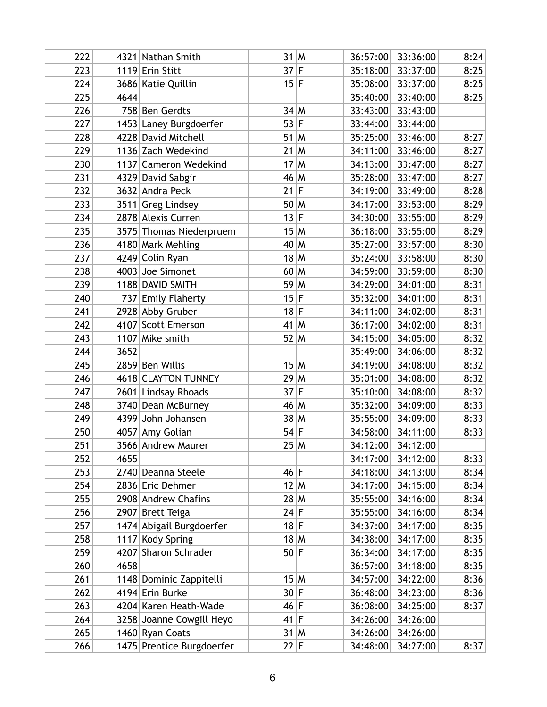| 222 |      | 4321 Nathan Smith         | 31     | M            | 36:57:00 | 33:36:00 | 8:24 |
|-----|------|---------------------------|--------|--------------|----------|----------|------|
| 223 |      | 1119 Erin Stitt           | 37     | F            | 35:18:00 | 33:37:00 | 8:25 |
| 224 |      | 3686 Katie Quillin        | 15 F   |              | 35:08:00 | 33:37:00 | 8:25 |
| 225 | 4644 |                           |        |              | 35:40:00 | 33:40:00 | 8:25 |
| 226 |      | 758 Ben Gerdts            | $34$ M |              | 33:43:00 | 33:43:00 |      |
| 227 |      | 1453 Laney Burgdoerfer    | 53 F   |              | 33:44:00 | 33:44:00 |      |
| 228 |      | 4228 David Mitchell       | 51     | $\mathsf{M}$ | 35:25:00 | 33:46:00 | 8:27 |
| 229 |      | 1136 Zach Wedekind        | 21     | $\mathsf{M}$ | 34:11:00 | 33:46:00 | 8:27 |
| 230 |      | 1137 Cameron Wedekind     | 17     | M            | 34:13:00 | 33:47:00 | 8:27 |
| 231 |      | 4329 David Sabgir         | 46 M   |              | 35:28:00 | 33:47:00 | 8:27 |
| 232 |      | 3632 Andra Peck           | 21     | $\mathsf F$  | 34:19:00 | 33:49:00 | 8:28 |
| 233 |      | 3511 Greg Lindsey         | $50$ M |              | 34:17:00 | 33:53:00 | 8:29 |
| 234 |      | 2878 Alexis Curren        | 13     | $\mathsf F$  | 34:30:00 | 33:55:00 | 8:29 |
| 235 |      | 3575 Thomas Niederpruem   | 15 M   |              | 36:18:00 | 33:55:00 | 8:29 |
| 236 |      | 4180 Mark Mehling         | 40 M   |              | 35:27:00 | 33:57:00 | 8:30 |
| 237 |      | 4249 Colin Ryan           | 18 M   |              | 35:24:00 | 33:58:00 | 8:30 |
| 238 |      | 4003 Joe Simonet          | $60$ M |              | 34:59:00 | 33:59:00 | 8:30 |
| 239 |      | 1188 DAVID SMITH          | 59     | $\mathsf{M}$ | 34:29:00 | 34:01:00 | 8:31 |
| 240 |      | 737 Emily Flaherty        | 15     | $\mathsf F$  | 35:32:00 | 34:01:00 | 8:31 |
| 241 |      | 2928 Abby Gruber          | $18$ F |              | 34:11:00 | 34:02:00 | 8:31 |
| 242 |      | 4107 Scott Emerson        | $41$ M |              | 36:17:00 | 34:02:00 | 8:31 |
| 243 |      | 1107 Mike smith           | $52$ M |              | 34:15:00 | 34:05:00 | 8:32 |
| 244 | 3652 |                           |        |              | 35:49:00 | 34:06:00 | 8:32 |
| 245 |      | 2859 Ben Willis           | 15 M   |              | 34:19:00 | 34:08:00 | 8:32 |
| 246 |      | 4618 CLAYTON TUNNEY       | 29 M   |              | 35:01:00 | 34:08:00 | 8:32 |
| 247 |      | 2601 Lindsay Rhoads       | 37     | $\mathsf F$  | 35:10:00 | 34:08:00 | 8:32 |
| 248 |      | 3740 Dean McBurney        | 46 M   |              | 35:32:00 | 34:09:00 | 8:33 |
| 249 |      | 4399 John Johansen        | 38 M   |              | 35:55:00 | 34:09:00 | 8:33 |
| 250 | 4057 | Amy Golian                | 54     | $\mathsf F$  | 34:58:00 | 34:11:00 | 8:33 |
| 251 |      | 3566 Andrew Maurer        | 25M    |              | 34:12:00 | 34:12:00 |      |
| 252 | 4655 |                           |        |              | 34:17:00 | 34:12:00 | 8:33 |
| 253 |      | 2740 Deanna Steele        | 46 F   |              | 34:18:00 | 34:13:00 | 8:34 |
| 254 |      | 2836 Eric Dehmer          | 12 M   |              | 34:17:00 | 34:15:00 | 8:34 |
| 255 |      | 2908 Andrew Chafins       | 28 M   |              | 35:55:00 | 34:16:00 | 8:34 |
| 256 |      | 2907 Brett Teiga          | 24 F   |              | 35:55:00 | 34:16:00 | 8:34 |
| 257 |      | 1474 Abigail Burgdoerfer  | $18$ F |              | 34:37:00 | 34:17:00 | 8:35 |
| 258 | 1117 | <b>Kody Spring</b>        | 18 M   |              | 34:38:00 | 34:17:00 | 8:35 |
| 259 | 4207 | Sharon Schrader           | $50$ F |              | 36:34:00 | 34:17:00 | 8:35 |
| 260 | 4658 |                           |        |              | 36:57:00 | 34:18:00 | 8:35 |
| 261 |      | 1148 Dominic Zappitelli   | 15 M   |              | 34:57:00 | 34:22:00 | 8:36 |
| 262 |      | 4194 Erin Burke           | $30$ F |              | 36:48:00 | 34:23:00 | 8:36 |
| 263 |      | 4204 Karen Heath-Wade     | 46 F   |              | 36:08:00 | 34:25:00 | 8:37 |
| 264 |      | 3258 Joanne Cowgill Heyo  | 41     | F            | 34:26:00 | 34:26:00 |      |
| 265 |      | 1460 Ryan Coats           | $31$ M |              | 34:26:00 | 34:26:00 |      |
| 266 |      | 1475 Prentice Burgdoerfer | 22 F   |              | 34:48:00 | 34:27:00 | 8:37 |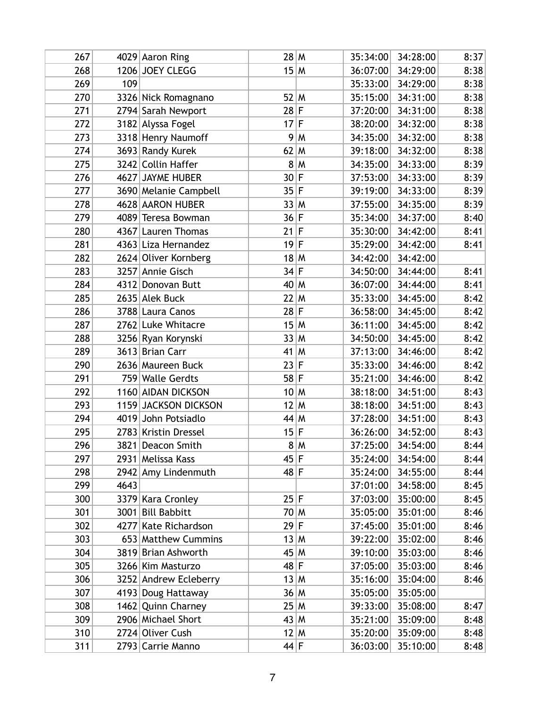| 267 |      | 4029 Aaron Ring       | 28 M   |     | 35:34:00 | 34:28:00 | 8:37 |
|-----|------|-----------------------|--------|-----|----------|----------|------|
| 268 |      | 1206 JOEY CLEGG       | 15 M   |     | 36:07:00 | 34:29:00 | 8:38 |
| 269 | 109  |                       |        |     | 35:33:00 | 34:29:00 | 8:38 |
| 270 |      | 3326 Nick Romagnano   | $52$ M |     | 35:15:00 | 34:31:00 | 8:38 |
| 271 |      | 2794 Sarah Newport    | 28 F   |     | 37:20:00 | 34:31:00 | 8:38 |
| 272 |      | 3182 Alyssa Fogel     | $17$ F |     | 38:20:00 | 34:32:00 | 8:38 |
| 273 |      | 3318 Henry Naumoff    | 9      | M   | 34:35:00 | 34:32:00 | 8:38 |
| 274 |      | 3693 Randy Kurek      | $62$ M |     | 39:18:00 | 34:32:00 | 8:38 |
| 275 |      | 3242 Collin Haffer    |        | 8 M | 34:35:00 | 34:33:00 | 8:39 |
| 276 |      | 4627 JAYME HUBER      | $30$ F |     | 37:53:00 | 34:33:00 | 8:39 |
| 277 |      | 3690 Melanie Campbell | 35 F   |     | 39:19:00 | 34:33:00 | 8:39 |
| 278 |      | 4628 AARON HUBER      | 33 M   |     | 37:55:00 | 34:35:00 | 8:39 |
| 279 |      | 4089 Teresa Bowman    | 36 F   |     | 35:34:00 | 34:37:00 | 8:40 |
| 280 |      | 4367 Lauren Thomas    | $21$ F |     | 35:30:00 | 34:42:00 | 8:41 |
| 281 |      | 4363 Liza Hernandez   | $19$ F |     | 35:29:00 | 34:42:00 | 8:41 |
| 282 |      | 2624 Oliver Kornberg  | 18 M   |     | 34:42:00 | 34:42:00 |      |
| 283 |      | 3257 Annie Gisch      | 34 F   |     | 34:50:00 | 34:44:00 | 8:41 |
| 284 |      | 4312 Donovan Butt     | $40$ M |     | 36:07:00 | 34:44:00 | 8:41 |
| 285 |      | 2635 Alek Buck        | 22 M   |     | 35:33:00 | 34:45:00 | 8:42 |
| 286 |      | 3788 Laura Canos      | $28$ F |     | 36:58:00 | 34:45:00 | 8:42 |
| 287 |      | 2762 Luke Whitacre    | 15 M   |     | 36:11:00 | 34:45:00 | 8:42 |
| 288 |      | 3256 Ryan Korynski    | 33 M   |     | 34:50:00 | 34:45:00 | 8:42 |
| 289 |      | 3613 Brian Carr       | 41     | M   | 37:13:00 | 34:46:00 | 8:42 |
| 290 |      | 2636 Maureen Buck     | 23 F   |     | 35:33:00 | 34:46:00 | 8:42 |
| 291 |      | 759 Walle Gerdts      | $58$ F |     | 35:21:00 | 34:46:00 | 8:42 |
| 292 |      | 1160 AIDAN DICKSON    | 10 M   |     | 38:18:00 | 34:51:00 | 8:43 |
| 293 |      | 1159 JACKSON DICKSON  | 12 M   |     | 38:18:00 | 34:51:00 | 8:43 |
| 294 |      | 4019 John Potsiadlo   | $44$ M |     | 37:28:00 | 34:51:00 | 8:43 |
| 295 |      | 2783 Kristin Dressel  | 15 F   |     | 36:26:00 | 34:52:00 | 8:43 |
| 296 |      | 3821 Deacon Smith     |        | 8 M | 37:25:00 | 34:54:00 | 8:44 |
| 297 |      | 2931 Melissa Kass     | 45 F   |     | 35:24:00 | 34:54:00 | 8:44 |
| 298 |      | 2942 Amy Lindenmuth   | $48$ F |     | 35:24:00 | 34:55:00 | 8:44 |
| 299 | 4643 |                       |        |     | 37:01:00 | 34:58:00 | 8:45 |
| 300 |      | 3379 Kara Cronley     | 25 F   |     | 37:03:00 | 35:00:00 | 8:45 |
| 301 |      | 3001 Bill Babbitt     | 70 M   |     | 35:05:00 | 35:01:00 | 8:46 |
| 302 |      | 4277 Kate Richardson  | 29 F   |     | 37:45:00 | 35:01:00 | 8:46 |
| 303 |      | 653 Matthew Cummins   | 13 M   |     | 39:22:00 | 35:02:00 | 8:46 |
| 304 |      | 3819 Brian Ashworth   | 45 M   |     | 39:10:00 | 35:03:00 | 8:46 |
| 305 |      | 3266 Kim Masturzo     | $48$ F |     | 37:05:00 | 35:03:00 | 8:46 |
| 306 |      | 3252 Andrew Ecleberry | 13 M   |     | 35:16:00 | 35:04:00 | 8:46 |
| 307 |      | 4193 Doug Hattaway    | 36 M   |     | 35:05:00 | 35:05:00 |      |
| 308 |      | 1462 Quinn Charney    | 25 M   |     | 39:33:00 | 35:08:00 | 8:47 |
| 309 |      | 2906 Michael Short    | 43 M   |     | 35:21:00 | 35:09:00 | 8:48 |
| 310 |      | 2724 Oliver Cush      | 12 M   |     | 35:20:00 | 35:09:00 | 8:48 |
| 311 |      | 2793 Carrie Manno     | 44 F   |     | 36:03:00 | 35:10:00 | 8:48 |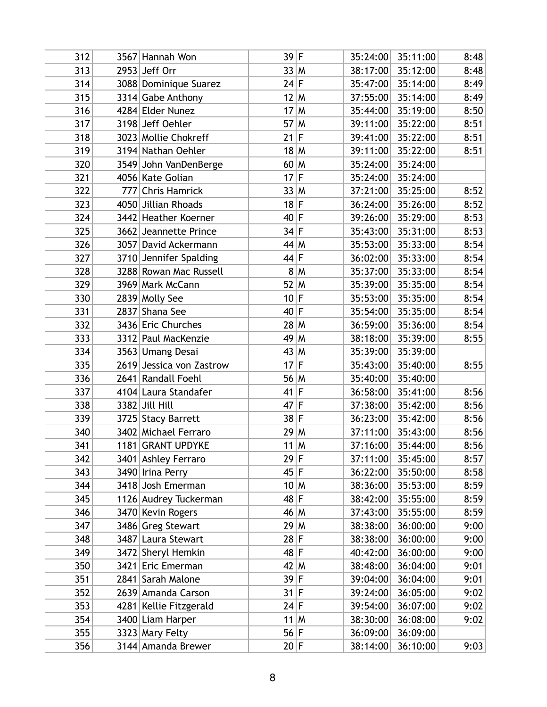| 312 |      | 3567 Hannah Won          | 39 F   |     | 35:24:00 | 35:11:00 | 8:48 |
|-----|------|--------------------------|--------|-----|----------|----------|------|
| 313 |      | $2953$ Jeff Orr          | 33 M   |     | 38:17:00 | 35:12:00 | 8:48 |
| 314 |      | 3088 Dominique Suarez    | 24 F   |     | 35:47:00 | 35:14:00 | 8:49 |
| 315 |      | 3314 Gabe Anthony        | 12 M   |     | 37:55:00 | 35:14:00 | 8:49 |
| 316 |      | 4284 Elder Nunez         | 17     | ۱M  | 35:44:00 | 35:19:00 | 8:50 |
| 317 |      | 3198 Jeff Oehler         | 57     | ۱M  | 39:11:00 | 35:22:00 | 8:51 |
| 318 |      | 3023 Mollie Chokreff     | $21$ F |     | 39:41:00 | 35:22:00 | 8:51 |
| 319 |      | 3194 Nathan Oehler       | 18 M   |     | 39:11:00 | 35:22:00 | 8:51 |
| 320 |      | 3549 John VanDenBerge    | 60 M   |     | 35:24:00 | 35:24:00 |      |
| 321 |      | 4056 Kate Golian         | 17     | l F | 35:24:00 | 35:24:00 |      |
| 322 | 777  | <b>Chris Hamrick</b>     | 33 M   |     | 37:21:00 | 35:25:00 | 8:52 |
| 323 |      | 4050 Jillian Rhoads      | $18$ F |     | 36:24:00 | 35:26:00 | 8:52 |
| 324 |      | 3442 Heather Koerner     | 40 F   |     | 39:26:00 | 35:29:00 | 8:53 |
| 325 |      | 3662 Jeannette Prince    | $34$ F |     | 35:43:00 | 35:31:00 | 8:53 |
| 326 | 3057 | David Ackermann          | 44 M   |     | 35:53:00 | 35:33:00 | 8:54 |
| 327 |      | 3710 Jennifer Spalding   | $44$ F |     | 36:02:00 | 35:33:00 | 8:54 |
| 328 |      | 3288 Rowan Mac Russell   |        | 8 M | 35:37:00 | 35:33:00 | 8:54 |
| 329 |      | 3969 Mark McCann         | $52$ M |     | 35:39:00 | 35:35:00 | 8:54 |
| 330 |      | 2839 Molly See           | $10$ F |     | 35:53:00 | 35:35:00 | 8:54 |
| 331 |      | 2837 Shana See           | $40$ F |     | 35:54:00 | 35:35:00 | 8:54 |
| 332 |      | 3436 Eric Churches       | 28 M   |     | 36:59:00 | 35:36:00 | 8:54 |
| 333 |      | 3312 Paul MacKenzie      | 49 M   |     | 38:18:00 | 35:39:00 | 8:55 |
| 334 |      | 3563 Umang Desai         | 43 M   |     | 35:39:00 | 35:39:00 |      |
| 335 |      | 2619 Jessica von Zastrow | 17     | l F | 35:43:00 | 35:40:00 | 8:55 |
| 336 |      | 2641 Randall Foehl       | 56 M   |     | 35:40:00 | 35:40:00 |      |
| 337 |      | 4104 Laura Standafer     | $41$ F |     | 36:58:00 | 35:41:00 | 8:56 |
| 338 |      | 3382 Jill Hill           | 47     | l F | 37:38:00 | 35:42:00 | 8:56 |
| 339 |      | 3725 Stacy Barrett       | $38$ F |     | 36:23:00 | 35:42:00 | 8:56 |
| 340 |      | 3402 Michael Ferraro     | 29 M   |     | 37:11:00 | 35:43:00 | 8:56 |
| 341 |      | 1181 GRANT UPDYKE        | $11$ M |     | 37:16:00 | 35:44:00 | 8:56 |
| 342 |      | 3401 Ashley Ferraro      | 29 F   |     | 37:11:00 | 35:45:00 | 8:57 |
| 343 |      | 3490 Irina Perry         | 45 F   |     | 36:22:00 | 35:50:00 | 8:58 |
| 344 |      | 3418 Josh Emerman        | 10 M   |     | 38:36:00 | 35:53:00 | 8:59 |
| 345 |      | 1126 Audrey Tuckerman    | $48$ F |     | 38:42:00 | 35:55:00 | 8:59 |
| 346 |      | 3470 Kevin Rogers        | 46   M |     | 37:43:00 | 35:55:00 | 8:59 |
| 347 |      | 3486 Greg Stewart        | 29 M   |     | 38:38:00 | 36:00:00 | 9:00 |
| 348 |      | 3487 Laura Stewart       | 28 F   |     | 38:38:00 | 36:00:00 | 9:00 |
| 349 |      | 3472 Sheryl Hemkin       | $48$ F |     | 40:42:00 | 36:00:00 | 9:00 |
| 350 |      | 3421 Eric Emerman        | 42 M   |     | 38:48:00 | 36:04:00 | 9:01 |
| 351 |      | 2841 Sarah Malone        | 39 F   |     | 39:04:00 | 36:04:00 | 9:01 |
| 352 |      | 2639 Amanda Carson       | 31 F   |     | 39:24:00 | 36:05:00 | 9:02 |
| 353 |      | 4281 Kellie Fitzgerald   | 24 F   |     | 39:54:00 | 36:07:00 | 9:02 |
| 354 |      | 3400 Liam Harper         | $11$ M |     | 38:30:00 | 36:08:00 | 9:02 |
| 355 |      | 3323 Mary Felty          | 56 F   |     | 36:09:00 | 36:09:00 |      |
| 356 |      | 3144 Amanda Brewer       | 20 F   |     | 38:14:00 | 36:10:00 | 9:03 |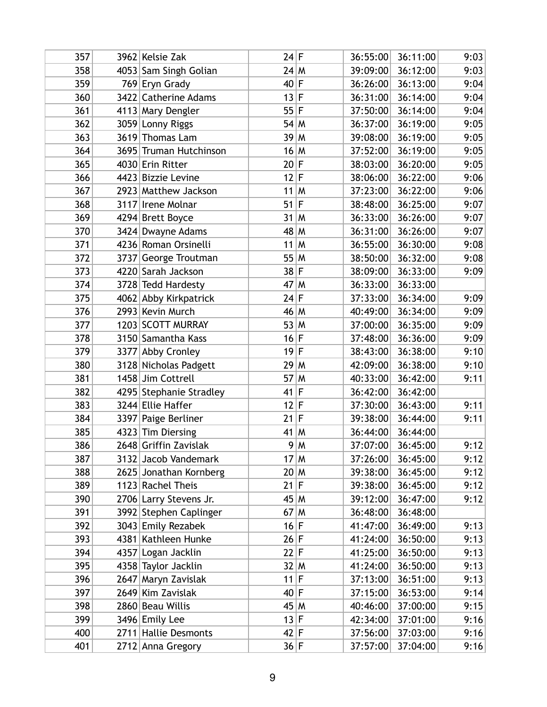| 357 | 3962 Kelsie Zak         | 24 F   |              | 36:55:00 | 36:11:00 | 9:03 |
|-----|-------------------------|--------|--------------|----------|----------|------|
| 358 | 4053 Sam Singh Golian   | 24 M   |              | 39:09:00 | 36:12:00 | 9:03 |
| 359 | 769 Eryn Grady          | $40$ F |              | 36:26:00 | 36:13:00 | 9:04 |
| 360 | 3422 Catherine Adams    | 13 F   |              | 36:31:00 | 36:14:00 | 9:04 |
| 361 | 4113 Mary Dengler       | 55 F   |              | 37:50:00 | 36:14:00 | 9:04 |
| 362 | 3059 Lonny Riggs        | $54$ M |              | 36:37:00 | 36:19:00 | 9:05 |
| 363 | 3619 Thomas Lam         | 39 M   |              | 39:08:00 | 36:19:00 | 9:05 |
| 364 | 3695 Truman Hutchinson  | 16 M   |              | 37:52:00 | 36:19:00 | 9:05 |
| 365 | 4030 Erin Ritter        | 20 F   |              | 38:03:00 | 36:20:00 | 9:05 |
| 366 | 4423 Bizzie Levine      | $12$ F |              | 38:06:00 | 36:22:00 | 9:06 |
| 367 | 2923 Matthew Jackson    | $11$ M |              | 37:23:00 | 36:22:00 | 9:06 |
| 368 | 3117 Irene Molnar       | 51     | $\mathsf F$  | 38:48:00 | 36:25:00 | 9:07 |
| 369 | 4294 Brett Boyce        | $31$ M |              | 36:33:00 | 36:26:00 | 9:07 |
| 370 | 3424 Dwayne Adams       | 48 M   |              | 36:31:00 | 36:26:00 | 9:07 |
| 371 | 4236 Roman Orsinelli    | 11     | $\mathsf{M}$ | 36:55:00 | 36:30:00 | 9:08 |
| 372 | 3737 George Troutman    | 55 M   |              | 38:50:00 | 36:32:00 | 9:08 |
| 373 | 4220 Sarah Jackson      | 38 F   |              | 38:09:00 | 36:33:00 | 9:09 |
| 374 | 3728 Tedd Hardesty      | 47     | M            | 36:33:00 | 36:33:00 |      |
| 375 | 4062 Abby Kirkpatrick   | 24 F   |              | 37:33:00 | 36:34:00 | 9:09 |
| 376 | 2993 Kevin Murch        | 46 M   |              | 40:49:00 | 36:34:00 | 9:09 |
| 377 | 1203 SCOTT MURRAY       | 53 M   |              | 37:00:00 | 36:35:00 | 9:09 |
| 378 | 3150 Samantha Kass      | 16 F   |              | 37:48:00 | 36:36:00 | 9:09 |
| 379 | 3377 Abby Cronley       | $19$ F |              | 38:43:00 | 36:38:00 | 9:10 |
| 380 | 3128 Nicholas Padgett   | 29 M   |              | 42:09:00 | 36:38:00 | 9:10 |
| 381 | 1458 Jim Cottrell       | 57     | M            | 40:33:00 | 36:42:00 | 9:11 |
| 382 | 4295 Stephanie Stradley | 41     | lF.          | 36:42:00 | 36:42:00 |      |
| 383 | 3244 Ellie Haffer       | 12 F   |              | 37:30:00 | 36:43:00 | 9:11 |
| 384 | 3397 Paige Berliner     | $21$ F |              | 39:38:00 | 36:44:00 | 9:11 |
| 385 | 4323 Tim Diersing       | 41     | ۱M           | 36:44:00 | 36:44:00 |      |
| 386 | 2648 Griffin Zavislak   |        | 9 M          | 37:07:00 | 36:45:00 | 9:12 |
| 387 | 3132 Jacob Vandemark    |        | 17 M         | 37:26:00 | 36:45:00 | 9:12 |
| 388 | 2625 Jonathan Kornberg  | 20 M   |              | 39:38:00 | 36:45:00 | 9:12 |
| 389 | 1123 Rachel Theis       | $21$ F |              | 39:38:00 | 36:45:00 | 9:12 |
| 390 | 2706 Larry Stevens Jr.  | 45 M   |              | 39:12:00 | 36:47:00 | 9:12 |
| 391 | 3992 Stephen Caplinger  | $67$ M |              | 36:48:00 | 36:48:00 |      |
| 392 | 3043 Emily Rezabek      | 16 F   |              | 41:47:00 | 36:49:00 | 9:13 |
| 393 | 4381 Kathleen Hunke     | 26 F   |              | 41:24:00 | 36:50:00 | 9:13 |
| 394 | 4357 Logan Jacklin      | 22 F   |              | 41:25:00 | 36:50:00 | 9:13 |
| 395 | 4358 Taylor Jacklin     | 32 M   |              | 41:24:00 | 36:50:00 | 9:13 |
| 396 | 2647 Maryn Zavislak     | 11 F   |              | 37:13:00 | 36:51:00 | 9:13 |
| 397 | 2649 Kim Zavislak       | 40 F   |              | 37:15:00 | 36:53:00 | 9:14 |
| 398 | 2860 Beau Willis        | 45 M   |              | 40:46:00 | 37:00:00 | 9:15 |
| 399 | 3496 Emily Lee          | 13 F   |              | 42:34:00 | 37:01:00 | 9:16 |
| 400 | 2711 Hallie Desmonts    | 42 F   |              | 37:56:00 | 37:03:00 | 9:16 |
| 401 | 2712 Anna Gregory       | 36 F   |              | 37:57:00 | 37:04:00 | 9:16 |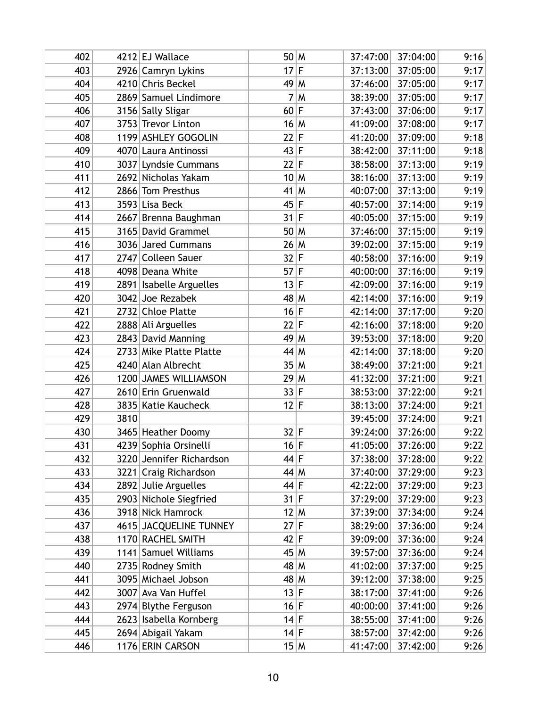| 402 |      | 4212 EJ Wallace          | 50 M   |     | 37:47:00 | 37:04:00 | 9:16 |
|-----|------|--------------------------|--------|-----|----------|----------|------|
| 403 |      | 2926 Camryn Lykins       | 17     | lF. | 37:13:00 | 37:05:00 | 9:17 |
| 404 |      | 4210 Chris Beckel        | 49 M   |     | 37:46:00 | 37:05:00 | 9:17 |
| 405 |      | 2869 Samuel Lindimore    | 7      | M   | 38:39:00 | 37:05:00 | 9:17 |
| 406 |      | 3156 Sally Sligar        | 60 F   |     | 37:43:00 | 37:06:00 | 9:17 |
| 407 |      | 3753 Trevor Linton       | 16 M   |     | 41:09:00 | 37:08:00 | 9:17 |
| 408 |      | 1199 ASHLEY GOGOLIN      | 22 F   |     | 41:20:00 | 37:09:00 | 9:18 |
| 409 |      | 4070 Laura Antinossi     | 43 F   |     | 38:42:00 | 37:11:00 | 9:18 |
| 410 |      | 3037 Lyndsie Cummans     | 22 F   |     | 38:58:00 | 37:13:00 | 9:19 |
| 411 |      | 2692 Nicholas Yakam      | 10 M   |     | 38:16:00 | 37:13:00 | 9:19 |
| 412 |      | 2866 Tom Presthus        | 41     | M   | 40:07:00 | 37:13:00 | 9:19 |
| 413 |      | 3593 Lisa Beck           | 45 F   |     | 40:57:00 | 37:14:00 | 9:19 |
| 414 |      | 2667 Brenna Baughman     | 31 F   |     | 40:05:00 | 37:15:00 | 9:19 |
| 415 |      | 3165 David Grammel       | 50 M   |     | 37:46:00 | 37:15:00 | 9:19 |
| 416 |      | 3036 Jared Cummans       | 26 M   |     | 39:02:00 | 37:15:00 | 9:19 |
| 417 |      | 2747 Colleen Sauer       | 32 F   |     | 40:58:00 | 37:16:00 | 9:19 |
| 418 |      | 4098 Deana White         | $57$ F |     | 40:00:00 | 37:16:00 | 9:19 |
| 419 |      | 2891 Isabelle Arguelles  | 13 F   |     | 42:09:00 | 37:16:00 | 9:19 |
| 420 |      | 3042 Joe Rezabek         | 48 M   |     | 42:14:00 | 37:16:00 | 9:19 |
| 421 |      | 2732 Chloe Platte        | 16 F   |     | 42:14:00 | 37:17:00 | 9:20 |
| 422 |      | 2888 Ali Arguelles       | 22 F   |     | 42:16:00 | 37:18:00 | 9:20 |
| 423 |      | 2843 David Manning       | 49 M   |     | 39:53:00 | 37:18:00 | 9:20 |
| 424 |      | 2733 Mike Platte Platte  | 44 M   |     | 42:14:00 | 37:18:00 | 9:20 |
| 425 |      | 4240 Alan Albrecht       | 35 M   |     | 38:49:00 | 37:21:00 | 9:21 |
| 426 |      | 1200 JAMES WILLIAMSON    | 29 M   |     | 41:32:00 | 37:21:00 | 9:21 |
| 427 |      | 2610 Erin Gruenwald      | 33 F   |     | 38:53:00 | 37:22:00 | 9:21 |
| 428 |      | 3835 Katie Kaucheck      | 12 F   |     | 38:13:00 | 37:24:00 | 9:21 |
| 429 | 3810 |                          |        |     | 39:45:00 | 37:24:00 | 9:21 |
| 430 |      | 3465 Heather Doomy       | 32 F   |     | 39:24:00 | 37:26:00 | 9:22 |
| 431 |      | 4239 Sophia Orsinelli    | 16 F   |     | 41:05:00 | 37:26:00 | 9:22 |
| 432 |      | 3220 Jennifer Richardson | 44 F   |     | 37:38:00 | 37:28:00 | 9:22 |
| 433 |      | 3221 Craig Richardson    | 44 M   |     | 37:40:00 | 37:29:00 | 9:23 |
| 434 | 2892 | Julie Arguelles          | 44 F   |     | 42:22:00 | 37:29:00 | 9:23 |
| 435 |      | 2903 Nichole Siegfried   | $31$ F |     | 37:29:00 | 37:29:00 | 9:23 |
| 436 |      | 3918 Nick Hamrock        | 12 M   |     | 37:39:00 | 37:34:00 | 9:24 |
| 437 |      | 4615 JACQUELINE TUNNEY   | 27     | lF. | 38:29:00 | 37:36:00 | 9:24 |
| 438 |      | 1170 RACHEL SMITH        | 42 F   |     | 39:09:00 | 37:36:00 | 9:24 |
| 439 |      | 1141 Samuel Williams     | 45 M   |     | 39:57:00 | 37:36:00 | 9:24 |
| 440 |      | 2735 Rodney Smith        | 48 M   |     | 41:02:00 | 37:37:00 | 9:25 |
| 441 |      | 3095 Michael Jobson      | 48 M   |     | 39:12:00 | 37:38:00 | 9:25 |
| 442 | 3007 | Ava Van Huffel           | 13 F   |     | 38:17:00 | 37:41:00 | 9:26 |
| 443 |      | 2974 Blythe Ferguson     | 16 F   |     | 40:00:00 | 37:41:00 | 9:26 |
| 444 |      | 2623 Isabella Kornberg   | 14 F   |     | 38:55:00 | 37:41:00 | 9:26 |
| 445 |      | 2694 Abigail Yakam       | $14$ F |     | 38:57:00 | 37:42:00 | 9:26 |
| 446 |      | 1176 ERIN CARSON         | 15 M   |     | 41:47:00 | 37:42:00 | 9:26 |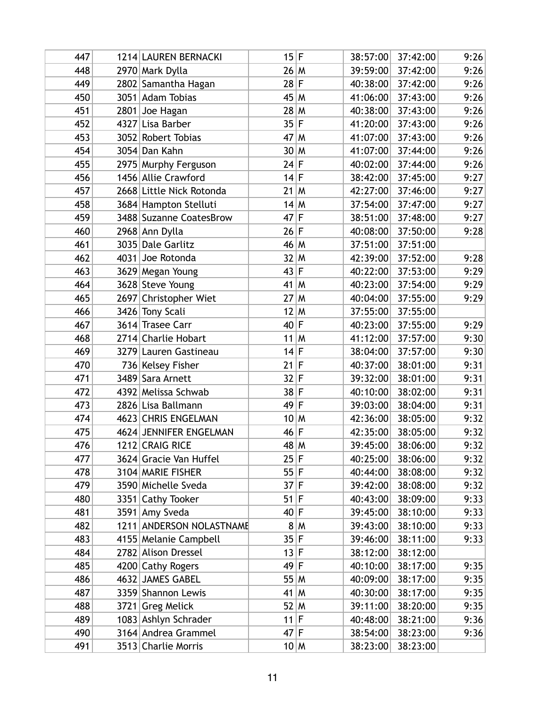| 447 |      | 1214 LAUREN BERNACKI     | 15 F   |              | 38:57:00 | 37:42:00 | 9:26 |
|-----|------|--------------------------|--------|--------------|----------|----------|------|
| 448 |      | 2970 Mark Dylla          | 26 M   |              | 39:59:00 | 37:42:00 | 9:26 |
| 449 |      | 2802 Samantha Hagan      | $28$ F |              | 40:38:00 | 37:42:00 | 9:26 |
| 450 |      | 3051 Adam Tobias         | 45 M   |              | 41:06:00 | 37:43:00 | 9:26 |
| 451 | 2801 | Joe Hagan                | 28 M   |              | 40:38:00 | 37:43:00 | 9:26 |
| 452 |      | 4327 Lisa Barber         | 35 F   |              | 41:20:00 | 37:43:00 | 9:26 |
| 453 |      | 3052 Robert Tobias       | 47     | M            | 41:07:00 | 37:43:00 | 9:26 |
| 454 |      | 3054 Dan Kahn            | $30$ M |              | 41:07:00 | 37:44:00 | 9:26 |
| 455 |      | 2975 Murphy Ferguson     | 24 F   |              | 40:02:00 | 37:44:00 | 9:26 |
| 456 |      | 1456 Allie Crawford      | $14$ F |              | 38:42:00 | 37:45:00 | 9:27 |
| 457 |      | 2668 Little Nick Rotonda | $21$ M |              | 42:27:00 | 37:46:00 | 9:27 |
| 458 |      | 3684 Hampton Stelluti    | 14 M   |              | 37:54:00 | 37:47:00 | 9:27 |
| 459 |      | 3488 Suzanne CoatesBrow  | 47     | $\mathsf F$  | 38:51:00 | 37:48:00 | 9:27 |
| 460 |      | 2968 Ann Dylla           | 26 F   |              | 40:08:00 | 37:50:00 | 9:28 |
| 461 | 3035 | <b>Dale Garlitz</b>      | 46 M   |              | 37:51:00 | 37:51:00 |      |
| 462 |      | 4031 Joe Rotonda         | 32 M   |              | 42:39:00 | 37:52:00 | 9:28 |
| 463 |      | 3629 Megan Young         | 43 F   |              | 40:22:00 | 37:53:00 | 9:29 |
| 464 |      | 3628 Steve Young         | 41     | $\mathsf{M}$ | 40:23:00 | 37:54:00 | 9:29 |
| 465 | 2697 | Christopher Wiet         | 27     | M            | 40:04:00 | 37:55:00 | 9:29 |
| 466 |      | 3426 Tony Scali          | 12 M   |              | 37:55:00 | 37:55:00 |      |
| 467 |      | 3614 Trasee Carr         | $40$ F |              | 40:23:00 | 37:55:00 | 9:29 |
| 468 |      | 2714 Charlie Hobart      | 11     | $\mathsf{M}$ | 41:12:00 | 37:57:00 | 9:30 |
| 469 |      | 3279 Lauren Gastineau    | $14$ F |              | 38:04:00 | 37:57:00 | 9:30 |
| 470 |      | 736 Kelsey Fisher        | 21     | lF.          | 40:37:00 | 38:01:00 | 9:31 |
| 471 |      | 3489 Sara Arnett         | 32 F   |              | 39:32:00 | 38:01:00 | 9:31 |
| 472 |      | 4392 Melissa Schwab      | $38$ F |              | 40:10:00 | 38:02:00 | 9:31 |
| 473 |      | 2826 Lisa Ballmann       | 49     | IF.          | 39:03:00 | 38:04:00 | 9:31 |
| 474 |      | 4623 CHRIS ENGELMAN      | 10 M   |              | 42:36:00 | 38:05:00 | 9:32 |
| 475 |      | 4624 JENNIFER ENGELMAN   | 46 F   |              | 42:35:00 | 38:05:00 | 9:32 |
| 476 |      | 1212 CRAIG RICE          | 48 M   |              | 39:45:00 | 38:06:00 | 9:32 |
| 477 |      | 3624 Gracie Van Huffel   | 25 F   |              | 40:25:00 | 38:06:00 | 9:32 |
| 478 |      | 3104 MARIE FISHER        | 55 F   |              | 40:44:00 | 38:08:00 | 9:32 |
| 479 |      | 3590 Michelle Sveda      | 37 F   |              | 39:42:00 | 38:08:00 | 9:32 |
| 480 |      | 3351 Cathy Tooker        | 51     | lF.          | 40:43:00 | 38:09:00 | 9:33 |
| 481 | 3591 | Amy Sveda                | 40 F   |              | 39:45:00 | 38:10:00 | 9:33 |
| 482 |      | 1211 ANDERSON NOLASTNAME |        | 8 M          | 39:43:00 | 38:10:00 | 9:33 |
| 483 |      | 4155 Melanie Campbell    | 35 F   |              | 39:46:00 | 38:11:00 | 9:33 |
| 484 |      | 2782 Alison Dressel      | 13 F   |              | 38:12:00 | 38:12:00 |      |
| 485 |      | 4200 Cathy Rogers        | 49 F   |              | 40:10:00 | 38:17:00 | 9:35 |
| 486 |      | 4632 JAMES GABEL         | 55 M   |              | 40:09:00 | 38:17:00 | 9:35 |
| 487 |      | 3359 Shannon Lewis       | 41     | M            | 40:30:00 | 38:17:00 | 9:35 |
| 488 |      | 3721 Greg Melick         | 52 M   |              | 39:11:00 | 38:20:00 | 9:35 |
| 489 |      | 1083 Ashlyn Schrader     | $11$ F |              | 40:48:00 | 38:21:00 | 9:36 |
| 490 |      | 3164 Andrea Grammel      | 47     | lF.          | 38:54:00 | 38:23:00 | 9:36 |
| 491 |      | 3513 Charlie Morris      | 10 M   |              | 38:23:00 | 38:23:00 |      |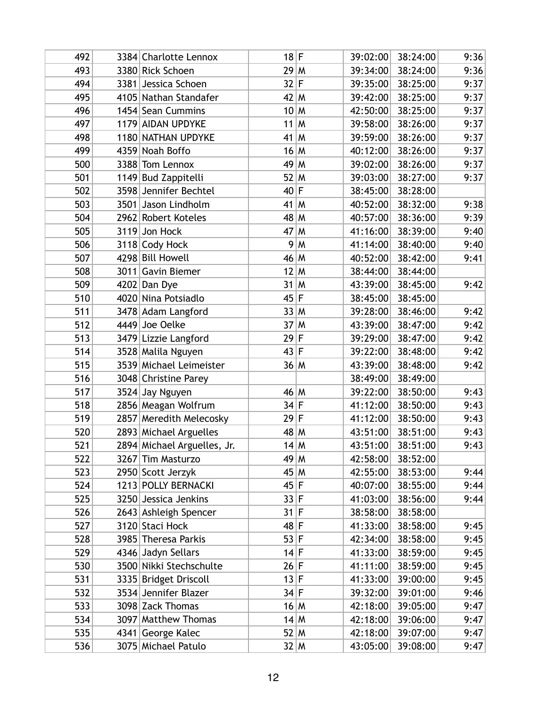| 492 |      | 3384 Charlotte Lennox       | $18$ F |              | 39:02:00 | 38:24:00 | 9:36 |
|-----|------|-----------------------------|--------|--------------|----------|----------|------|
| 493 |      | 3380 Rick Schoen            | 29 M   |              | 39:34:00 | 38:24:00 | 9:36 |
| 494 | 3381 | Jessica Schoen              | 32 F   |              | 39:35:00 | 38:25:00 | 9:37 |
| 495 |      | 4105 Nathan Standafer       | 42 M   |              | 39:42:00 | 38:25:00 | 9:37 |
| 496 |      | 1454 Sean Cummins           | 10 M   |              | 42:50:00 | 38:25:00 | 9:37 |
| 497 |      | 1179 AIDAN UPDYKE           | 11     | $\mathsf{M}$ | 39:58:00 | 38:26:00 | 9:37 |
| 498 |      | 1180 NATHAN UPDYKE          | 41     | M            | 39:59:00 | 38:26:00 | 9:37 |
| 499 |      | 4359 Noah Boffo             | 16 M   |              | 40:12:00 | 38:26:00 | 9:37 |
| 500 |      | 3388 Tom Lennox             | 49     | M            | 39:02:00 | 38:26:00 | 9:37 |
| 501 |      | 1149 Bud Zappitelli         | $52$ M |              | 39:03:00 | 38:27:00 | 9:37 |
| 502 |      | 3598 Jennifer Bechtel       | 40 F   |              | 38:45:00 | 38:28:00 |      |
| 503 |      | 3501 Jason Lindholm         | $41$ M |              | 40:52:00 | 38:32:00 | 9:38 |
| 504 |      | 2962 Robert Koteles         | 48 M   |              | 40:57:00 | 38:36:00 | 9:39 |
| 505 |      | 3119 Jon Hock               | 47     | ۱M           | 41:16:00 | 38:39:00 | 9:40 |
| 506 |      | 3118 Cody Hock              | 9      | M            | 41:14:00 | 38:40:00 | 9:40 |
| 507 |      | 4298 Bill Howell            | 46 M   |              | 40:52:00 | 38:42:00 | 9:41 |
| 508 |      | 3011 Gavin Biemer           | 12 M   |              | 38:44:00 | 38:44:00 |      |
| 509 |      | 4202 Dan Dye                | $31$ M |              | 43:39:00 | 38:45:00 | 9:42 |
| 510 |      | 4020 Nina Potsiadlo         | 45 F   |              | 38:45:00 | 38:45:00 |      |
| 511 |      | 3478 Adam Langford          | 33 M   |              | 39:28:00 | 38:46:00 | 9:42 |
| 512 |      | 4449 Joe Oelke              | 37     | M            | 43:39:00 | 38:47:00 | 9:42 |
| 513 |      | 3479 Lizzie Langford        | 29 F   |              | 39:29:00 | 38:47:00 | 9:42 |
| 514 |      | 3528 Malila Nguyen          | 43 F   |              | 39:22:00 | 38:48:00 | 9:42 |
| 515 |      | 3539 Michael Leimeister     | 36 M   |              | 43:39:00 | 38:48:00 | 9:42 |
| 516 |      | 3048 Christine Parey        |        |              | 38:49:00 | 38:49:00 |      |
| 517 |      | 3524 Jay Nguyen             | 46 M   |              | 39:22:00 | 38:50:00 | 9:43 |
| 518 |      | 2856 Meagan Wolfrum         | 34 F   |              | 41:12:00 | 38:50:00 | 9:43 |
| 519 |      | 2857 Meredith Melecosky     | 29 F   |              | 41:12:00 | 38:50:00 | 9:43 |
| 520 |      | 2893 Michael Arguelles      | 48 M   |              | 43:51:00 | 38:51:00 | 9:43 |
| 521 |      | 2894 Michael Arguelles, Jr. | 14 M   |              | 43:51:00 | 38:51:00 | 9:43 |
| 522 |      | 3267 Tim Masturzo           | 49 M   |              | 42:58:00 | 38:52:00 |      |
| 523 |      | 2950 Scott Jerzyk           | 45 M   |              | 42:55:00 | 38:53:00 | 9:44 |
| 524 |      | 1213 POLLY BERNACKI         | 45 F   |              | 40:07:00 | 38:55:00 | 9:44 |
| 525 |      | 3250 Jessica Jenkins        | 33 F   |              | 41:03:00 | 38:56:00 | 9:44 |
| 526 |      | 2643 Ashleigh Spencer       | 31 F   |              | 38:58:00 | 38:58:00 |      |
| 527 |      | 3120 Staci Hock             | $48$ F |              | 41:33:00 | 38:58:00 | 9:45 |
| 528 |      | 3985 Theresa Parkis         | 53 F   |              | 42:34:00 | 38:58:00 | 9:45 |
| 529 |      | 4346 Jadyn Sellars          | 14 F   |              | 41:33:00 | 38:59:00 | 9:45 |
| 530 |      | 3500 Nikki Stechschulte     | 26 F   |              | 41:11:00 | 38:59:00 | 9:45 |
| 531 |      | 3335 Bridget Driscoll       | 13 F   |              | 41:33:00 | 39:00:00 | 9:45 |
| 532 |      | 3534 Jennifer Blazer        | 34 F   |              | 39:32:00 | 39:01:00 | 9:46 |
| 533 |      | 3098 Zack Thomas            | 16 M   |              | 42:18:00 | 39:05:00 | 9:47 |
| 534 |      | 3097 Matthew Thomas         | 14 M   |              | 42:18:00 | 39:06:00 | 9:47 |
| 535 |      | 4341 George Kalec           | $52$ M |              | 42:18:00 | 39:07:00 | 9:47 |
| 536 |      | 3075 Michael Patulo         |        | 32 M         | 43:05:00 | 39:08:00 | 9:47 |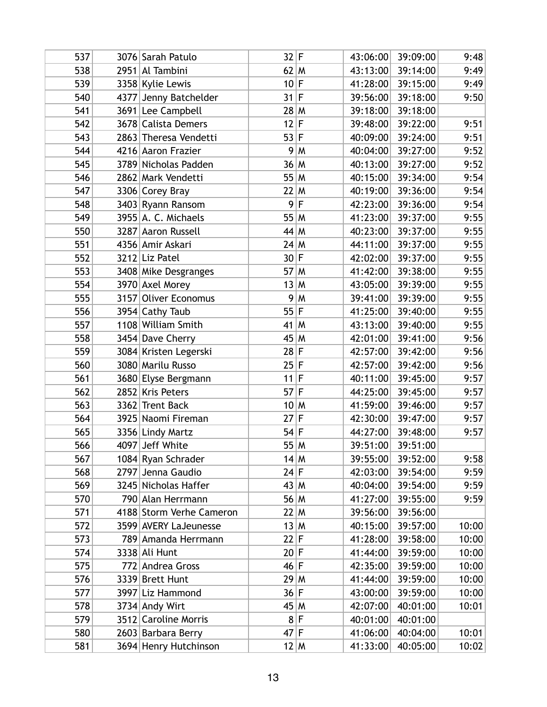| 537 |      | 3076 Sarah Patulo        | 32 F   |             | 43:06:00 | 39:09:00 | 9:48  |
|-----|------|--------------------------|--------|-------------|----------|----------|-------|
| 538 |      | 2951 Al Tambini          | $62$ M |             | 43:13:00 | 39:14:00 | 9:49  |
| 539 |      | 3358 Kylie Lewis         | $10$ F |             | 41:28:00 | 39:15:00 | 9:49  |
| 540 |      | 4377 Jenny Batchelder    | 31     | $\mathsf F$ | 39:56:00 | 39:18:00 | 9:50  |
| 541 |      | 3691 Lee Campbell        | 28 M   |             | 39:18:00 | 39:18:00 |       |
| 542 |      | 3678 Calista Demers      | 12     | $\mathsf F$ | 39:48:00 | 39:22:00 | 9:51  |
| 543 |      | 2863 Theresa Vendetti    | 53     | $\mathsf F$ | 40:09:00 | 39:24:00 | 9:51  |
| 544 |      | 4216 Aaron Frazier       | 9      | M           | 40:04:00 | 39:27:00 | 9:52  |
| 545 |      | 3789 Nicholas Padden     | 36 M   |             | 40:13:00 | 39:27:00 | 9:52  |
| 546 |      | 2862 Mark Vendetti       | 55 M   |             | 40:15:00 | 39:34:00 | 9:54  |
| 547 |      | 3306 Corey Bray          | 22 M   |             | 40:19:00 | 39:36:00 | 9:54  |
| 548 |      | 3403 Ryann Ransom        | 9      | $\mathsf F$ | 42:23:00 | 39:36:00 | 9:54  |
| 549 |      | $3955$ A. C. Michaels    | 55 M   |             | 41:23:00 | 39:37:00 | 9:55  |
| 550 |      | 3287 Aaron Russell       | $44$ M |             | 40:23:00 | 39:37:00 | 9:55  |
| 551 |      | 4356 Amir Askari         | 24 M   |             | 44:11:00 | 39:37:00 | 9:55  |
| 552 |      | 3212 Liz Patel           | $30$ F |             | 42:02:00 | 39:37:00 | 9:55  |
| 553 |      | 3408 Mike Desgranges     | 57     | M           | 41:42:00 | 39:38:00 | 9:55  |
| 554 |      | 3970 Axel Morey          | 13 M   |             | 43:05:00 | 39:39:00 | 9:55  |
| 555 | 3157 | <b>Oliver Economus</b>   | 9      | M           | 39:41:00 | 39:39:00 | 9:55  |
| 556 |      | 3954 Cathy Taub          | 55     | $\mathsf F$ | 41:25:00 | 39:40:00 | 9:55  |
| 557 |      | 1108 William Smith       | $41$ M |             | 43:13:00 | 39:40:00 | 9:55  |
| 558 |      | 3454 Dave Cherry         | 45 M   |             | 42:01:00 | 39:41:00 | 9:56  |
| 559 |      | 3084 Kristen Legerski    | 28 F   |             | 42:57:00 | 39:42:00 | 9:56  |
| 560 |      | 3080 Marilu Russo        | 25 F   |             | 42:57:00 | 39:42:00 | 9:56  |
| 561 |      | 3680 Elyse Bergmann      | 11     | $\mathsf F$ | 40:11:00 | 39:45:00 | 9:57  |
| 562 |      | 2852 Kris Peters         | 57     | $\mathsf F$ | 44:25:00 | 39:45:00 | 9:57  |
| 563 |      | 3362 Trent Back          | 10 M   |             | 41:59:00 | 39:46:00 | 9:57  |
| 564 |      | 3925 Naomi Fireman       | 27     | $\mathsf F$ | 42:30:00 | 39:47:00 | 9:57  |
| 565 |      | 3356 Lindy Martz         | 54     | F           | 44:27:00 | 39:48:00 | 9:57  |
| 566 |      | 4097 Jeff White          | 55 M   |             | 39:51:00 | 39:51:00 |       |
| 567 |      | 1084 Ryan Schrader       |        | 14 M        | 39:55:00 | 39:52:00 | 9:58  |
| 568 |      | 2797 Jenna Gaudio        | 24 F   |             | 42:03:00 | 39:54:00 | 9:59  |
| 569 |      | 3245 Nicholas Haffer     | 43 M   |             | 40:04:00 | 39:54:00 | 9:59  |
| 570 |      | 790 Alan Herrmann        | 56 M   |             | 41:27:00 | 39:55:00 | 9:59  |
| 571 |      | 4188 Storm Verhe Cameron | 22 M   |             | 39:56:00 | 39:56:00 |       |
| 572 |      | 3599 AVERY LaJeunesse    | 13 M   |             | 40:15:00 | 39:57:00 | 10:00 |
| 573 |      | 789 Amanda Herrmann      | 22 F   |             | 41:28:00 | 39:58:00 | 10:00 |
| 574 |      | 3338 Ali Hunt            | 20 F   |             | 41:44:00 | 39:59:00 | 10:00 |
| 575 |      | 772 Andrea Gross         | 46 F   |             | 42:35:00 | 39:59:00 | 10:00 |
| 576 |      | 3339 Brett Hunt          | 29 M   |             | 41:44:00 | 39:59:00 | 10:00 |
| 577 |      | 3997 Liz Hammond         | 36 F   |             | 43:00:00 | 39:59:00 | 10:00 |
| 578 |      | 3734 Andy Wirt           | 45 M   |             | 42:07:00 | 40:01:00 | 10:01 |
| 579 |      | 3512 Caroline Morris     | 8      | F           | 40:01:00 | 40:01:00 |       |
| 580 |      | 2603 Barbara Berry       | 47     | $\mathsf F$ | 41:06:00 | 40:04:00 | 10:01 |
| 581 |      | 3694 Henry Hutchinson    | 12 M   |             | 41:33:00 | 40:05:00 | 10:02 |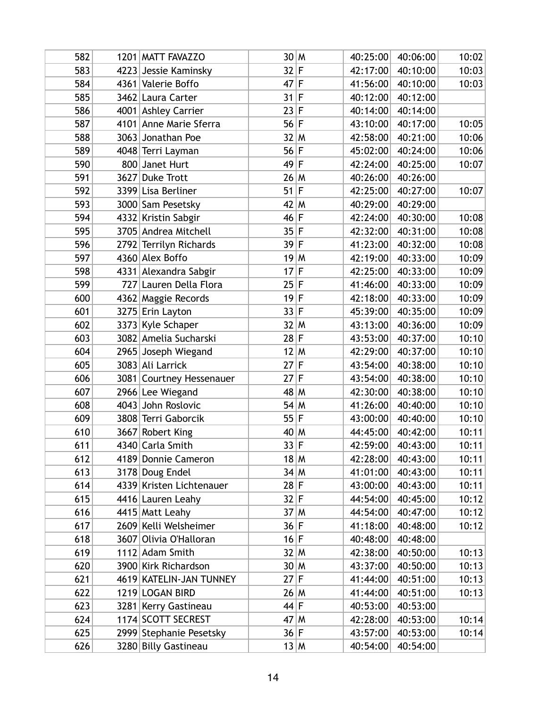| 582 |      | 1201 MATT FAVAZZO        | 30 M   |              | 40:25:00 | 40:06:00 | 10:02 |
|-----|------|--------------------------|--------|--------------|----------|----------|-------|
| 583 |      | 4223 Jessie Kaminsky     | 32 F   |              | 42:17:00 | 40:10:00 | 10:03 |
| 584 | 4361 | Valerie Boffo            | 47     | l F          | 41:56:00 | 40:10:00 | 10:03 |
| 585 |      | 3462 Laura Carter        | $31$ F |              | 40:12:00 | 40:12:00 |       |
| 586 |      | 4001 Ashley Carrier      | 23 F   |              | 40:14:00 | 40:14:00 |       |
| 587 |      | 4101 Anne Marie Sferra   | 56 F   |              | 43:10:00 | 40:17:00 | 10:05 |
| 588 | 3063 | Jonathan Poe             | 32 M   |              | 42:58:00 | 40:21:00 | 10:06 |
| 589 |      | 4048 Terri Layman        | 56 F   |              | 45:02:00 | 40:24:00 | 10:06 |
| 590 |      | 800 Janet Hurt           | 49     | IF.          | 42:24:00 | 40:25:00 | 10:07 |
| 591 |      | 3627 Duke Trott          | 26 M   |              | 40:26:00 | 40:26:00 |       |
| 592 |      | 3399 Lisa Berliner       | 51     | $\mathsf F$  | 42:25:00 | 40:27:00 | 10:07 |
| 593 |      | 3000 Sam Pesetsky        | 42 M   |              | 40:29:00 | 40:29:00 |       |
| 594 |      | 4332 Kristin Sabgir      | 46 F   |              | 42:24:00 | 40:30:00 | 10:08 |
| 595 |      | 3705 Andrea Mitchell     | 35 F   |              | 42:32:00 | 40:31:00 | 10:08 |
| 596 |      | 2792 Terrilyn Richards   | 39 F   |              | 41:23:00 | 40:32:00 | 10:08 |
| 597 |      | 4360 Alex Boffo          | 19     | $\mathsf{M}$ | 42:19:00 | 40:33:00 | 10:09 |
| 598 |      | 4331 Alexandra Sabgir    | 17     | l F          | 42:25:00 | 40:33:00 | 10:09 |
| 599 |      | 727 Lauren Della Flora   | 25 F   |              | 41:46:00 | 40:33:00 | 10:09 |
| 600 |      | 4362 Maggie Records      | 19     | lF.          | 42:18:00 | 40:33:00 | 10:09 |
| 601 |      | 3275 Erin Layton         | 33 F   |              | 45:39:00 | 40:35:00 | 10:09 |
| 602 |      | 3373 Kyle Schaper        | 32 M   |              | 43:13:00 | 40:36:00 | 10:09 |
| 603 |      | 3082 Amelia Sucharski    | $28$ F |              | 43:53:00 | 40:37:00 | 10:10 |
| 604 |      | 2965 Joseph Wiegand      | 12 M   |              | 42:29:00 | 40:37:00 | 10:10 |
| 605 |      | 3083 Ali Larrick         | 27     | lF.          | 43:54:00 | 40:38:00 | 10:10 |
| 606 |      | 3081 Courtney Hessenauer | 27     | l F          | 43:54:00 | 40:38:00 | 10:10 |
| 607 |      | 2966 Lee Wiegand         | 48 M   |              | 42:30:00 | 40:38:00 | 10:10 |
| 608 |      | 4043 John Roslovic       | 54 M   |              | 41:26:00 | 40:40:00 | 10:10 |
| 609 |      | 3808 Terri Gaborcik      | 55 F   |              | 43:00:00 | 40:40:00 | 10:10 |
| 610 |      | 3667 Robert King         | 40 M   |              | 44:45:00 | 40:42:00 | 10:11 |
| 611 |      | 4340 Carla Smith         | 33 F   |              | 42:59:00 | 40:43:00 | 10:11 |
| 612 |      | 4189 Donnie Cameron      |        | 18 M         | 42:28:00 | 40:43:00 | 10:11 |
| 613 |      | 3178 Doug Endel          | 34 M   |              | 41:01:00 | 40:43:00 | 10:11 |
| 614 |      | 4339 Kristen Lichtenauer | 28 F   |              | 43:00:00 | 40:43:00 | 10:11 |
| 615 |      | 4416 Lauren Leahy        | 32 F   |              | 44:54:00 | 40:45:00 | 10:12 |
| 616 |      | 4415 Matt Leahy          | 37 M   |              | 44:54:00 | 40:47:00 | 10:12 |
| 617 |      | 2609 Kelli Welsheimer    | 36 F   |              | 41:18:00 | 40:48:00 | 10:12 |
| 618 | 3607 | Olivia O'Halloran        | 16 F   |              | 40:48:00 | 40:48:00 |       |
| 619 |      | 1112 Adam Smith          | 32 M   |              | 42:38:00 | 40:50:00 | 10:13 |
| 620 |      | 3900 Kirk Richardson     | 30 M   |              | 43:37:00 | 40:50:00 | 10:13 |
| 621 |      | 4619 KATELIN-JAN TUNNEY  | $27$ F |              | 41:44:00 | 40:51:00 | 10:13 |
| 622 |      | 1219 LOGAN BIRD          | 26 M   |              | 41:44:00 | 40:51:00 | 10:13 |
| 623 |      | 3281 Kerry Gastineau     | 44 F   |              | 40:53:00 | 40:53:00 |       |
| 624 |      | 1174 SCOTT SECREST       | 47 M   |              | 42:28:00 | 40:53:00 | 10:14 |
| 625 |      | 2999 Stephanie Pesetsky  | 36 F   |              | 43:57:00 | 40:53:00 | 10:14 |
| 626 |      | 3280 Billy Gastineau     |        | 13 M         | 40:54:00 | 40:54:00 |       |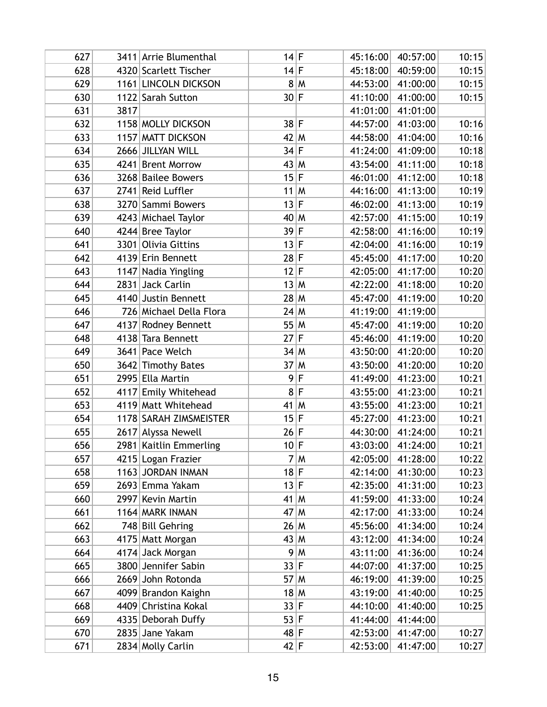| 627 |      | 3411 Arrie Blumenthal   | 14 F   |              | 45:16:00 | 40:57:00 | 10:15 |
|-----|------|-------------------------|--------|--------------|----------|----------|-------|
| 628 |      | 4320 Scarlett Tischer   | $14$ F |              | 45:18:00 | 40:59:00 | 10:15 |
| 629 |      | 1161 LINCOLN DICKSON    |        | 8 M          | 44:53:00 | 41:00:00 | 10:15 |
| 630 |      | 1122 Sarah Sutton       | 30 F   |              | 41:10:00 | 41:00:00 | 10:15 |
| 631 | 3817 |                         |        |              | 41:01:00 | 41:01:00 |       |
| 632 |      | 1158 MOLLY DICKSON      | $38$ F |              | 44:57:00 | 41:03:00 | 10:16 |
| 633 |      | 1157 MATT DICKSON       | 42 M   |              | 44:58:00 | 41:04:00 | 10:16 |
| 634 |      | 2666 JILLYAN WILL       | $34$ F |              | 41:24:00 | 41:09:00 | 10:18 |
| 635 |      | 4241 Brent Morrow       | 43 M   |              | 43:54:00 | 41:11:00 | 10:18 |
| 636 |      | 3268 Bailee Bowers      | 15 F   |              | 46:01:00 | 41:12:00 | 10:18 |
| 637 |      | 2741 Reid Luffler       | $11$ M |              | 44:16:00 | 41:13:00 | 10:19 |
| 638 |      | 3270 Sammi Bowers       | 13 F   |              | 46:02:00 | 41:13:00 | 10:19 |
| 639 |      | 4243 Michael Taylor     | 40 M   |              | 42:57:00 | 41:15:00 | 10:19 |
| 640 |      | 4244 Bree Taylor        | 39 F   |              | 42:58:00 | 41:16:00 | 10:19 |
| 641 |      | 3301 Olivia Gittins     | 13 F   |              | 42:04:00 | 41:16:00 | 10:19 |
| 642 |      | 4139 Erin Bennett       | $28$ F |              | 45:45:00 | 41:17:00 | 10:20 |
| 643 |      | 1147 Nadia Yingling     | 12 F   |              | 42:05:00 | 41:17:00 | 10:20 |
| 644 |      | 2831 Jack Carlin        | 13 M   |              | 42:22:00 | 41:18:00 | 10:20 |
| 645 |      | 4140 Justin Bennett     | 28 M   |              | 45:47:00 | 41:19:00 | 10:20 |
| 646 |      | 726 Michael Della Flora | 24 M   |              | 41:19:00 | 41:19:00 |       |
| 647 |      | 4137 Rodney Bennett     | 55 M   |              | 45:47:00 | 41:19:00 | 10:20 |
| 648 |      | 4138 Tara Bennett       | 27     | $\mathsf F$  | 45:46:00 | 41:19:00 | 10:20 |
| 649 |      | 3641 Pace Welch         | 34 M   |              | 43:50:00 | 41:20:00 | 10:20 |
| 650 |      | 3642 Timothy Bates      | 37     | ۱M           | 43:50:00 | 41:20:00 | 10:20 |
| 651 |      | 2995 Ella Martin        | 9      | $\mathsf F$  | 41:49:00 | 41:23:00 | 10:21 |
| 652 |      | 4117 Emily Whitehead    |        | 8 F          | 43:55:00 | 41:23:00 | 10:21 |
| 653 |      | 4119 Matt Whitehead     | 41     | M            | 43:55:00 | 41:23:00 | 10:21 |
| 654 |      | 1178 SARAH ZIMSMEISTER  | 15 F   |              | 45:27:00 | 41:23:00 | 10:21 |
| 655 |      | 2617 Alyssa Newell      | 26 F   |              | 44:30:00 | 41:24:00 | 10:21 |
| 656 |      | 2981 Kaitlin Emmerling  | $10$ F |              | 43:03:00 | 41:24:00 | 10:21 |
| 657 |      | 4215 Logan Frazier      |        | 7   M        | 42:05:00 | 41:28:00 | 10:22 |
| 658 |      | 1163 JORDAN INMAN       | $18$ F |              | 42:14:00 | 41:30:00 | 10:23 |
| 659 |      | 2693 Emma Yakam         | 13 F   |              | 42:35:00 | 41:31:00 | 10:23 |
| 660 |      | 2997 Kevin Martin       | 41     | $\mathsf{M}$ | 41:59:00 | 41:33:00 | 10:24 |
| 661 |      | 1164 MARK INMAN         | 47     | M            | 42:17:00 | 41:33:00 | 10:24 |
| 662 |      | 748 Bill Gehring        | 26 M   |              | 45:56:00 | 41:34:00 | 10:24 |
| 663 | 4175 | Matt Morgan             | 43 M   |              | 43:12:00 | 41:34:00 | 10:24 |
| 664 |      | 4174 Jack Morgan        | 9      | M            | 43:11:00 | 41:36:00 | 10:24 |
| 665 |      | 3800 Jennifer Sabin     | 33 F   |              | 44:07:00 | 41:37:00 | 10:25 |
| 666 |      | 2669 John Rotonda       | 57     | M            | 46:19:00 | 41:39:00 | 10:25 |
| 667 |      | 4099 Brandon Kaighn     | 18 M   |              | 43:19:00 | 41:40:00 | 10:25 |
| 668 |      | 4409 Christina Kokal    | 33 F   |              | 44:10:00 | 41:40:00 | 10:25 |
| 669 |      | 4335 Deborah Duffy      | 53 F   |              | 41:44:00 | 41:44:00 |       |
| 670 |      | 2835 Jane Yakam         | $48$ F |              | 42:53:00 | 41:47:00 | 10:27 |
| 671 |      | 2834 Molly Carlin       | 42 F   |              | 42:53:00 | 41:47:00 | 10:27 |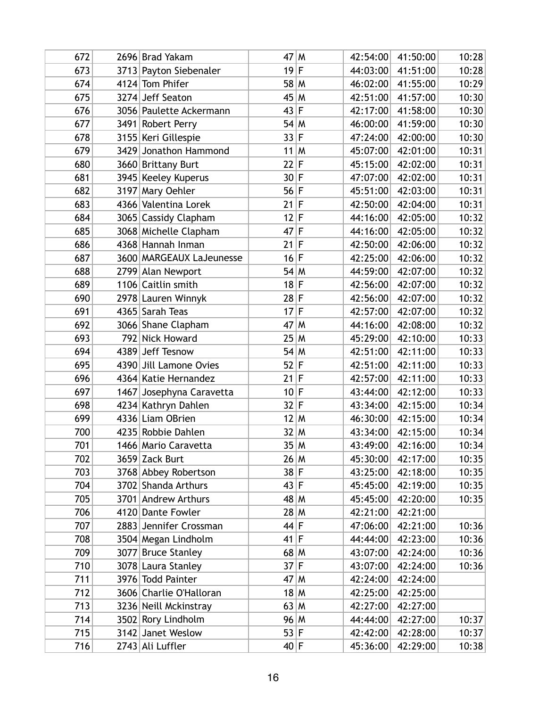| 672 |      | 2696 Brad Yakam          | 47     | M            | 42:54:00 | 41:50:00 | 10:28 |
|-----|------|--------------------------|--------|--------------|----------|----------|-------|
| 673 |      | 3713 Payton Siebenaler   | 19     | lF.          | 44:03:00 | 41:51:00 | 10:28 |
| 674 |      | 4124 Tom Phifer          | 58 M   |              | 46:02:00 | 41:55:00 | 10:29 |
| 675 |      | 3274 Jeff Seaton         | 45 M   |              | 42:51:00 | 41:57:00 | 10:30 |
| 676 |      | 3056 Paulette Ackermann  | 43     | F            | 42:17:00 | 41:58:00 | 10:30 |
| 677 |      | 3491 Robert Perry        | 54 M   |              | 46:00:00 | 41:59:00 | 10:30 |
| 678 |      | 3155 Keri Gillespie      | 33 F   |              | 47:24:00 | 42:00:00 | 10:30 |
| 679 |      | 3429 Jonathon Hammond    | $11$ M |              | 45:07:00 | 42:01:00 | 10:31 |
| 680 |      | 3660 Brittany Burt       | 22 F   |              | 45:15:00 | 42:02:00 | 10:31 |
| 681 |      | 3945 Keeley Kuperus      | $30$ F |              | 47:07:00 | 42:02:00 | 10:31 |
| 682 | 3197 | <b>Mary Oehler</b>       | 56 F   |              | 45:51:00 | 42:03:00 | 10:31 |
| 683 |      | 4366 Valentina Lorek     | $21$ F |              | 42:50:00 | 42:04:00 | 10:31 |
| 684 |      | 3065 Cassidy Clapham     | 12 F   |              | 44:16:00 | 42:05:00 | 10:32 |
| 685 |      | 3068 Michelle Clapham    | 47     | F            | 44:16:00 | 42:05:00 | 10:32 |
| 686 |      | 4368 Hannah Inman        | 21 F   |              | 42:50:00 | 42:06:00 | 10:32 |
| 687 |      | 3600 MARGEAUX LaJeunesse | 16 F   |              | 42:25:00 | 42:06:00 | 10:32 |
| 688 |      | 2799 Alan Newport        | 54 M   |              | 44:59:00 | 42:07:00 | 10:32 |
| 689 |      | 1106 Caitlin smith       | $18$ F |              | 42:56:00 | 42:07:00 | 10:32 |
| 690 |      | 2978 Lauren Winnyk       | 28 F   |              | 42:56:00 | 42:07:00 | 10:32 |
| 691 |      | 4365 Sarah Teas          | 17     | F            | 42:57:00 | 42:07:00 | 10:32 |
| 692 |      | 3066 Shane Clapham       | 47     | M            | 44:16:00 | 42:08:00 | 10:32 |
| 693 |      | 792 Nick Howard          | 25     | $\mathsf{M}$ | 45:29:00 | 42:10:00 | 10:33 |
| 694 | 4389 | Jeff Tesnow              | 54 M   |              | 42:51:00 | 42:11:00 | 10:33 |
| 695 |      | 4390 Jill Lamone Ovies   | $52$ F |              | 42:51:00 | 42:11:00 | 10:33 |
| 696 |      | 4364 Katie Hernandez     | 21 F   |              | 42:57:00 | 42:11:00 | 10:33 |
| 697 |      | 1467 Josephyna Caravetta | $10$ F |              | 43:44:00 | 42:12:00 | 10:33 |
| 698 |      | 4234 Kathryn Dahlen      | 32 F   |              | 43:34:00 | 42:15:00 | 10:34 |
| 699 |      | 4336 Liam OBrien         | 12 M   |              | 46:30:00 | 42:15:00 | 10:34 |
| 700 |      | 4235 Robbie Dahlen       | 32 M   |              | 43:34:00 | 42:15:00 | 10:34 |
| 701 |      | 1466 Mario Caravetta     | 35 M   |              | 43:49:00 | 42:16:00 | 10:34 |
| 702 |      | 3659 Zack Burt           | 26 M   |              | 45:30:00 | 42:17:00 | 10:35 |
| 703 |      | 3768 Abbey Robertson     | 38 F   |              | 43:25:00 | 42:18:00 | 10:35 |
| 704 |      | 3702 Shanda Arthurs      | 43 F   |              | 45:45:00 | 42:19:00 | 10:35 |
| 705 |      | 3701 Andrew Arthurs      | 48 M   |              | 45:45:00 | 42:20:00 | 10:35 |
| 706 |      | 4120 Dante Fowler        | 28 M   |              | 42:21:00 | 42:21:00 |       |
| 707 |      | 2883 Jennifer Crossman   | $44$ F |              | 47:06:00 | 42:21:00 | 10:36 |
| 708 |      | 3504 Megan Lindholm      | 41     | F            | 44:44:00 | 42:23:00 | 10:36 |
| 709 |      | 3077 Bruce Stanley       | $68$ M |              | 43:07:00 | 42:24:00 | 10:36 |
| 710 |      | 3078 Laura Stanley       | $37$ F |              | 43:07:00 | 42:24:00 | 10:36 |
| 711 |      | 3976 Todd Painter        | 47     | M            | 42:24:00 | 42:24:00 |       |
| 712 |      | 3606 Charlie O'Halloran  | 18 M   |              | 42:25:00 | 42:25:00 |       |
| 713 |      | 3236 Neill Mckinstray    | 63 M   |              | 42:27:00 | 42:27:00 |       |
| 714 |      | 3502 Rory Lindholm       | 96 M   |              | 44:44:00 | 42:27:00 | 10:37 |
| 715 |      | 3142 Janet Weslow        | 53 F   |              | 42:42:00 | 42:28:00 | 10:37 |
| 716 |      | 2743 Ali Luffler         | 40 F   |              | 45:36:00 | 42:29:00 | 10:38 |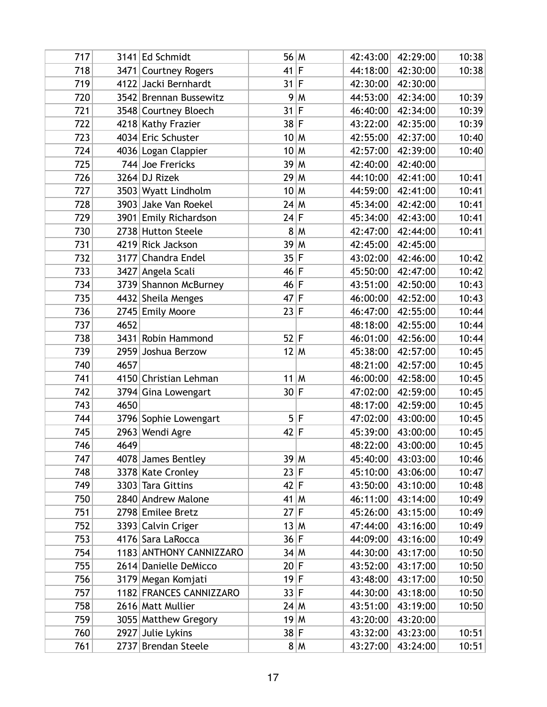| 717 |      | 3141 Ed Schmidt         | 56 M   |      | 42:43:00 | 42:29:00 | 10:38 |
|-----|------|-------------------------|--------|------|----------|----------|-------|
| 718 |      | 3471 Courtney Rogers    | 41     | lF.  | 44:18:00 | 42:30:00 | 10:38 |
| 719 |      | 4122 Jacki Bernhardt    | $31$ F |      | 42:30:00 | 42:30:00 |       |
| 720 |      | 3542 Brennan Bussewitz  | 9      | M    | 44:53:00 | 42:34:00 | 10:39 |
| 721 |      | 3548 Courtney Bloech    | $31$ F |      | 46:40:00 | 42:34:00 | 10:39 |
| 722 |      | 4218 Kathy Frazier      | $38$ F |      | 43:22:00 | 42:35:00 | 10:39 |
| 723 |      | 4034 Eric Schuster      | 10 M   |      | 42:55:00 | 42:37:00 | 10:40 |
| 724 |      | 4036 Logan Clappier     | 10 M   |      | 42:57:00 | 42:39:00 | 10:40 |
| 725 |      | 744 Joe Frericks        | 39 M   |      | 42:40:00 | 42:40:00 |       |
| 726 |      | 3264 DJ Rizek           | 29 M   |      | 44:10:00 | 42:41:00 | 10:41 |
| 727 |      | 3503 Wyatt Lindholm     | 10 M   |      | 44:59:00 | 42:41:00 | 10:41 |
| 728 |      | 3903 Jake Van Roekel    | 24 M   |      | 45:34:00 | 42:42:00 | 10:41 |
| 729 |      | 3901 Emily Richardson   | 24 F   |      | 45:34:00 | 42:43:00 | 10:41 |
| 730 |      | 2738 Hutton Steele      | 8      | M    | 42:47:00 | 42:44:00 | 10:41 |
| 731 |      | 4219 Rick Jackson       | 39 M   |      | 42:45:00 | 42:45:00 |       |
| 732 |      | 3177 Chandra Endel      | 35 F   |      | 43:02:00 | 42:46:00 | 10:42 |
| 733 |      | 3427 Angela Scali       | 46 F   |      | 45:50:00 | 42:47:00 | 10:42 |
| 734 |      | 3739 Shannon McBurney   | 46 F   |      | 43:51:00 | 42:50:00 | 10:43 |
| 735 |      | 4432 Sheila Menges      | $47$ F |      | 46:00:00 | 42:52:00 | 10:43 |
| 736 |      | 2745 Emily Moore        | 23 F   |      | 46:47:00 | 42:55:00 | 10:44 |
| 737 | 4652 |                         |        |      | 48:18:00 | 42:55:00 | 10:44 |
| 738 |      | 3431 Robin Hammond      | $52$ F |      | 46:01:00 | 42:56:00 | 10:44 |
| 739 | 2959 | Joshua Berzow           |        | 12 M | 45:38:00 | 42:57:00 | 10:45 |
| 740 | 4657 |                         |        |      | 48:21:00 | 42:57:00 | 10:45 |
| 741 |      | 4150 Christian Lehman   | $11$ M |      | 46:00:00 | 42:58:00 | 10:45 |
| 742 | 3794 | Gina Lowengart          | 30 F   |      | 47:02:00 | 42:59:00 | 10:45 |
| 743 | 4650 |                         |        |      | 48:17:00 | 42:59:00 | 10:45 |
| 744 |      | 3796 Sophie Lowengart   | 5      | l F  | 47:02:00 | 43:00:00 | 10:45 |
| 745 |      | 2963 Wendi Agre         | $42$ F |      | 45:39:00 | 43:00:00 | 10:45 |
| 746 | 4649 |                         |        |      | 48:22:00 | 43:00:00 | 10:45 |
| 747 |      | 4078 James Bentley      | 39 M   |      | 45:40:00 | 43:03:00 | 10:46 |
| 748 |      | 3378 Kate Cronley       | 23 F   |      | 45:10:00 | 43:06:00 | 10:47 |
| 749 |      | 3303 Tara Gittins       | 42 F   |      | 43:50:00 | 43:10:00 | 10:48 |
| 750 |      | 2840 Andrew Malone      | $41$ M |      | 46:11:00 | 43:14:00 | 10:49 |
| 751 |      | 2798 Emilee Bretz       | $27$ F |      | 45:26:00 | 43:15:00 | 10:49 |
| 752 |      | 3393 Calvin Criger      | 13 M   |      | 47:44:00 | 43:16:00 | 10:49 |
| 753 |      | 4176 Sara LaRocca       | 36 F   |      | 44:09:00 | 43:16:00 | 10:49 |
| 754 |      | 1183 ANTHONY CANNIZZARO | 34 M   |      | 44:30:00 | 43:17:00 | 10:50 |
| 755 |      | 2614 Danielle DeMicco   | 20 F   |      | 43:52:00 | 43:17:00 | 10:50 |
| 756 |      | 3179 Megan Komjati      | $19$ F |      | 43:48:00 | 43:17:00 | 10:50 |
| 757 |      | 1182 FRANCES CANNIZZARO | 33 F   |      | 44:30:00 | 43:18:00 | 10:50 |
| 758 |      | 2616 Matt Mullier       | 24 M   |      | 43:51:00 | 43:19:00 | 10:50 |
| 759 |      | 3055 Matthew Gregory    | 19 M   |      | 43:20:00 | 43:20:00 |       |
| 760 |      | 2927 Julie Lykins       | 38 F   |      | 43:32:00 | 43:23:00 | 10:51 |
| 761 |      | 2737 Brendan Steele     |        | 8 M  | 43:27:00 | 43:24:00 | 10:51 |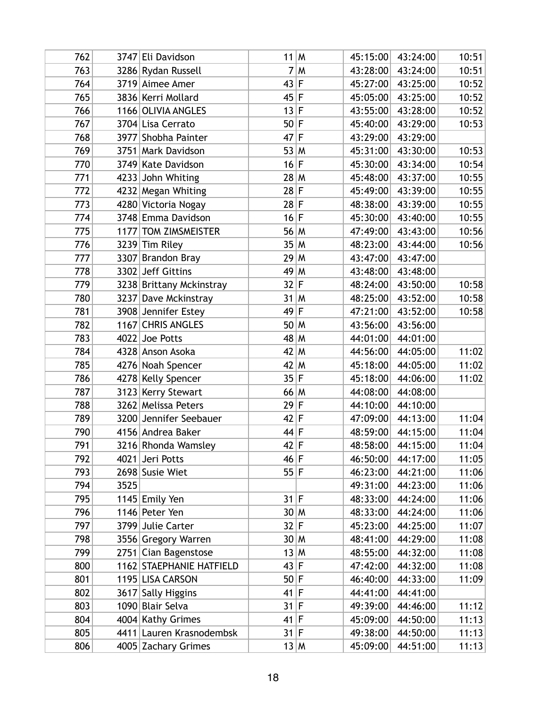| 762 |      | 3747 Eli Davidson        | $11$ M |      | 45:15:00 | 43:24:00 | 10:51 |
|-----|------|--------------------------|--------|------|----------|----------|-------|
| 763 |      | 3286 Rydan Russell       | 7      | M    | 43:28:00 | 43:24:00 | 10:51 |
| 764 |      | 3719 Aimee Amer          | 43 F   |      | 45:27:00 | 43:25:00 | 10:52 |
| 765 |      | 3836 Kerri Mollard       | 45 F   |      | 45:05:00 | 43:25:00 | 10:52 |
| 766 |      | 1166 OLIVIA ANGLES       | 13 F   |      | 43:55:00 | 43:28:00 | 10:52 |
| 767 |      | 3704 Lisa Cerrato        | $50$ F |      | 45:40:00 | 43:29:00 | 10:53 |
| 768 |      | 3977 Shobha Painter      | 47     | F    | 43:29:00 | 43:29:00 |       |
| 769 |      | 3751 Mark Davidson       | 53 M   |      | 45:31:00 | 43:30:00 | 10:53 |
| 770 |      | 3749 Kate Davidson       | 16 F   |      | 45:30:00 | 43:34:00 | 10:54 |
| 771 |      | 4233 John Whiting        | 28 M   |      | 45:48:00 | 43:37:00 | 10:55 |
| 772 |      | 4232 Megan Whiting       | 28 F   |      | 45:49:00 | 43:39:00 | 10:55 |
| 773 |      | 4280 Victoria Nogay      | $28$ F |      | 48:38:00 | 43:39:00 | 10:55 |
| 774 |      | 3748 Emma Davidson       | 16 F   |      | 45:30:00 | 43:40:00 | 10:55 |
| 775 |      | 1177 TOM ZIMSMEISTER     | 56 M   |      | 47:49:00 | 43:43:00 | 10:56 |
| 776 |      | 3239 Tim Riley           | 35 M   |      | 48:23:00 | 43:44:00 | 10:56 |
| 777 |      | 3307 Brandon Bray        | 29 M   |      | 43:47:00 | 43:47:00 |       |
| 778 |      | 3302 Jeff Gittins        | 49 M   |      | 43:48:00 | 43:48:00 |       |
| 779 |      | 3238 Brittany Mckinstray | 32 F   |      | 48:24:00 | 43:50:00 | 10:58 |
| 780 |      | 3237 Dave Mckinstray     | $31$ M |      | 48:25:00 | 43:52:00 | 10:58 |
| 781 |      | 3908 Jennifer Estey      | 49     | lF.  | 47:21:00 | 43:52:00 | 10:58 |
| 782 |      | 1167 CHRIS ANGLES        | 50 M   |      | 43:56:00 | 43:56:00 |       |
| 783 |      | 4022 Joe Potts           | 48 M   |      | 44:01:00 | 44:01:00 |       |
| 784 |      | 4328 Anson Asoka         | 42 M   |      | 44:56:00 | 44:05:00 | 11:02 |
| 785 |      | 4276 Noah Spencer        | 42 M   |      | 45:18:00 | 44:05:00 | 11:02 |
| 786 |      | 4278 Kelly Spencer       | 35 F   |      | 45:18:00 | 44:06:00 | 11:02 |
| 787 |      | 3123 Kerry Stewart       | 66 M   |      | 44:08:00 | 44:08:00 |       |
| 788 |      | 3262 Melissa Peters      | 29 F   |      | 44:10:00 | 44:10:00 |       |
| 789 |      | 3200 Jennifer Seebauer   | $42$ F |      | 47:09:00 | 44:13:00 | 11:04 |
| 790 |      | 4156 Andrea Baker        | 44 F   |      | 48:59:00 | 44:15:00 | 11:04 |
| 791 |      | 3216 Rhonda Wamsley      | $42$ F |      | 48:58:00 | 44:15:00 | 11:04 |
| 792 |      | 4021 Jeri Potts          | 46 F   |      | 46:50:00 | 44:17:00 | 11:05 |
| 793 |      | 2698 Susie Wiet          | 55 F   |      | 46:23:00 | 44:21:00 | 11:06 |
| 794 | 3525 |                          |        |      | 49:31:00 | 44:23:00 | 11:06 |
| 795 |      | 1145 Emily Yen           | $31$ F |      | 48:33:00 | 44:24:00 | 11:06 |
| 796 |      | 1146 Peter Yen           | 30 M   |      | 48:33:00 | 44:24:00 | 11:06 |
| 797 |      | 3799 Julie Carter        | 32 F   |      | 45:23:00 | 44:25:00 | 11:07 |
| 798 |      | 3556 Gregory Warren      | 30 M   |      | 48:41:00 | 44:29:00 | 11:08 |
| 799 |      | 2751 Cian Bagenstose     | 13 M   |      | 48:55:00 | 44:32:00 | 11:08 |
| 800 |      | 1162 STAEPHANIE HATFIELD | 43 F   |      | 47:42:00 | 44:32:00 | 11:08 |
| 801 |      | 1195 LISA CARSON         | $50$ F |      | 46:40:00 | 44:33:00 | 11:09 |
| 802 | 3617 | <b>Sally Higgins</b>     | 41     | F    | 44:41:00 | 44:41:00 |       |
| 803 |      | 1090 Blair Selva         | $31$ F |      | 49:39:00 | 44:46:00 | 11:12 |
| 804 |      | 4004 Kathy Grimes        | 41     | F    | 45:09:00 | 44:50:00 | 11:13 |
| 805 |      | 4411 Lauren Krasnodembsk | $31$ F |      | 49:38:00 | 44:50:00 | 11:13 |
| 806 |      | 4005 Zachary Grimes      |        | 13 M | 45:09:00 | 44:51:00 | 11:13 |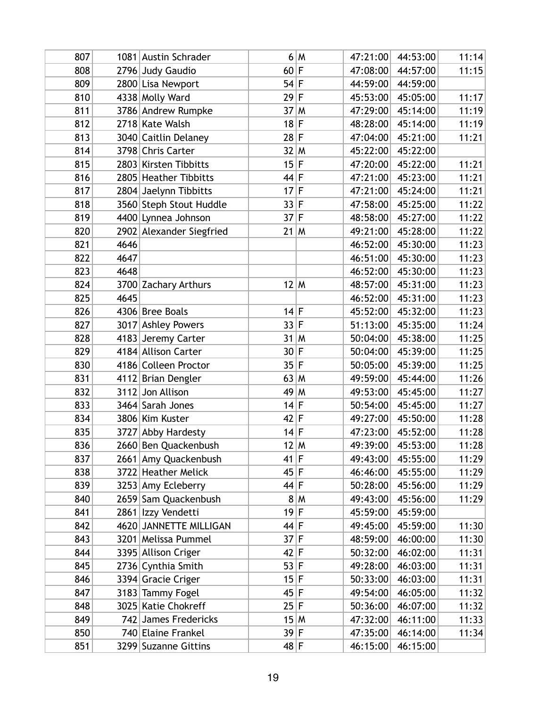| 807 |      | 1081 Austin Schrader     |        | 6 M          | 47:21:00 | 44:53:00 | 11:14 |
|-----|------|--------------------------|--------|--------------|----------|----------|-------|
| 808 |      | 2796 Judy Gaudio         | 60 F   |              | 47:08:00 | 44:57:00 | 11:15 |
| 809 |      | 2800 Lisa Newport        | $54$ F |              | 44:59:00 | 44:59:00 |       |
| 810 |      | 4338 Molly Ward          | 29 F   |              | 45:53:00 | 45:05:00 | 11:17 |
| 811 |      | 3786 Andrew Rumpke       | 37 M   |              | 47:29:00 | 45:14:00 | 11:19 |
| 812 |      | 2718 Kate Walsh          | $18$ F |              | 48:28:00 | 45:14:00 | 11:19 |
| 813 |      | 3040 Caitlin Delaney     | 28 F   |              | 47:04:00 | 45:21:00 | 11:21 |
| 814 |      | 3798 Chris Carter        | 32 M   |              | 45:22:00 | 45:22:00 |       |
| 815 |      | 2803 Kirsten Tibbitts    | 15 F   |              | 47:20:00 | 45:22:00 | 11:21 |
| 816 |      | 2805 Heather Tibbitts    | $44$ F |              | 47:21:00 | 45:23:00 | 11:21 |
| 817 |      | 2804 Jaelynn Tibbitts    | 17     | F            | 47:21:00 | 45:24:00 | 11:21 |
| 818 |      | 3560 Steph Stout Huddle  | 33 F   |              | 47:58:00 | 45:25:00 | 11:22 |
| 819 |      | 4400 Lynnea Johnson      | $37$ F |              | 48:58:00 | 45:27:00 | 11:22 |
| 820 |      | 2902 Alexander Siegfried | $21$ M |              | 49:21:00 | 45:28:00 | 11:22 |
| 821 | 4646 |                          |        |              | 46:52:00 | 45:30:00 | 11:23 |
| 822 | 4647 |                          |        |              | 46:51:00 | 45:30:00 | 11:23 |
| 823 | 4648 |                          |        |              | 46:52:00 | 45:30:00 | 11:23 |
| 824 |      | 3700 Zachary Arthurs     | $12$ M |              | 48:57:00 | 45:31:00 | 11:23 |
| 825 | 4645 |                          |        |              | 46:52:00 | 45:31:00 | 11:23 |
| 826 |      | 4306 Bree Boals          | $14$ F |              | 45:52:00 | 45:32:00 | 11:23 |
| 827 |      | 3017 Ashley Powers       | 33 F   |              | 51:13:00 | 45:35:00 | 11:24 |
| 828 |      | 4183 Jeremy Carter       | 31     | $\mathsf{M}$ | 50:04:00 | 45:38:00 | 11:25 |
| 829 |      | 4184 Allison Carter      | 30 F   |              | 50:04:00 | 45:39:00 | 11:25 |
| 830 |      | 4186 Colleen Proctor     | 35 F   |              | 50:05:00 | 45:39:00 | 11:25 |
| 831 |      | 4112 Brian Dengler       | 63 M   |              | 49:59:00 | 45:44:00 | 11:26 |
| 832 |      | 3112 Jon Allison         | 49 M   |              | 49:53:00 | 45:45:00 | 11:27 |
| 833 |      | 3464 Sarah Jones         | 14 F   |              | 50:54:00 | 45:45:00 | 11:27 |
| 834 |      | 3806 Kim Kuster          | 42 F   |              | 49:27:00 | 45:50:00 | 11:28 |
| 835 | 3727 | <b>Abby Hardesty</b>     | 14 F   |              | 47:23:00 | 45:52:00 | 11:28 |
| 836 |      | 2660 Ben Quackenbush     | 12 M   |              | 49:39:00 | 45:53:00 | 11:28 |
| 837 |      | 2661 Amy Quackenbush     | 41 F   |              | 49:43:00 | 45:55:00 | 11:29 |
| 838 |      | 3722 Heather Melick      | 45 F   |              | 46:46:00 | 45:55:00 | 11:29 |
| 839 |      | 3253 Amy Ecleberry       | 44 F   |              | 50:28:00 | 45:56:00 | 11:29 |
| 840 |      | 2659 Sam Quackenbush     |        | 8 M          | 49:43:00 | 45:56:00 | 11:29 |
| 841 |      | 2861 Izzy Vendetti       | 19 F   |              | 45:59:00 | 45:59:00 |       |
| 842 |      | 4620 JANNETTE MILLIGAN   | $44$ F |              | 49:45:00 | 45:59:00 | 11:30 |
| 843 |      | 3201 Melissa Pummel      | $37$ F |              | 48:59:00 | 46:00:00 | 11:30 |
| 844 |      | 3395 Allison Criger      | 42 F   |              | 50:32:00 | 46:02:00 | 11:31 |
| 845 |      | 2736 Cynthia Smith       | 53 F   |              | 49:28:00 | 46:03:00 | 11:31 |
| 846 |      | 3394 Gracie Criger       | 15 F   |              | 50:33:00 | 46:03:00 | 11:31 |
| 847 |      | 3183 Tammy Fogel         | 45 F   |              | 49:54:00 | 46:05:00 | 11:32 |
| 848 |      | 3025 Katie Chokreff      | 25 F   |              | 50:36:00 | 46:07:00 | 11:32 |
| 849 |      | 742 James Fredericks     | 15 M   |              | 47:32:00 | 46:11:00 | 11:33 |
| 850 |      | 740 Elaine Frankel       | 39 F   |              | 47:35:00 | 46:14:00 | 11:34 |
| 851 |      | 3299 Suzanne Gittins     | 48 F   |              | 46:15:00 | 46:15:00 |       |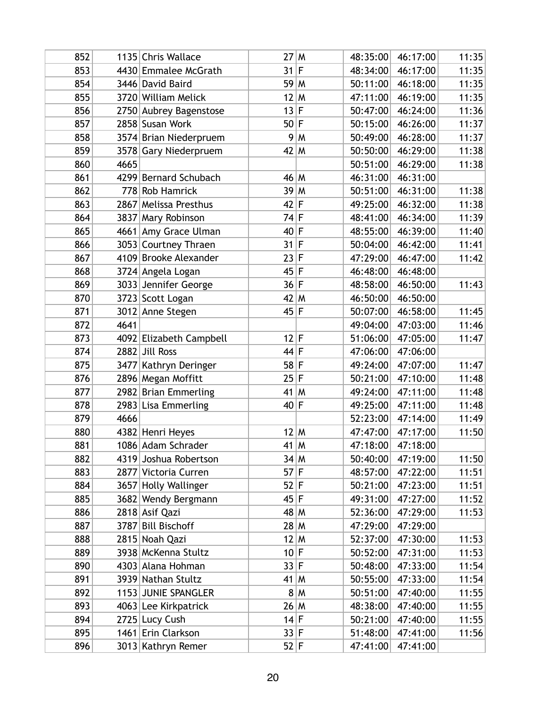| 852 |      | 1135 Chris Wallace      | 27 M   |        | 48:35:00 | 46:17:00 | 11:35 |
|-----|------|-------------------------|--------|--------|----------|----------|-------|
| 853 |      | 4430 Emmalee McGrath    | 31 F   |        | 48:34:00 | 46:17:00 | 11:35 |
| 854 |      | 3446 David Baird        | 59 M   |        | 50:11:00 | 46:18:00 | 11:35 |
| 855 |      | 3720 William Melick     | 12 M   |        | 47:11:00 | 46:19:00 | 11:35 |
| 856 |      | 2750 Aubrey Bagenstose  | 13 F   |        | 50:47:00 | 46:24:00 | 11:36 |
| 857 |      | 2858 Susan Work         | 50 F   |        | 50:15:00 | 46:26:00 | 11:37 |
| 858 |      | 3574 Brian Niederpruem  |        | 9 M    | 50:49:00 | 46:28:00 | 11:37 |
| 859 |      | 3578 Gary Niederpruem   | 42 M   |        | 50:50:00 | 46:29:00 | 11:38 |
| 860 | 4665 |                         |        |        | 50:51:00 | 46:29:00 | 11:38 |
| 861 |      | 4299 Bernard Schubach   | 46 M   |        | 46:31:00 | 46:31:00 |       |
| 862 |      | 778 Rob Hamrick         |        | 39 M   | 50:51:00 | 46:31:00 | 11:38 |
| 863 |      | 2867 Melissa Presthus   | $42$ F |        | 49:25:00 | 46:32:00 | 11:38 |
| 864 | 3837 | Mary Robinson           | 74 F   |        | 48:41:00 | 46:34:00 | 11:39 |
| 865 |      | 4661 Amy Grace Ulman    | $40$ F |        | 48:55:00 | 46:39:00 | 11:40 |
| 866 |      | 3053 Courtney Thraen    | 31 F   |        | 50:04:00 | 46:42:00 | 11:41 |
| 867 |      | 4109 Brooke Alexander   | 23 F   |        | 47:29:00 | 46:47:00 | 11:42 |
| 868 |      | 3724 Angela Logan       | 45 F   |        | 46:48:00 | 46:48:00 |       |
| 869 |      | 3033 Jennifer George    | 36 F   |        | 48:58:00 | 46:50:00 | 11:43 |
| 870 |      | 3723 Scott Logan        | 42 M   |        | 46:50:00 | 46:50:00 |       |
| 871 |      | 3012 Anne Stegen        | 45 F   |        | 50:07:00 | 46:58:00 | 11:45 |
| 872 | 4641 |                         |        |        | 49:04:00 | 47:03:00 | 11:46 |
| 873 |      | 4092 Elizabeth Campbell | $12$ F |        | 51:06:00 | 47:05:00 | 11:47 |
| 874 |      | 2882 Jill Ross          | 44 F   |        | 47:06:00 | 47:06:00 |       |
| 875 |      | 3477 Kathryn Deringer   | $58$ F |        | 49:24:00 | 47:07:00 | 11:47 |
| 876 |      | 2896 Megan Moffitt      | 25 F   |        | 50:21:00 | 47:10:00 | 11:48 |
| 877 |      | 2982 Brian Emmerling    | $41$ M |        | 49:24:00 | 47:11:00 | 11:48 |
| 878 |      | 2983 Lisa Emmerling     | 40 F   |        | 49:25:00 | 47:11:00 | 11:48 |
| 879 | 4666 |                         |        |        | 52:23:00 | 47:14:00 | 11:49 |
| 880 |      | 4382 Henri Heyes        | $12$ M |        | 47:47:00 | 47:17:00 | 11:50 |
| 881 |      | 1086 Adam Schrader      | $41$ M |        | 47:18:00 | 47:18:00 |       |
| 882 |      | 4319 Joshua Robertson   |        | 34   M | 50:40:00 | 47:19:00 | 11:50 |
| 883 |      | 2877 Victoria Curren    | $57$ F |        | 48:57:00 | 47:22:00 | 11:51 |
| 884 | 3657 | <b>Holly Wallinger</b>  | 52 F   |        | 50:21:00 | 47:23:00 | 11:51 |
| 885 |      | 3682 Wendy Bergmann     | 45 F   |        | 49:31:00 | 47:27:00 | 11:52 |
| 886 |      | 2818 Asif Qazi          | 48 M   |        | 52:36:00 | 47:29:00 | 11:53 |
| 887 |      | 3787 Bill Bischoff      | 28 M   |        | 47:29:00 | 47:29:00 |       |
| 888 |      | 2815 Noah Qazi          | 12 M   |        | 52:37:00 | 47:30:00 | 11:53 |
| 889 |      | 3938 McKenna Stultz     | 10 F   |        | 50:52:00 | 47:31:00 | 11:53 |
| 890 |      | 4303 Alana Hohman       | 33 F   |        | 50:48:00 | 47:33:00 | 11:54 |
| 891 |      | 3939 Nathan Stultz      | $41$ M |        | 50:55:00 | 47:33:00 | 11:54 |
| 892 |      | 1153 JUNIE SPANGLER     |        | 8 M    | 50:51:00 | 47:40:00 | 11:55 |
| 893 |      | 4063 Lee Kirkpatrick    | 26 M   |        | 48:38:00 | 47:40:00 | 11:55 |
| 894 |      | 2725 Lucy Cush          | 14 F   |        | 50:21:00 | 47:40:00 | 11:55 |
| 895 |      | 1461 Erin Clarkson      | 33 F   |        | 51:48:00 | 47:41:00 | 11:56 |
| 896 |      | 3013 Kathryn Remer      | 52 F   |        | 47:41:00 | 47:41:00 |       |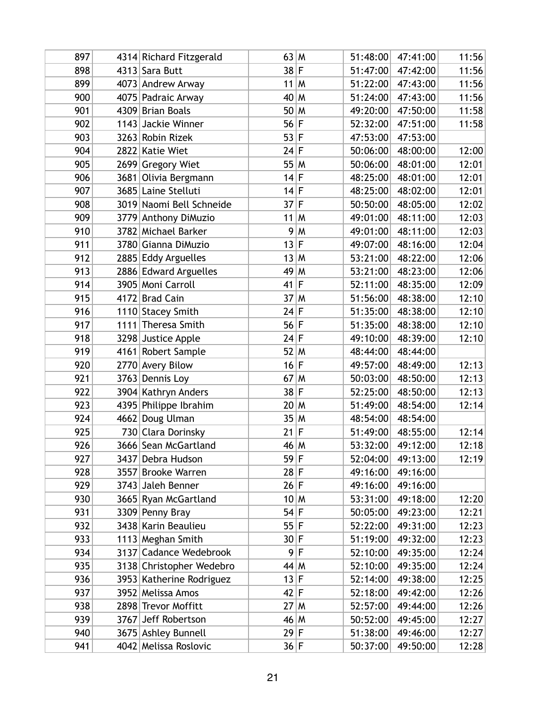| 897 | 4314 Richard Fitzgerald  | 63 M   |              | 51:48:00 | 47:41:00 | 11:56 |
|-----|--------------------------|--------|--------------|----------|----------|-------|
| 898 | 4313 Sara Butt           | $38$ F |              | 51:47:00 | 47:42:00 | 11:56 |
| 899 | 4073 Andrew Arway        |        | $11$ M       | 51:22:00 | 47:43:00 | 11:56 |
| 900 | 4075 Padraic Arway       | $40$ M |              | 51:24:00 | 47:43:00 | 11:56 |
| 901 | 4309 Brian Boals         | 50 M   |              | 49:20:00 | 47:50:00 | 11:58 |
| 902 | 1143 Jackie Winner       | 56 F   |              | 52:32:00 | 47:51:00 | 11:58 |
| 903 | 3263 Robin Rizek         | 53 F   |              | 47:53:00 | 47:53:00 |       |
| 904 | 2822 Katie Wiet          | $24$ F |              | 50:06:00 | 48:00:00 | 12:00 |
| 905 | 2699 Gregory Wiet        |        | 55 M         | 50:06:00 | 48:01:00 | 12:01 |
| 906 | 3681 Olivia Bergmann     | $14$ F |              | 48:25:00 | 48:01:00 | 12:01 |
| 907 | 3685 Laine Stelluti      | 14 F   |              | 48:25:00 | 48:02:00 | 12:01 |
| 908 | 3019 Naomi Bell Schneide | 37     | lF.          | 50:50:00 | 48:05:00 | 12:02 |
| 909 | 3779 Anthony DiMuzio     |        | $11$ M       | 49:01:00 | 48:11:00 | 12:03 |
| 910 | 3782 Michael Barker      | 9      | M            | 49:01:00 | 48:11:00 | 12:03 |
| 911 | 3780 Gianna DiMuzio      | 13     | $\mathsf F$  | 49:07:00 | 48:16:00 | 12:04 |
| 912 | 2885 Eddy Arguelles      |        | 13 M         | 53:21:00 | 48:22:00 | 12:06 |
| 913 | 2886 Edward Arguelles    | 49 M   |              | 53:21:00 | 48:23:00 | 12:06 |
| 914 | 3905 Moni Carroll        | 41     | $\mathsf{F}$ | 52:11:00 | 48:35:00 | 12:09 |
| 915 | 4172 Brad Cain           | 37     | $\mathsf{M}$ | 51:56:00 | 48:38:00 | 12:10 |
| 916 | 1110 Stacey Smith        | 24 F   |              | 51:35:00 | 48:38:00 | 12:10 |
| 917 | 1111 Theresa Smith       | 56 F   |              | 51:35:00 | 48:38:00 | 12:10 |
| 918 | 3298 Justice Apple       | $24$ F |              | 49:10:00 | 48:39:00 | 12:10 |
| 919 | 4161 Robert Sample       |        | $52$ M       | 48:44:00 | 48:44:00 |       |
| 920 | 2770 Avery Bilow         | 16 F   |              | 49:57:00 | 48:49:00 | 12:13 |
| 921 | 3763 Dennis Loy          | 67     | M            | 50:03:00 | 48:50:00 | 12:13 |
| 922 | 3904 Kathryn Anders      | $38$ F |              | 52:25:00 | 48:50:00 | 12:13 |
| 923 | 4395 Philippe Ibrahim    | 20 M   |              | 51:49:00 | 48:54:00 | 12:14 |
| 924 | 4662 Doug Ulman          | 35 M   |              | 48:54:00 | 48:54:00 |       |
| 925 | 730 Clara Dorinsky       | 21     | F            | 51:49:00 | 48:55:00 | 12:14 |
| 926 | 3666 Sean McGartland     | 46 M   |              | 53:32:00 | 49:12:00 | 12:18 |
| 927 | 3437 Debra Hudson        | 59 F   |              | 52:04:00 | 49:13:00 | 12:19 |
| 928 | 3557 Brooke Warren       | 28 F   |              | 49:16:00 | 49:16:00 |       |
| 929 | 3743 Jaleh Benner        | 26 F   |              | 49:16:00 | 49:16:00 |       |
| 930 | 3665 Ryan McGartland     | 10 M   |              | 53:31:00 | 49:18:00 | 12:20 |
| 931 | 3309 Penny Bray          | $54$ F |              | 50:05:00 | 49:23:00 | 12:21 |
| 932 | 3438 Karin Beaulieu      | 55 F   |              | 52:22:00 | 49:31:00 | 12:23 |
| 933 | 1113 Meghan Smith        | 30 F   |              | 51:19:00 | 49:32:00 | 12:23 |
| 934 | 3137 Cadance Wedebrook   | 9      | $\mathsf{F}$ | 52:10:00 | 49:35:00 | 12:24 |
| 935 | 3138 Christopher Wedebro | $44$ M |              | 52:10:00 | 49:35:00 | 12:24 |
| 936 | 3953 Katherine Rodriguez | 13 F   |              | 52:14:00 | 49:38:00 | 12:25 |
| 937 | 3952 Melissa Amos        | 42 F   |              | 52:18:00 | 49:42:00 | 12:26 |
| 938 | 2898 Trevor Moffitt      | 27 M   |              | 52:57:00 | 49:44:00 | 12:26 |
| 939 | 3767 Jeff Robertson      | 46 M   |              | 50:52:00 | 49:45:00 | 12:27 |
| 940 | 3675 Ashley Bunnell      | 29 F   |              | 51:38:00 | 49:46:00 | 12:27 |
| 941 | 4042 Melissa Roslovic    | 36 F   |              | 50:37:00 | 49:50:00 | 12:28 |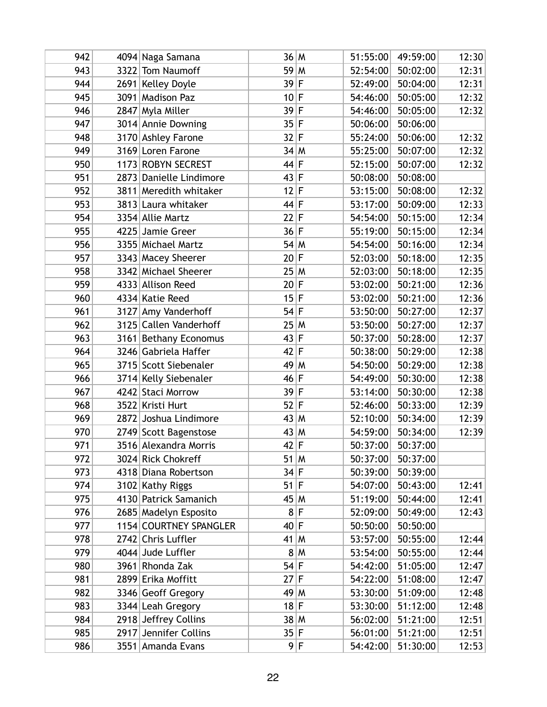| 942 | 4094 Naga Samana        | 36 M           |              | 51:55:00 | 49:59:00 | 12:30 |
|-----|-------------------------|----------------|--------------|----------|----------|-------|
| 943 | 3322 Tom Naumoff        | 59 M           |              | 52:54:00 | 50:02:00 | 12:31 |
| 944 | 2691 Kelley Doyle       | 39 F           |              | 52:49:00 | 50:04:00 | 12:31 |
| 945 | 3091 Madison Paz        | $10$ F         |              | 54:46:00 | 50:05:00 | 12:32 |
| 946 | 2847 Myla Miller        | 39 F           |              | 54:46:00 | 50:05:00 | 12:32 |
| 947 | 3014 Annie Downing      | 35 F           |              | 50:06:00 | 50:06:00 |       |
| 948 | 3170 Ashley Farone      | 32 F           |              | 55:24:00 | 50:06:00 | 12:32 |
| 949 | 3169 Loren Farone       | 34 M           |              | 55:25:00 | 50:07:00 | 12:32 |
| 950 | 1173 ROBYN SECREST      | 44 F           |              | 52:15:00 | 50:07:00 | 12:32 |
| 951 | 2873 Danielle Lindimore | 43 F           |              | 50:08:00 | 50:08:00 |       |
| 952 | 3811 Meredith whitaker  | 12 F           |              | 53:15:00 | 50:08:00 | 12:32 |
| 953 | 3813 Laura whitaker     | $44$ F         |              | 53:17:00 | 50:09:00 | 12:33 |
| 954 | 3354 Allie Martz        | 22 F           |              | 54:54:00 | 50:15:00 | 12:34 |
| 955 | 4225 Jamie Greer        | 36 F           |              | 55:19:00 | 50:15:00 | 12:34 |
| 956 | 3355 Michael Martz      | 54 M           |              | 54:54:00 | 50:16:00 | 12:34 |
| 957 | 3343 Macey Sheerer      | 20 F           |              | 52:03:00 | 50:18:00 | 12:35 |
| 958 | 3342 Michael Sheerer    | 25 M           |              | 52:03:00 | 50:18:00 | 12:35 |
| 959 | 4333 Allison Reed       | $20$ F         |              | 53:02:00 | 50:21:00 | 12:36 |
| 960 | 4334 Katie Reed         | 15 F           |              | 53:02:00 | 50:21:00 | 12:36 |
| 961 | 3127 Amy Vanderhoff     | $54$ F         |              | 53:50:00 | 50:27:00 | 12:37 |
| 962 | 3125 Callen Vanderhoff  | 25 M           |              | 53:50:00 | 50:27:00 | 12:37 |
| 963 | 3161 Bethany Economus   | 43 F           |              | 50:37:00 | 50:28:00 | 12:37 |
| 964 | 3246 Gabriela Haffer    | 42 F           |              | 50:38:00 | 50:29:00 | 12:38 |
| 965 | 3715 Scott Siebenaler   | 49 M           |              | 54:50:00 | 50:29:00 | 12:38 |
| 966 | 3714 Kelly Siebenaler   | 46 F           |              | 54:49:00 | 50:30:00 | 12:38 |
| 967 | 4242 Staci Morrow       | 39 F           |              | 53:14:00 | 50:30:00 | 12:38 |
| 968 | 3522 Kristi Hurt        | 52 F           |              | 52:46:00 | 50:33:00 | 12:39 |
| 969 | 2872 Joshua Lindimore   | 43 M           |              | 52:10:00 | 50:34:00 | 12:39 |
| 970 | 2749 Scott Bagenstose   | 43 M           |              | 54:59:00 | 50:34:00 | 12:39 |
| 971 | 3516 Alexandra Morris   | 42 F           |              | 50:37:00 | 50:37:00 |       |
| 972 | 3024 Rick Chokreff      | $51$ M         |              | 50:37:00 | 50:37:00 |       |
| 973 | 4318 Diana Robertson    | 34 F           |              | 50:39:00 | 50:39:00 |       |
| 974 | 3102 Kathy Riggs        | 51             | F            | 54:07:00 | 50:43:00 | 12:41 |
| 975 | 4130 Patrick Samanich   | 45 M           |              | 51:19:00 | 50:44:00 | 12:41 |
| 976 | 2685 Madelyn Esposito   | 8 <sup>1</sup> | F            | 52:09:00 | 50:49:00 | 12:43 |
| 977 | 1154 COURTNEY SPANGLER  | 40 F           |              | 50:50:00 | 50:50:00 |       |
| 978 | 2742 Chris Luffler      | $41$ M         |              | 53:57:00 | 50:55:00 | 12:44 |
| 979 | 4044 Jude Luffler       |                | 8 M          | 53:54:00 | 50:55:00 | 12:44 |
| 980 | 3961 Rhonda Zak         | $54$ F         |              | 54:42:00 | 51:05:00 | 12:47 |
| 981 | 2899 Erika Moffitt      | 27             | $\mathsf{F}$ | 54:22:00 | 51:08:00 | 12:47 |
| 982 | 3346 Geoff Gregory      | 49 M           |              | 53:30:00 | 51:09:00 | 12:48 |
| 983 | 3344 Leah Gregory       | $18$ F         |              | 53:30:00 | 51:12:00 | 12:48 |
| 984 | 2918 Jeffrey Collins    | 38 M           |              | 56:02:00 | 51:21:00 | 12:51 |
| 985 | 2917 Jennifer Collins   | 35 F           |              | 56:01:00 | 51:21:00 | 12:51 |
| 986 | 3551 Amanda Evans       |                | 9 F          | 54:42:00 | 51:30:00 | 12:53 |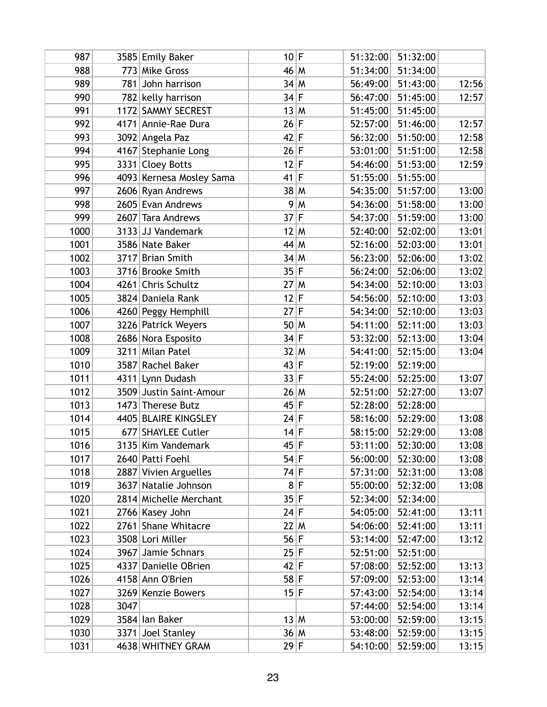| 987  |      | 3585 Emily Baker         | 10 F   |             | 51:32:00 | 51:32:00 |       |
|------|------|--------------------------|--------|-------------|----------|----------|-------|
| 988  |      | 773 Mike Gross           | 46 M   |             | 51:34:00 | 51:34:00 |       |
| 989  | 781  | John harrison            | 34 M   |             | 56:49:00 | 51:43:00 | 12:56 |
| 990  |      | 782 kelly harrison       | $34$ F |             | 56:47:00 | 51:45:00 | 12:57 |
| 991  |      | 1172 SAMMY SECREST       | 13 M   |             | 51:45:00 | 51:45:00 |       |
| 992  |      | 4171 Annie-Rae Dura      | 26 F   |             | 52:57:00 | 51:46:00 | 12:57 |
| 993  | 3092 | Angela Paz               | 42 F   |             | 56:32:00 | 51:50:00 | 12:58 |
| 994  |      | 4167 Stephanie Long      | 26 F   |             | 53:01:00 | 51:51:00 | 12:58 |
| 995  |      | 3331 Cloey Botts         | 12 F   |             | 54:46:00 | 51:53:00 | 12:59 |
| 996  |      | 4093 Kernesa Mosley Sama | 41     | $\mathsf F$ | 51:55:00 | 51:55:00 |       |
| 997  |      | 2606 Ryan Andrews        | 38 M   |             | 54:35:00 | 51:57:00 | 13:00 |
| 998  |      | 2605 Evan Andrews        | 9      | M           | 54:36:00 | 51:58:00 | 13:00 |
| 999  | 2607 | <b>Tara Andrews</b>      | $37$ F |             | 54:37:00 | 51:59:00 | 13:00 |
| 1000 |      | 3133 JJ Vandemark        | 12 M   |             | 52:40:00 | 52:02:00 | 13:01 |
| 1001 |      | 3586 Nate Baker          | $44$ M |             | 52:16:00 | 52:03:00 | 13:01 |
| 1002 | 3717 | <b>Brian Smith</b>       | 34 M   |             | 56:23:00 | 52:06:00 | 13:02 |
| 1003 |      | 3716 Brooke Smith        | 35 F   |             | 56:24:00 | 52:06:00 | 13:02 |
| 1004 |      | 4261 Chris Schultz       | 27M    |             | 54:34:00 | 52:10:00 | 13:03 |
| 1005 |      | 3824 Daniela Rank        | 12 F   |             | 54:56:00 | 52:10:00 | 13:03 |
| 1006 |      | 4260 Peggy Hemphill      | $27$ F |             | 54:34:00 | 52:10:00 | 13:03 |
| 1007 |      | 3226 Patrick Weyers      | 50 M   |             | 54:11:00 | 52:11:00 | 13:03 |
| 1008 |      | 2686 Nora Esposito       | $34$ F |             | 53:32:00 | 52:13:00 | 13:04 |
| 1009 | 3211 | <b>Milan Patel</b>       | 32 M   |             | 54:41:00 | 52:15:00 | 13:04 |
| 1010 | 3587 | Rachel Baker             | 43 F   |             | 52:19:00 | 52:19:00 |       |
| 1011 | 4311 | Lynn Dudash              | 33 F   |             | 55:24:00 | 52:25:00 | 13:07 |
| 1012 |      | 3509 Justin Saint-Amour  | 26 M   |             | 52:51:00 | 52:27:00 | 13:07 |
| 1013 | 1473 | <b>Therese Butz</b>      | 45 F   |             | 52:28:00 | 52:28:00 |       |
| 1014 |      | 4405 BLAIRE KINGSLEY     | 24 F   |             | 58:16:00 | 52:29:00 | 13:08 |
| 1015 | 677  | <b>SHAYLEE Cutler</b>    | 14 F   |             | 58:15:00 | 52:29:00 | 13:08 |
| 1016 |      | 3135 Kim Vandemark       | 45 F   |             | 53:11:00 | 52:30:00 | 13:08 |
| 1017 |      | 2640 Patti Foehl         | 54 F   |             | 56:00:00 | 52:30:00 | 13:08 |
| 1018 |      | 2887 Vivien Arguelles    | $74$ F |             | 57:31:00 | 52:31:00 | 13:08 |
| 1019 |      | 3637 Natalie Johnson     |        | 8 F         | 55:00:00 | 52:32:00 | 13:08 |
| 1020 |      | 2814 Michelle Merchant   | 35 F   |             | 52:34:00 | 52:34:00 |       |
| 1021 |      | 2766 Kasey John          | 24 F   |             | 54:05:00 | 52:41:00 | 13:11 |
| 1022 |      | 2761 Shane Whitacre      | 22 M   |             | 54:06:00 | 52:41:00 | 13:11 |
| 1023 |      | 3508 Lori Miller         | 56 F   |             | 53:14:00 | 52:47:00 | 13:12 |
| 1024 |      | 3967 Jamie Schnars       | 25 F   |             | 52:51:00 | 52:51:00 |       |
| 1025 | 4337 | Danielle OBrien          | 42 F   |             | 57:08:00 | 52:52:00 | 13:13 |
| 1026 |      | 4158 Ann O'Brien         | $58$ F |             | 57:09:00 | 52:53:00 | 13:14 |
| 1027 |      | 3269 Kenzie Bowers       | 15 F   |             | 57:43:00 | 52:54:00 | 13:14 |
| 1028 | 3047 |                          |        |             | 57:44:00 | 52:54:00 | 13:14 |
| 1029 |      | 3584 Ian Baker           | 13 M   |             | 53:00:00 | 52:59:00 | 13:15 |
| 1030 |      | 3371 Joel Stanley        | 36 M   |             | 53:48:00 | 52:59:00 | 13:15 |
| 1031 |      | 4638 WHITNEY GRAM        | 29 F   |             | 54:10:00 | 52:59:00 | 13:15 |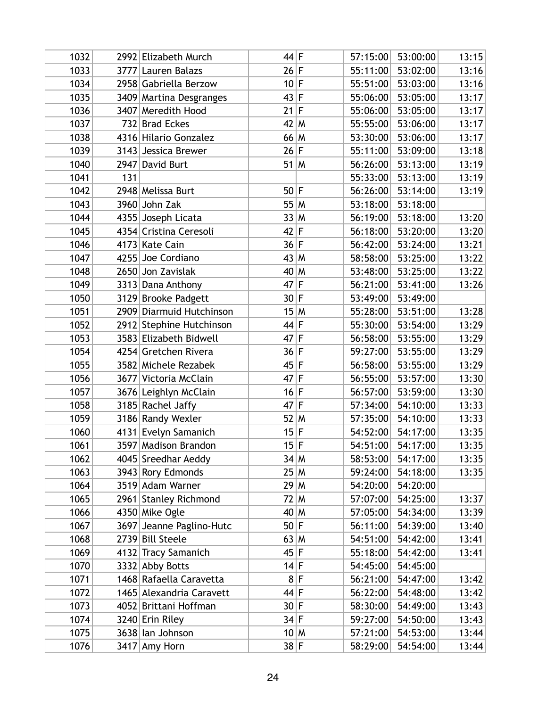| 1032 |      | 2992 Elizabeth Murch     | 44 F   |     | 57:15:00 | 53:00:00 | 13:15 |
|------|------|--------------------------|--------|-----|----------|----------|-------|
| 1033 |      | 3777 Lauren Balazs       | 26 F   |     | 55:11:00 | 53:02:00 | 13:16 |
| 1034 |      | 2958 Gabriella Berzow    | 10 F   |     | 55:51:00 | 53:03:00 | 13:16 |
| 1035 |      | 3409 Martina Desgranges  | 43 F   |     | 55:06:00 | 53:05:00 | 13:17 |
| 1036 |      | 3407 Meredith Hood       | 21 F   |     | 55:06:00 | 53:05:00 | 13:17 |
| 1037 |      | 732 Brad Eckes           | 42 M   |     | 55:55:00 | 53:06:00 | 13:17 |
| 1038 |      | 4316 Hilario Gonzalez    | 66 M   |     | 53:30:00 | 53:06:00 | 13:17 |
| 1039 |      | 3143 Jessica Brewer      | 26 F   |     | 55:11:00 | 53:09:00 | 13:18 |
| 1040 | 2947 | David Burt               | $51$ M |     | 56:26:00 | 53:13:00 | 13:19 |
| 1041 | 131  |                          |        |     | 55:33:00 | 53:13:00 | 13:19 |
| 1042 |      | 2948 Melissa Burt        | $50$ F |     | 56:26:00 | 53:14:00 | 13:19 |
| 1043 |      | 3960 John Zak            | 55 M   |     | 53:18:00 | 53:18:00 |       |
| 1044 |      | 4355 Joseph Licata       | 33 M   |     | 56:19:00 | 53:18:00 | 13:20 |
| 1045 |      | 4354 Cristina Ceresoli   | 42 F   |     | 56:18:00 | 53:20:00 | 13:20 |
| 1046 |      | 4173 Kate Cain           | 36 F   |     | 56:42:00 | 53:24:00 | 13:21 |
| 1047 |      | 4255 Joe Cordiano        | 43 M   |     | 58:58:00 | 53:25:00 | 13:22 |
| 1048 |      | 2650 Jon Zavislak        | 40 M   |     | 53:48:00 | 53:25:00 | 13:22 |
| 1049 |      | 3313 Dana Anthony        | 47     | IF. | 56:21:00 | 53:41:00 | 13:26 |
| 1050 | 3129 | <b>Brooke Padgett</b>    | 30 F   |     | 53:49:00 | 53:49:00 |       |
| 1051 |      | 2909 Diarmuid Hutchinson | 15 M   |     | 55:28:00 | 53:51:00 | 13:28 |
| 1052 |      | 2912 Stephine Hutchinson | 44 F   |     | 55:30:00 | 53:54:00 | 13:29 |
| 1053 |      | 3583 Elizabeth Bidwell   | $47$ F |     | 56:58:00 | 53:55:00 | 13:29 |
| 1054 |      | 4254 Gretchen Rivera     | 36 F   |     | 59:27:00 | 53:55:00 | 13:29 |
| 1055 |      | 3582 Michele Rezabek     | 45 F   |     | 56:58:00 | 53:55:00 | 13:29 |
| 1056 | 3677 | Victoria McClain         | $47$ F |     | 56:55:00 | 53:57:00 | 13:30 |
| 1057 |      | 3676 Leighlyn McClain    | 16 F   |     | 56:57:00 | 53:59:00 | 13:30 |
| 1058 |      | 3185 Rachel Jaffy        | 47     | F   | 57:34:00 | 54:10:00 | 13:33 |
| 1059 |      | 3186 Randy Wexler        | $52$ M |     | 57:35:00 | 54:10:00 | 13:33 |
| 1060 | 4131 | Evelyn Samanich          | 15 F   |     | 54:52:00 | 54:17:00 | 13:35 |
| 1061 |      | 3597 Madison Brandon     | 15 F   |     | 54:51:00 | 54:17:00 | 13:35 |
| 1062 |      | 4045 Sreedhar Aeddy      | 34 M   |     | 58:53:00 | 54:17:00 | 13:35 |
| 1063 |      | 3943 Rory Edmonds        | 25 M   |     | 59:24:00 | 54:18:00 | 13:35 |
| 1064 |      | 3519 Adam Warner         | 29 M   |     | 54:20:00 | 54:20:00 |       |
| 1065 |      | 2961 Stanley Richmond    | 72 M   |     | 57:07:00 | 54:25:00 | 13:37 |
| 1066 |      | 4350 Mike Ogle           | 40 M   |     | 57:05:00 | 54:34:00 | 13:39 |
| 1067 |      | 3697 Jeanne Paglino-Hutc | 50 F   |     | 56:11:00 | 54:39:00 | 13:40 |
| 1068 | 2739 | <b>Bill Steele</b>       | 63 M   |     | 54:51:00 | 54:42:00 | 13:41 |
| 1069 |      | 4132 Tracy Samanich      | 45 F   |     | 55:18:00 | 54:42:00 | 13:41 |
| 1070 |      | 3332 Abby Botts          | 14 F   |     | 54:45:00 | 54:45:00 |       |
| 1071 |      | 1468 Rafaella Caravetta  |        | 8 F | 56:21:00 | 54:47:00 | 13:42 |
| 1072 |      | 1465 Alexandria Caravett | 44 F   |     | 56:22:00 | 54:48:00 | 13:42 |
| 1073 |      | 4052 Brittani Hoffman    | 30 F   |     | 58:30:00 | 54:49:00 | 13:43 |
| 1074 |      | 3240 Erin Riley          | 34 F   |     | 59:27:00 | 54:50:00 | 13:43 |
| 1075 |      | 3638 Ian Johnson         | 10 M   |     | 57:21:00 | 54:53:00 | 13:44 |
| 1076 | 3417 | Amy Horn                 | 38 F   |     | 58:29:00 | 54:54:00 | 13:44 |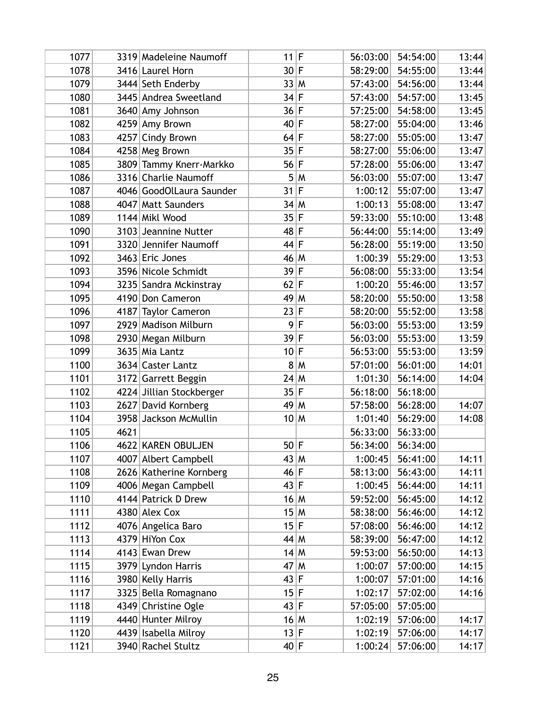| 1077 |      | 3319 Madeleine Naumoff   | $11$ F          |              | 56:03:00 | 54:54:00 | 13:44 |
|------|------|--------------------------|-----------------|--------------|----------|----------|-------|
| 1078 |      | 3416 Laurel Horn         | $30$ F          |              | 58:29:00 | 54:55:00 | 13:44 |
| 1079 |      | 3444 Seth Enderby        | 33 M            |              | 57:43:00 | 54:56:00 | 13:44 |
| 1080 |      | 3445 Andrea Sweetland    | $34$ F          |              | 57:43:00 | 54:57:00 | 13:45 |
| 1081 |      | 3640 Amy Johnson         | 36 F            |              | 57:25:00 | 54:58:00 | 13:45 |
| 1082 |      | 4259 Amy Brown           | $40$ F          |              | 58:27:00 | 55:04:00 | 13:46 |
| 1083 | 4257 | <b>Cindy Brown</b>       | 64 F            |              | 58:27:00 | 55:05:00 | 13:47 |
| 1084 |      | 4258 Meg Brown           | 35 F            |              | 58:27:00 | 55:06:00 | 13:47 |
| 1085 |      | 3809 Tammy Knerr-Markko  | 56 F            |              | 57:28:00 | 55:06:00 | 13:47 |
| 1086 |      | 3316 Charlie Naumoff     | 5               | M            | 56:03:00 | 55:07:00 | 13:47 |
| 1087 |      | 4046 GoodOlLaura Saunder | 31              | F            | 1:00:12  | 55:07:00 | 13:47 |
| 1088 |      | 4047 Matt Saunders       | 34 M            |              | 1:00:13  | 55:08:00 | 13:47 |
| 1089 |      | 1144 Mikl Wood           | 35 F            |              | 59:33:00 | 55:10:00 | 13:48 |
| 1090 |      | 3103 Jeannine Nutter     | $48$ F          |              | 56:44:00 | 55:14:00 | 13:49 |
| 1091 |      | 3320 Jennifer Naumoff    | $44$ F          |              | 56:28:00 | 55:19:00 | 13:50 |
| 1092 |      | 3463 Eric Jones          | 46 M            |              | 1:00:39  | 55:29:00 | 13:53 |
| 1093 |      | 3596 Nicole Schmidt      | 39 F            |              | 56:08:00 | 55:33:00 | 13:54 |
| 1094 |      | 3235 Sandra Mckinstray   | $62$ F          |              | 1:00:20  | 55:46:00 | 13:57 |
| 1095 |      | 4190 Don Cameron         | 49 M            |              | 58:20:00 | 55:50:00 | 13:58 |
| 1096 |      | 4187 Taylor Cameron      | 23 F            |              | 58:20:00 | 55:52:00 | 13:58 |
| 1097 |      | 2929 Madison Milburn     | 9               | F            | 56:03:00 | 55:53:00 | 13:59 |
| 1098 |      | 2930 Megan Milburn       | 39 F            |              | 56:03:00 | 55:53:00 | 13:59 |
| 1099 |      | 3635 Mia Lantz           | 10 <sup>1</sup> | $\mathsf{F}$ | 56:53:00 | 55:53:00 | 13:59 |
| 1100 |      | 3634 Caster Lantz        |                 | 8 M          | 57:01:00 | 56:01:00 | 14:01 |
| 1101 |      | 3172 Garrett Beggin      | 24 M            |              | 1:01:30  | 56:14:00 | 14:04 |
| 1102 |      | 4224 Jillian Stockberger | 35 F            |              | 56:18:00 | 56:18:00 |       |
| 1103 |      | 2627 David Kornberg      | 49 M            |              | 57:58:00 | 56:28:00 | 14:07 |
| 1104 |      | 3958 Jackson McMullin    | 10 M            |              | 1:01:40  | 56:29:00 | 14:08 |
| 1105 | 4621 |                          |                 |              | 56:33:00 | 56:33:00 |       |
| 1106 |      | 4622 KAREN OBULJEN       | $50$ F          |              | 56:34:00 | 56:34:00 |       |
| 1107 |      | 4007 Albert Campbell     | 43 M            |              | 1:00:45  | 56:41:00 | 14:11 |
| 1108 |      | 2626 Katherine Kornberg  | 46 F            |              | 58:13:00 | 56:43:00 | 14:11 |
| 1109 |      | 4006 Megan Campbell      | 43 F            |              | 1:00:45  | 56:44:00 | 14:11 |
| 1110 |      | 4144 Patrick D Drew      | 16 M            |              | 59:52:00 | 56:45:00 | 14:12 |
| 1111 |      | 4380 Alex Cox            | 15 M            |              | 58:38:00 | 56:46:00 | 14:12 |
| 1112 |      | 4076 Angelica Baro       | 15 F            |              | 57:08:00 | 56:46:00 | 14:12 |
| 1113 |      | 4379 HiYon Cox           | 44M             |              | 58:39:00 | 56:47:00 | 14:12 |
| 1114 |      | 4143 Ewan Drew           | 14 M            |              | 59:53:00 | 56:50:00 | 14:13 |
| 1115 |      | 3979 Lyndon Harris       | 47              | M            | 1:00:07  | 57:00:00 | 14:15 |
| 1116 |      | 3980 Kelly Harris        | 43 F            |              | 1:00:07  | 57:01:00 | 14:16 |
| 1117 |      | 3325 Bella Romagnano     | 15 F            |              | 1:02:17  | 57:02:00 | 14:16 |
| 1118 |      | 4349 Christine Ogle      | 43 F            |              | 57:05:00 | 57:05:00 |       |
| 1119 |      | 4440 Hunter Milroy       | 16 M            |              | 1:02:19  | 57:06:00 | 14:17 |
| 1120 |      | 4439 Isabella Milroy     | 13 F            |              | 1:02:19  | 57:06:00 | 14:17 |
| 1121 |      | 3940 Rachel Stultz       | 40 F            |              | 1:00:24  | 57:06:00 | 14:17 |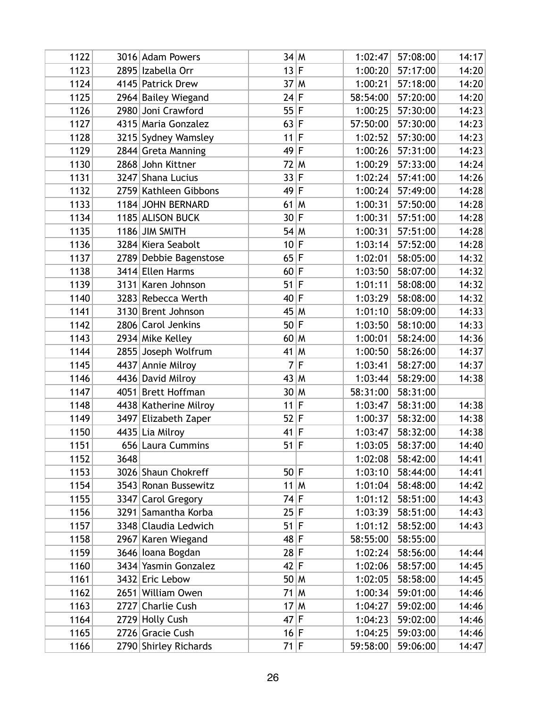| 1122 |      | 3016 Adam Powers       | 34 M   |              | 1:02:47  | 57:08:00 | 14:17 |
|------|------|------------------------|--------|--------------|----------|----------|-------|
| 1123 |      | 2895 Izabella Orr      | 13 F   |              | 1:00:20  | 57:17:00 | 14:20 |
| 1124 |      | 4145 Patrick Drew      | 37     | ۱M           | 1:00:21  | 57:18:00 | 14:20 |
| 1125 |      | 2964 Bailey Wiegand    | $24$ F |              | 58:54:00 | 57:20:00 | 14:20 |
| 1126 |      | 2980 Joni Crawford     | 55 F   |              | 1:00:25  | 57:30:00 | 14:23 |
| 1127 |      | 4315 Maria Gonzalez    | 63 F   |              | 57:50:00 | 57:30:00 | 14:23 |
| 1128 |      | 3215 Sydney Wamsley    | 11     | $\mathsf F$  | 1:02:52  | 57:30:00 | 14:23 |
| 1129 |      | 2844 Greta Manning     | 49     | $\mathsf{F}$ | 1:00:26  | 57:31:00 | 14:23 |
| 1130 |      | 2868 John Kittner      | $72$ M |              | 1:00:29  | 57:33:00 | 14:24 |
| 1131 |      | 3247 Shana Lucius      | 33 F   |              | 1:02:24  | 57:41:00 | 14:26 |
| 1132 |      | 2759 Kathleen Gibbons  | 49     | F            | 1:00:24  | 57:49:00 | 14:28 |
| 1133 |      | 1184 JOHN BERNARD      | $61$ M |              | 1:00:31  | 57:50:00 | 14:28 |
| 1134 |      | 1185 ALISON BUCK       | 30 F   |              | 1:00:31  | 57:51:00 | 14:28 |
| 1135 |      | 1186 JIM SMITH         | 54 M   |              | 1:00:31  | 57:51:00 | 14:28 |
| 1136 |      | 3284 Kiera Seabolt     | 10 F   |              | 1:03:14  | 57:52:00 | 14:28 |
| 1137 |      | 2789 Debbie Bagenstose | 65 F   |              | 1:02:01  | 58:05:00 | 14:32 |
| 1138 |      | 3414 Ellen Harms       | 60 F   |              | 1:03:50  | 58:07:00 | 14:32 |
| 1139 |      | 3131 Karen Johnson     | $51$ F |              | 1:01:11  | 58:08:00 | 14:32 |
| 1140 |      | 3283 Rebecca Werth     | 40 F   |              | 1:03:29  | 58:08:00 | 14:32 |
| 1141 |      | 3130 Brent Johnson     | 45 M   |              | 1:01:10  | 58:09:00 | 14:33 |
| 1142 |      | 2806 Carol Jenkins     | 50 F   |              | 1:03:50  | 58:10:00 | 14:33 |
| 1143 |      | 2934 Mike Kelley       | $60$ M |              | 1:00:01  | 58:24:00 | 14:36 |
| 1144 | 2855 | Joseph Wolfrum         | 41     | M            | 1:00:50  | 58:26:00 | 14:37 |
| 1145 |      | 4437 Annie Milroy      | 7      | $\mathsf{F}$ | 1:03:41  | 58:27:00 | 14:37 |
| 1146 |      | 4436 David Milroy      | 43 M   |              | 1:03:44  | 58:29:00 | 14:38 |
| 1147 |      | 4051 Brett Hoffman     | 30 M   |              | 58:31:00 | 58:31:00 |       |
| 1148 |      | 4438 Katherine Milroy  | 11     | F            | 1:03:47  | 58:31:00 | 14:38 |
| 1149 |      | 3497 Elizabeth Zaper   | $52$ F |              | 1:00:37  | 58:32:00 | 14:38 |
| 1150 |      | 4435 Lia Milroy        | 41     | F            | 1:03:47  | 58:32:00 | 14:38 |
| 1151 |      | 656 Laura Cummins      | $51$ F |              | 1:03:05  | 58:37:00 | 14:40 |
| 1152 | 3648 |                        |        |              | 1:02:08  | 58:42:00 | 14:41 |
| 1153 |      | 3026 Shaun Chokreff    | $50$ F |              | 1:03:10  | 58:44:00 | 14:41 |
| 1154 |      | 3543 Ronan Bussewitz   | $11$ M |              | 1:01:04  | 58:48:00 | 14:42 |
| 1155 |      | 3347 Carol Gregory     | $74$ F |              | 1:01:12  | 58:51:00 | 14:43 |
| 1156 |      | 3291 Samantha Korba    | 25 F   |              | 1:03:39  | 58:51:00 | 14:43 |
| 1157 |      | 3348 Claudia Ledwich   | $51$ F |              | 1:01:12  | 58:52:00 | 14:43 |
| 1158 |      | 2967 Karen Wiegand     | 48 F   |              | 58:55:00 | 58:55:00 |       |
| 1159 |      | 3646 Ioana Bogdan      | 28 F   |              | 1:02:24  | 58:56:00 | 14:44 |
| 1160 |      | 3434 Yasmin Gonzalez   | 42 F   |              | 1:02:06  | 58:57:00 | 14:45 |
| 1161 |      | 3432 Eric Lebow        | 50 M   |              | 1:02:05  | 58:58:00 | 14:45 |
| 1162 | 2651 | William Owen           | $71$ M |              | 1:00:34  | 59:01:00 | 14:46 |
| 1163 |      | 2727 Charlie Cush      | 17     | M            | 1:04:27  | 59:02:00 | 14:46 |
| 1164 |      | 2729 Holly Cush        | 47     | F            | 1:04:23  | 59:02:00 | 14:46 |
| 1165 |      | 2726 Gracie Cush       | 16 F   |              | 1:04:25  | 59:03:00 | 14:46 |
| 1166 |      | 2790 Shirley Richards  | 71 F   |              | 59:58:00 | 59:06:00 | 14:47 |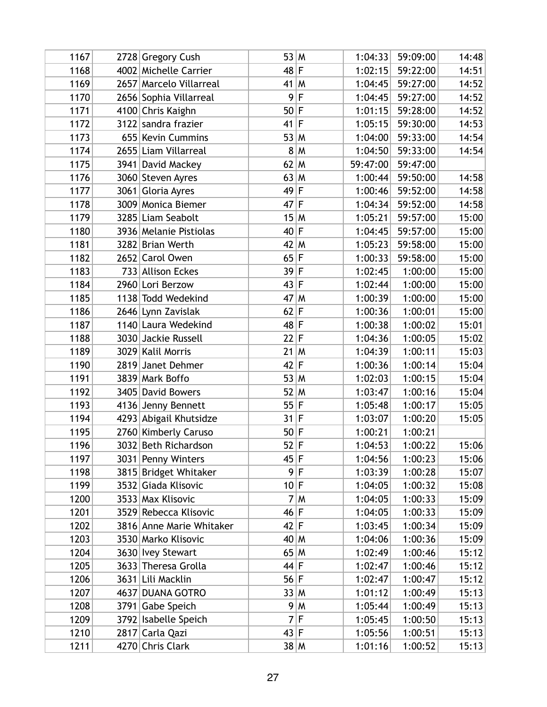| 1167 |      | 2728 Gregory Cush        |        | 53 M         | 1:04:33  | 59:09:00 | 14:48 |
|------|------|--------------------------|--------|--------------|----------|----------|-------|
| 1168 |      | 4002 Michelle Carrier    | $48$ F |              | 1:02:15  | 59:22:00 | 14:51 |
| 1169 |      | 2657 Marcelo Villarreal  | $41$ M |              | 1:04:45  | 59:27:00 | 14:52 |
| 1170 |      | 2656 Sophia Villarreal   | 9      | $\mathsf F$  | 1:04:45  | 59:27:00 | 14:52 |
| 1171 |      | 4100 Chris Kaighn        | 50 F   |              | 1:01:15  | 59:28:00 | 14:52 |
| 1172 |      | 3122 sandra frazier      | 41     | l F          | 1:05:15  | 59:30:00 | 14:53 |
| 1173 |      | 655 Kevin Cummins        | 53 M   |              | 1:04:00  | 59:33:00 | 14:54 |
| 1174 |      | 2655 Liam Villarreal     | 8      | ۱M           | 1:04:50  | 59:33:00 | 14:54 |
| 1175 |      | 3941 David Mackey        | $62$ M |              | 59:47:00 | 59:47:00 |       |
| 1176 |      | 3060 Steven Ayres        | 63 M   |              | 1:00:44  | 59:50:00 | 14:58 |
| 1177 | 3061 | Gloria Ayres             | 49 F   |              | 1:00:46  | 59:52:00 | 14:58 |
| 1178 |      | 3009 Monica Biemer       | $47$ F |              | 1:04:34  | 59:52:00 | 14:58 |
| 1179 |      | 3285 Liam Seabolt        | 15 M   |              | 1:05:21  | 59:57:00 | 15:00 |
| 1180 |      | 3936 Melanie Pistiolas   | $40$ F |              | 1:04:45  | 59:57:00 | 15:00 |
| 1181 |      | 3282 Brian Werth         | 42 M   |              | 1:05:23  | 59:58:00 | 15:00 |
| 1182 |      | 2652 Carol Owen          | 65 F   |              | 1:00:33  | 59:58:00 | 15:00 |
| 1183 |      | 733 Allison Eckes        | 39 F   |              | 1:02:45  | 1:00:00  | 15:00 |
| 1184 |      | 2960 Lori Berzow         | 43 F   |              | 1:02:44  | 1:00:00  | 15:00 |
| 1185 |      | 1138 Todd Wedekind       | 47 M   |              | 1:00:39  | 1:00:00  | 15:00 |
| 1186 |      | 2646 Lynn Zavislak       | $62$ F |              | 1:00:36  | 1:00:01  | 15:00 |
| 1187 |      | 1140 Laura Wedekind      | $48$ F |              | 1:00:38  | 1:00:02  | 15:01 |
| 1188 |      | 3030 Jackie Russell      | 22 F   |              | 1:04:36  | 1:00:05  | 15:02 |
| 1189 |      | 3029 Kalil Morris        | $21$ M |              | 1:04:39  | 1:00:11  | 15:03 |
| 1190 |      | 2819 Janet Dehmer        | 42 F   |              | 1:00:36  | 1:00:14  | 15:04 |
| 1191 |      | 3839 Mark Boffo          | 53 M   |              | 1:02:03  | 1:00:15  | 15:04 |
| 1192 |      | 3405 David Bowers        | $52$ M |              | 1:03:47  | 1:00:16  | 15:04 |
| 1193 |      | 4136 Jenny Bennett       | 55 F   |              | 1:05:48  | 1:00:17  | 15:05 |
| 1194 |      | 4293 Abigail Khutsidze   | $31$ F |              | 1:03:07  | 1:00:20  | 15:05 |
| 1195 |      | 2760 Kimberly Caruso     | 50 F   |              | 1:00:21  | 1:00:21  |       |
| 1196 |      | 3032 Beth Richardson     | $52$ F |              | 1:04:53  | 1:00:22  | 15:06 |
| 1197 |      | 3031 Penny Winters       | 45 F   |              | 1:04:56  | 1:00:23  | 15:06 |
| 1198 |      | 3815 Bridget Whitaker    |        | 9 F          | 1:03:39  | 1:00:28  | 15:07 |
| 1199 |      | 3532 Giada Klisovic      | 10 F   |              | 1:04:05  | 1:00:32  | 15:08 |
| 1200 |      | 3533 Max Klisovic        | 7      | M            | 1:04:05  | 1:00:33  | 15:09 |
| 1201 |      | 3529 Rebecca Klisovic    | 46 F   |              | 1:04:05  | 1:00:33  | 15:09 |
| 1202 |      | 3816 Anne Marie Whitaker | 42 F   |              | 1:03:45  | 1:00:34  | 15:09 |
| 1203 |      | 3530 Marko Klisovic      |        | 40 M         | 1:04:06  | 1:00:36  | 15:09 |
| 1204 |      | 3630 Ivey Stewart        | 65 M   |              | 1:02:49  | 1:00:46  | 15:12 |
| 1205 |      | 3633 Theresa Grolla      | 44 F   |              | 1:02:47  | 1:00:46  | 15:12 |
| 1206 |      | 3631 Lili Macklin        | 56 F   |              | 1:02:47  | 1:00:47  | 15:12 |
| 1207 |      | 4637 DUANA GOTRO         |        | 33 M         | 1:01:12  | 1:00:49  | 15:13 |
| 1208 |      | 3791 Gabe Speich         | 9      | $\mathsf{M}$ | 1:05:44  | 1:00:49  | 15:13 |
| 1209 |      | 3792 Isabelle Speich     |        | 7 F          | 1:05:45  | 1:00:50  | 15:13 |
| 1210 |      | 2817 Carla Qazi          | 43 F   |              | 1:05:56  | 1:00:51  | 15:13 |
| 1211 |      | 4270 Chris Clark         |        | 38 M         | 1:01:16  | 1:00:52  | 15:13 |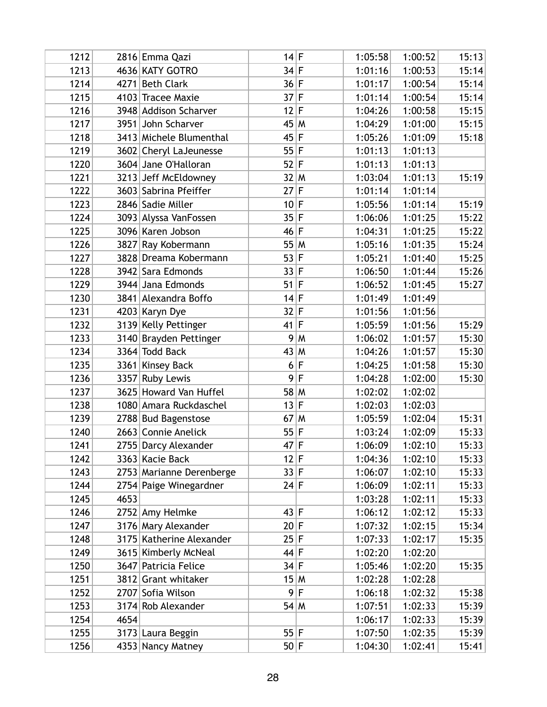| 1212 |      | 2816 Emma Qazi           | 14 F   |     | 1:05:58 | 1:00:52 | 15:13 |
|------|------|--------------------------|--------|-----|---------|---------|-------|
| 1213 |      | 4636 KATY GOTRO          | $34$ F |     | 1:01:16 | 1:00:53 | 15:14 |
| 1214 | 4271 | <b>Beth Clark</b>        | 36 F   |     | 1:01:17 | 1:00:54 | 15:14 |
| 1215 |      | 4103 Tracee Maxie        | $37$ F |     | 1:01:14 | 1:00:54 | 15:14 |
| 1216 |      | 3948 Addison Scharver    | 12 F   |     | 1:04:26 | 1:00:58 | 15:15 |
| 1217 |      | 3951 John Scharver       | 45 M   |     | 1:04:29 | 1:01:00 | 15:15 |
| 1218 |      | 3413 Michele Blumenthal  | 45 F   |     | 1:05:26 | 1:01:09 | 15:18 |
| 1219 |      | 3602 Cheryl LaJeunesse   | 55 F   |     | 1:01:13 | 1:01:13 |       |
| 1220 |      | 3604 Jane O'Halloran     | $52$ F |     | 1:01:13 | 1:01:13 |       |
| 1221 |      | 3213 Jeff McEldowney     | 32 M   |     | 1:03:04 | 1:01:13 | 15:19 |
| 1222 |      | 3603 Sabrina Pfeiffer    | $27$ F |     | 1:01:14 | 1:01:14 |       |
| 1223 |      | 2846 Sadie Miller        | $10$ F |     | 1:05:56 | 1:01:14 | 15:19 |
| 1224 |      | 3093 Alyssa VanFossen    | 35 F   |     | 1:06:06 | 1:01:25 | 15:22 |
| 1225 |      | 3096 Karen Jobson        | 46 F   |     | 1:04:31 | 1:01:25 | 15:22 |
| 1226 | 3827 | Ray Kobermann            | 55 M   |     | 1:05:16 | 1:01:35 | 15:24 |
| 1227 |      | 3828 Dreama Kobermann    | 53 F   |     | 1:05:21 | 1:01:40 | 15:25 |
| 1228 |      | 3942 Sara Edmonds        | 33 F   |     | 1:06:50 | 1:01:44 | 15:26 |
| 1229 |      | 3944 Jana Edmonds        | $51$ F |     | 1:06:52 | 1:01:45 | 15:27 |
| 1230 |      | 3841 Alexandra Boffo     | $14$ F |     | 1:01:49 | 1:01:49 |       |
| 1231 |      | 4203 Karyn Dye           | 32 F   |     | 1:01:56 | 1:01:56 |       |
| 1232 |      | 3139 Kelly Pettinger     | $41$ F |     | 1:05:59 | 1:01:56 | 15:29 |
| 1233 |      | 3140 Brayden Pettinger   | 9      | ۱M  | 1:06:02 | 1:01:57 | 15:30 |
| 1234 |      | 3364 Todd Back           | 43 M   |     | 1:04:26 | 1:01:57 | 15:30 |
| 1235 |      | 3361 Kinsey Back         |        | 6 F | 1:04:25 | 1:01:58 | 15:30 |
| 1236 |      | 3357 Ruby Lewis          | 9      | lF. | 1:04:28 | 1:02:00 | 15:30 |
| 1237 |      | 3625 Howard Van Huffel   | 58 M   |     | 1:02:02 | 1:02:02 |       |
| 1238 |      | 1080 Amara Ruckdaschel   | 13 F   |     | 1:02:03 | 1:02:03 |       |
| 1239 |      | 2788 Bud Bagenstose      | $67$ M |     | 1:05:59 | 1:02:04 | 15:31 |
| 1240 |      | 2663 Connie Anelick      | 55 F   |     | 1:03:24 | 1:02:09 | 15:33 |
| 1241 |      | 2755 Darcy Alexander     | $47$ F |     | 1:06:09 | 1:02:10 | 15:33 |
| 1242 |      | 3363 Kacie Back          | 12 F   |     | 1:04:36 | 1:02:10 | 15:33 |
| 1243 |      | 2753 Marianne Derenberge | 33 F   |     | 1:06:07 | 1:02:10 | 15:33 |
| 1244 |      | 2754 Paige Winegardner   | 24 F   |     | 1:06:09 | 1:02:11 | 15:33 |
| 1245 | 4653 |                          |        |     | 1:03:28 | 1:02:11 | 15:33 |
| 1246 |      | 2752 Amy Helmke          | 43 F   |     | 1:06:12 | 1:02:12 | 15:33 |
| 1247 |      | 3176 Mary Alexander      | 20 F   |     | 1:07:32 | 1:02:15 | 15:34 |
| 1248 |      | 3175 Katherine Alexander | 25 F   |     | 1:07:33 | 1:02:17 | 15:35 |
| 1249 |      | 3615 Kimberly McNeal     | 44 F   |     | 1:02:20 | 1:02:20 |       |
| 1250 |      | 3647 Patricia Felice     | $34$ F |     | 1:05:46 | 1:02:20 | 15:35 |
| 1251 |      | 3812 Grant whitaker      | 15 M   |     | 1:02:28 | 1:02:28 |       |
| 1252 | 2707 | Sofia Wilson             | 9      | F   | 1:06:18 | 1:02:32 | 15:38 |
| 1253 |      | 3174 Rob Alexander       | 54 M   |     | 1:07:51 | 1:02:33 | 15:39 |
| 1254 | 4654 |                          |        |     | 1:06:17 | 1:02:33 | 15:39 |
| 1255 |      | 3173 Laura Beggin        | 55 F   |     | 1:07:50 | 1:02:35 | 15:39 |
| 1256 |      | 4353 Nancy Matney        | 50 F   |     | 1:04:30 | 1:02:41 | 15:41 |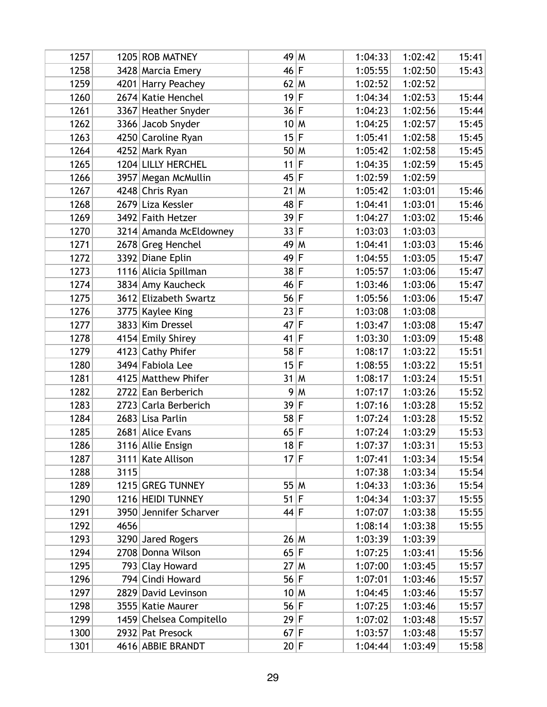| 1257 |      | 1205 ROB MATNEY         | 49 M   |      | 1:04:33 | 1:02:42 | 15:41 |
|------|------|-------------------------|--------|------|---------|---------|-------|
| 1258 |      | 3428 Marcia Emery       | 46 F   |      | 1:05:55 | 1:02:50 | 15:43 |
| 1259 |      | 4201 Harry Peachey      | $62$ M |      | 1:02:52 | 1:02:52 |       |
| 1260 |      | 2674 Katie Henchel      | $19$ F |      | 1:04:34 | 1:02:53 | 15:44 |
| 1261 |      | 3367 Heather Snyder     | 36 F   |      | 1:04:23 | 1:02:56 | 15:44 |
| 1262 |      | 3366 Jacob Snyder       | 10 M   |      | 1:04:25 | 1:02:57 | 15:45 |
| 1263 |      | 4250 Caroline Ryan      | 15 F   |      | 1:05:41 | 1:02:58 | 15:45 |
| 1264 |      | 4252 Mark Ryan          | 50 M   |      | 1:05:42 | 1:02:58 | 15:45 |
| 1265 |      | 1204 LILLY HERCHEL      | 11     | F    | 1:04:35 | 1:02:59 | 15:45 |
| 1266 |      | 3957 Megan McMullin     | 45 F   |      | 1:02:59 | 1:02:59 |       |
| 1267 |      | 4248 Chris Ryan         | $21$ M |      | 1:05:42 | 1:03:01 | 15:46 |
| 1268 |      | 2679 Liza Kessler       | $48$ F |      | 1:04:41 | 1:03:01 | 15:46 |
| 1269 |      | 3492 Faith Hetzer       | 39 F   |      | 1:04:27 | 1:03:02 | 15:46 |
| 1270 |      | 3214 Amanda McEldowney  | 33 F   |      | 1:03:03 | 1:03:03 |       |
| 1271 |      | 2678 Greg Henchel       | 49 M   |      | 1:04:41 | 1:03:03 | 15:46 |
| 1272 |      | 3392 Diane Eplin        | 49 F   |      | 1:04:55 | 1:03:05 | 15:47 |
| 1273 |      | 1116 Alicia Spillman    | 38 F   |      | 1:05:57 | 1:03:06 | 15:47 |
| 1274 |      | 3834 Amy Kaucheck       | 46 F   |      | 1:03:46 | 1:03:06 | 15:47 |
| 1275 |      | 3612 Elizabeth Swartz   | 56 F   |      | 1:05:56 | 1:03:06 | 15:47 |
| 1276 |      | 3775 Kaylee King        | 23 F   |      | 1:03:08 | 1:03:08 |       |
| 1277 |      | 3833 Kim Dressel        | 47     | F    | 1:03:47 | 1:03:08 | 15:47 |
| 1278 |      | 4154 Emily Shirey       | $41$ F |      | 1:03:30 | 1:03:09 | 15:48 |
| 1279 |      | 4123 Cathy Phifer       | $58$ F |      | 1:08:17 | 1:03:22 | 15:51 |
| 1280 |      | 3494 Fabiola Lee        | 15 F   |      | 1:08:55 | 1:03:22 | 15:51 |
| 1281 |      | 4125 Matthew Phifer     | $31$ M |      | 1:08:17 | 1:03:24 | 15:51 |
| 1282 |      | 2722 Ean Berberich      | 9      | M    | 1:07:17 | 1:03:26 | 15:52 |
| 1283 |      | 2723 Carla Berberich    | 39 F   |      | 1:07:16 | 1:03:28 | 15:52 |
| 1284 |      | 2683 Lisa Parlin        | $58$ F |      | 1:07:24 | 1:03:28 | 15:52 |
| 1285 |      | 2681 Alice Evans        | 65 F   |      | 1:07:24 | 1:03:29 | 15:53 |
| 1286 |      | 3116 Allie Ensign       | $18$ F |      | 1:07:37 | 1:03:31 | 15:53 |
| 1287 |      | 3111 Kate Allison       | $17$ F |      | 1:07:41 | 1:03:34 | 15:54 |
| 1288 | 3115 |                         |        |      | 1:07:38 | 1:03:34 | 15:54 |
| 1289 |      | 1215 GREG TUNNEY        | 55 M   |      | 1:04:33 | 1:03:36 | 15:54 |
| 1290 |      | 1216 HEIDI TUNNEY       | $51$ F |      | 1:04:34 | 1:03:37 | 15:55 |
| 1291 |      | 3950 Jennifer Scharver  | 44 F   |      | 1:07:07 | 1:03:38 | 15:55 |
| 1292 | 4656 |                         |        |      | 1:08:14 | 1:03:38 | 15:55 |
| 1293 |      | 3290 Jared Rogers       | 26 M   |      | 1:03:39 | 1:03:39 |       |
| 1294 |      | 2708 Donna Wilson       | 65 F   |      | 1:07:25 | 1:03:41 | 15:56 |
| 1295 |      | 793 Clay Howard         | 27 M   |      | 1:07:00 | 1:03:45 | 15:57 |
| 1296 |      | 794 Cindi Howard        | 56 F   |      | 1:07:01 | 1:03:46 | 15:57 |
| 1297 |      | 2829 David Levinson     |        | 10 M | 1:04:45 | 1:03:46 | 15:57 |
| 1298 |      | 3555 Katie Maurer       | 56 F   |      | 1:07:25 | 1:03:46 | 15:57 |
| 1299 |      | 1459 Chelsea Compitello | 29 F   |      | 1:07:02 | 1:03:48 | 15:57 |
| 1300 |      | 2932 Pat Presock        | $67$ F |      | 1:03:57 | 1:03:48 | 15:57 |
| 1301 |      | 4616 ABBIE BRANDT       | 20 F   |      | 1:04:44 | 1:03:49 | 15:58 |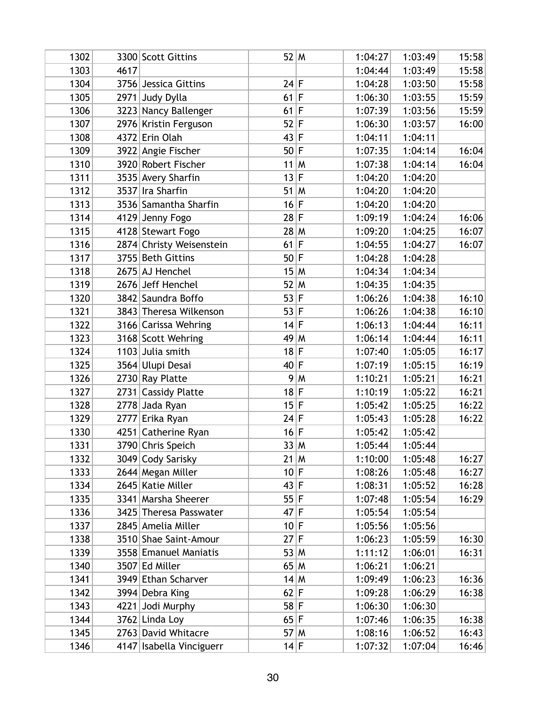| 1302 |      | 3300 Scott Gittins       | $52$ M |                         | 1:04:27 | 1:03:49 | 15:58 |
|------|------|--------------------------|--------|-------------------------|---------|---------|-------|
| 1303 | 4617 |                          |        |                         | 1:04:44 | 1:03:49 | 15:58 |
| 1304 |      | 3756 Jessica Gittins     | 24 F   |                         | 1:04:28 | 1:03:50 | 15:58 |
| 1305 |      | 2971 Judy Dylla          | $61$ F |                         | 1:06:30 | 1:03:55 | 15:59 |
| 1306 |      | 3223 Nancy Ballenger     | $61$ F |                         | 1:07:39 | 1:03:56 | 15:59 |
| 1307 |      | 2976 Kristin Ferguson    | $52$ F |                         | 1:06:30 | 1:03:57 | 16:00 |
| 1308 |      | 4372 Erin Olah           | 43 F   |                         | 1:04:11 | 1:04:11 |       |
| 1309 |      | 3922 Angie Fischer       | $50$ F |                         | 1:07:35 | 1:04:14 | 16:04 |
| 1310 |      | 3920 Robert Fischer      | $11$ M |                         | 1:07:38 | 1:04:14 | 16:04 |
| 1311 |      | 3535 Avery Sharfin       | 13 F   |                         | 1:04:20 | 1:04:20 |       |
| 1312 |      | 3537 Ira Sharfin         | $51$ M |                         | 1:04:20 | 1:04:20 |       |
| 1313 |      | 3536 Samantha Sharfin    | 16 F   |                         | 1:04:20 | 1:04:20 |       |
| 1314 |      | 4129 Jenny Fogo          | 28 F   |                         | 1:09:19 | 1:04:24 | 16:06 |
| 1315 |      | 4128 Stewart Fogo        | 28 M   |                         | 1:09:20 | 1:04:25 | 16:07 |
| 1316 |      | 2874 Christy Weisenstein | $61$ F |                         | 1:04:55 | 1:04:27 | 16:07 |
| 1317 |      | 3755 Beth Gittins        | $50$ F |                         | 1:04:28 | 1:04:28 |       |
| 1318 |      | 2675 AJ Henchel          | 15 M   |                         | 1:04:34 | 1:04:34 |       |
| 1319 |      | 2676 Jeff Henchel        | $52$ M |                         | 1:04:35 | 1:04:35 |       |
| 1320 |      | 3842 Saundra Boffo       | 53 F   |                         | 1:06:26 | 1:04:38 | 16:10 |
| 1321 |      | 3843 Theresa Wilkenson   | 53 F   |                         | 1:06:26 | 1:04:38 | 16:10 |
| 1322 |      | 3166 Carissa Wehring     | 14 F   |                         | 1:06:13 | 1:04:44 | 16:11 |
| 1323 |      | 3168 Scott Wehring       | 49 M   |                         | 1:06:14 | 1:04:44 | 16:11 |
| 1324 |      | 1103 Julia smith         | $18$ F |                         | 1:07:40 | 1:05:05 | 16:17 |
| 1325 |      | 3564 Ulupi Desai         | $40$ F |                         | 1:07:19 | 1:05:15 | 16:19 |
| 1326 |      | 2730 Ray Platte          | 9      | $\overline{\mathsf{M}}$ | 1:10:21 | 1:05:21 | 16:21 |
| 1327 |      | 2731 Cassidy Platte      | $18$ F |                         | 1:10:19 | 1:05:22 | 16:21 |
| 1328 |      | 2778 Jada Ryan           | 15 F   |                         | 1:05:42 | 1:05:25 | 16:22 |
| 1329 |      | 2777 Erika Ryan          | 24 F   |                         | 1:05:43 | 1:05:28 | 16:22 |
| 1330 |      | 4251 Catherine Ryan      | 16 F   |                         | 1:05:42 | 1:05:42 |       |
| 1331 |      | 3790 Chris Speich        | 33 M   |                         | 1:05:44 | 1:05:44 |       |
| 1332 |      | 3049 Cody Sarisky        | $21$ M |                         | 1:10:00 | 1:05:48 | 16:27 |
| 1333 |      | 2644 Megan Miller        | $10$ F |                         | 1:08:26 | 1:05:48 | 16:27 |
| 1334 |      | 2645 Katie Miller        | 43 F   |                         | 1:08:31 | 1:05:52 | 16:28 |
| 1335 |      | 3341 Marsha Sheerer      | 55 F   |                         | 1:07:48 | 1:05:54 | 16:29 |
| 1336 |      | 3425 Theresa Passwater   | $47$ F |                         | 1:05:54 | 1:05:54 |       |
| 1337 |      | 2845 Amelia Miller       | $10$ F |                         | 1:05:56 | 1:05:56 |       |
| 1338 |      | 3510 Shae Saint-Amour    | 27     | F                       | 1:06:23 | 1:05:59 | 16:30 |
| 1339 |      | 3558 Emanuel Maniatis    | 53 M   |                         | 1:11:12 | 1:06:01 | 16:31 |
| 1340 |      | 3507 Ed Miller           | 65 M   |                         | 1:06:21 | 1:06:21 |       |
| 1341 |      | 3949 Ethan Scharver      | 14 M   |                         | 1:09:49 | 1:06:23 | 16:36 |
| 1342 |      | 3994 Debra King          | 62 F   |                         | 1:09:28 | 1:06:29 | 16:38 |
| 1343 |      | 4221 Jodi Murphy         | $58$ F |                         | 1:06:30 | 1:06:30 |       |
| 1344 |      | 3762 Linda Loy           | 65 F   |                         | 1:07:46 | 1:06:35 | 16:38 |
| 1345 |      | 2763 David Whitacre      | $57$ M |                         | 1:08:16 | 1:06:52 | 16:43 |
| 1346 |      | 4147 Isabella Vinciguerr | 14 F   |                         | 1:07:32 | 1:07:04 | 16:46 |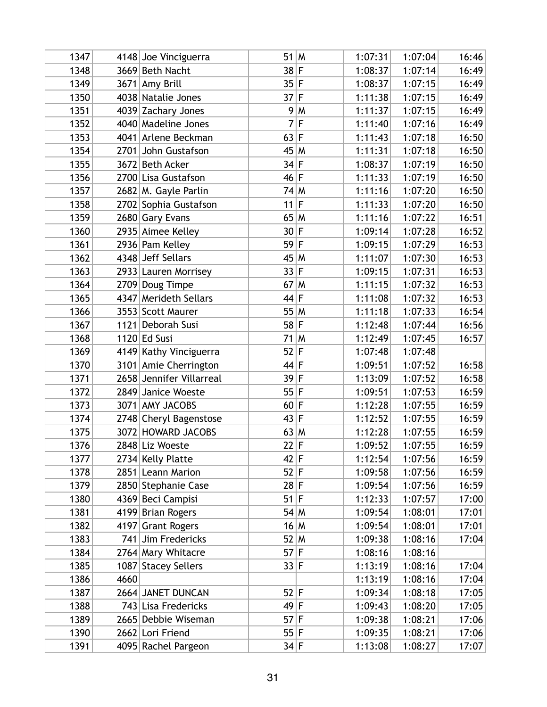| 1347 |      | 4148 Joe Vinciguerra     | $51$ M |             | 1:07:31 | 1:07:04 | 16:46 |
|------|------|--------------------------|--------|-------------|---------|---------|-------|
| 1348 |      | 3669 Beth Nacht          | $38$ F |             | 1:08:37 | 1:07:14 | 16:49 |
| 1349 |      | 3671 Amy Brill           | 35 F   |             | 1:08:37 | 1:07:15 | 16:49 |
| 1350 |      | 4038 Natalie Jones       | $37$ F |             | 1:11:38 | 1:07:15 | 16:49 |
| 1351 |      | 4039 Zachary Jones       | 9      | ۱M          | 1:11:37 | 1:07:15 | 16:49 |
| 1352 |      | 4040 Madeline Jones      | 7      | $\mathsf F$ | 1:11:40 | 1:07:16 | 16:49 |
| 1353 |      | 4041 Arlene Beckman      | 63 F   |             | 1:11:43 | 1:07:18 | 16:50 |
| 1354 |      | 2701 John Gustafson      | 45 M   |             | 1:11:31 | 1:07:18 | 16:50 |
| 1355 |      | 3672 Beth Acker          | $34$ F |             | 1:08:37 | 1:07:19 | 16:50 |
| 1356 |      | 2700 Lisa Gustafson      | 46 F   |             | 1:11:33 | 1:07:19 | 16:50 |
| 1357 |      | 2682 M. Gayle Parlin     | 74 M   |             | 1:11:16 | 1:07:20 | 16:50 |
| 1358 |      | 2702 Sophia Gustafson    | $11$ F |             | 1:11:33 | 1:07:20 | 16:50 |
| 1359 |      | 2680 Gary Evans          | 65 M   |             | 1:11:16 | 1:07:22 | 16:51 |
| 1360 |      | 2935 Aimee Kelley        | $30$ F |             | 1:09:14 | 1:07:28 | 16:52 |
| 1361 |      | 2936 Pam Kelley          | $59$ F |             | 1:09:15 | 1:07:29 | 16:53 |
| 1362 |      | 4348 Jeff Sellars        | 45 M   |             | 1:11:07 | 1:07:30 | 16:53 |
| 1363 |      | 2933 Lauren Morrisey     | 33 F   |             | 1:09:15 | 1:07:31 | 16:53 |
| 1364 |      | 2709 Doug Timpe          | $67$ M |             | 1:11:15 | 1:07:32 | 16:53 |
| 1365 |      | 4347 Merideth Sellars    | 44 F   |             | 1:11:08 | 1:07:32 | 16:53 |
| 1366 |      | 3553 Scott Maurer        | 55 M   |             | 1:11:18 | 1:07:33 | 16:54 |
| 1367 |      | 1121 Deborah Susi        | $58$ F |             | 1:12:48 | 1:07:44 | 16:56 |
| 1368 |      | $1120$ Ed Susi           | $71$ M |             | 1:12:49 | 1:07:45 | 16:57 |
| 1369 |      | 4149 Kathy Vinciguerra   | $52$ F |             | 1:07:48 | 1:07:48 |       |
| 1370 |      | 3101 Amie Cherrington    | $44$ F |             | 1:09:51 | 1:07:52 | 16:58 |
| 1371 |      | 2658 Jennifer Villarreal | 39 F   |             | 1:13:09 | 1:07:52 | 16:58 |
| 1372 |      | 2849 Janice Woeste       | 55 F   |             | 1:09:51 | 1:07:53 | 16:59 |
| 1373 |      | 3071 AMY JACOBS          | 60 F   |             | 1:12:28 | 1:07:55 | 16:59 |
| 1374 |      | 2748 Cheryl Bagenstose   | 43 F   |             | 1:12:52 | 1:07:55 | 16:59 |
| 1375 |      | 3072 HOWARD JACOBS       | 63 M   |             | 1:12:28 | 1:07:55 | 16:59 |
| 1376 |      | 2848 Liz Woeste          | 22 F   |             | 1:09:52 | 1:07:55 | 16:59 |
| 1377 |      | 2734 Kelly Platte        | 42 F   |             | 1:12:54 | 1:07:56 | 16:59 |
| 1378 |      | 2851 Leann Marion        | 52 F   |             | 1:09:58 | 1:07:56 | 16:59 |
| 1379 |      | 2850 Stephanie Case      | 28 F   |             | 1:09:54 | 1:07:56 | 16:59 |
| 1380 |      | 4369 Beci Campisi        | $51$ F |             | 1:12:33 | 1:07:57 | 17:00 |
| 1381 |      | 4199 Brian Rogers        | 54 M   |             | 1:09:54 | 1:08:01 | 17:01 |
| 1382 |      | 4197 Grant Rogers        |        | 16 M        | 1:09:54 | 1:08:01 | 17:01 |
| 1383 | 741  | Jim Fredericks           |        | $52$ M      | 1:09:38 | 1:08:16 | 17:04 |
| 1384 |      | 2764 Mary Whitacre       | $57$ F |             | 1:08:16 | 1:08:16 |       |
| 1385 |      | 1087 Stacey Sellers      | 33 F   |             | 1:13:19 | 1:08:16 | 17:04 |
| 1386 | 4660 |                          |        |             | 1:13:19 | 1:08:16 | 17:04 |
| 1387 |      | 2664 JANET DUNCAN        | 52 F   |             | 1:09:34 | 1:08:18 | 17:05 |
| 1388 |      | 743 Lisa Fredericks      | 49 F   |             | 1:09:43 | 1:08:20 | 17:05 |
| 1389 |      | 2665 Debbie Wiseman      | $57$ F |             | 1:09:38 | 1:08:21 | 17:06 |
| 1390 |      | 2662 Lori Friend         | 55 F   |             | 1:09:35 | 1:08:21 | 17:06 |
| 1391 |      | 4095 Rachel Pargeon      | 34 F   |             | 1:13:08 | 1:08:27 | 17:07 |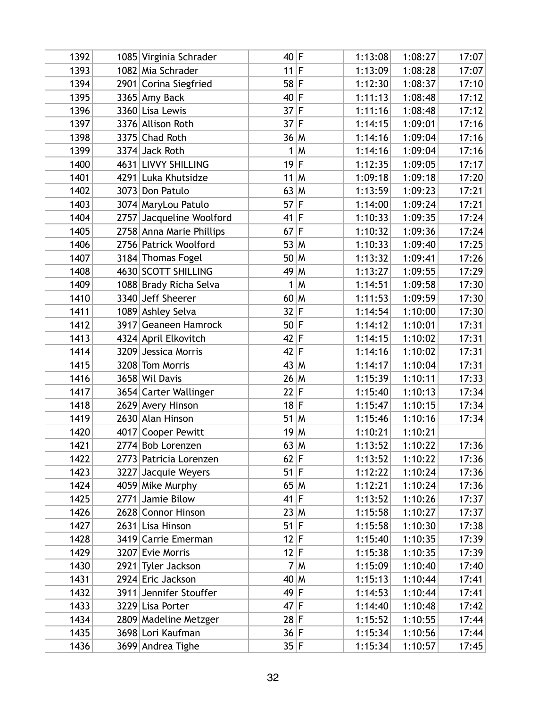| 1392 |      | 1085 Virginia Schrader   | 40 F   |                      | 1:13:08 | 1:08:27 | 17:07 |
|------|------|--------------------------|--------|----------------------|---------|---------|-------|
| 1393 |      | 1082 Mia Schrader        | $11$ F |                      | 1:13:09 | 1:08:28 | 17:07 |
| 1394 |      | 2901 Corina Siegfried    | $58$ F |                      | 1:12:30 | 1:08:37 | 17:10 |
| 1395 |      | 3365 Amy Back            | $40$ F |                      | 1:11:13 | 1:08:48 | 17:12 |
| 1396 |      | 3360 Lisa Lewis          | $37$ F |                      | 1:11:16 | 1:08:48 | 17:12 |
| 1397 |      | 3376 Allison Roth        | 37     | $(\hat{\mathsf{F}})$ | 1:14:15 | 1:09:01 | 17:16 |
| 1398 |      | 3375 Chad Roth           | 36 M   |                      | 1:14:16 | 1:09:04 | 17:16 |
| 1399 |      | 3374 Jack Roth           | 1      | M                    | 1:14:16 | 1:09:04 | 17:16 |
| 1400 |      | 4631 LIVVY SHILLING      | 19     | lF.                  | 1:12:35 | 1:09:05 | 17:17 |
| 1401 |      | 4291 Luka Khutsidze      | 11     | ۱M                   | 1:09:18 | 1:09:18 | 17:20 |
| 1402 | 3073 | Don Patulo               | 63 M   |                      | 1:13:59 | 1:09:23 | 17:21 |
| 1403 |      | 3074 MaryLou Patulo      | 57     | lF.                  | 1:14:00 | 1:09:24 | 17:21 |
| 1404 | 2757 | Jacqueline Woolford      | $41$ F |                      | 1:10:33 | 1:09:35 | 17:24 |
| 1405 |      | 2758 Anna Marie Phillips | 67     | $(\hat{\mathsf{F}})$ | 1:10:32 | 1:09:36 | 17:24 |
| 1406 |      | 2756 Patrick Woolford    | 53 M   |                      | 1:10:33 | 1:09:40 | 17:25 |
| 1407 |      | 3184 Thomas Fogel        | 50 M   |                      | 1:13:32 | 1:09:41 | 17:26 |
| 1408 |      | 4630 SCOTT SHILLING      | 49 M   |                      | 1:13:27 | 1:09:55 | 17:29 |
| 1409 |      | 1088 Brady Richa Selva   | 1      | M                    | 1:14:51 | 1:09:58 | 17:30 |
| 1410 |      | 3340 Jeff Sheerer        | 60 M   |                      | 1:11:53 | 1:09:59 | 17:30 |
| 1411 |      | 1089 Ashley Selva        | 32 F   |                      | 1:14:54 | 1:10:00 | 17:30 |
| 1412 |      | 3917 Geaneen Hamrock     | 50 F   |                      | 1:14:12 | 1:10:01 | 17:31 |
| 1413 |      | 4324 April Elkovitch     | 42 F   |                      | 1:14:15 | 1:10:02 | 17:31 |
| 1414 |      | 3209 Jessica Morris      | 42 F   |                      | 1:14:16 | 1:10:02 | 17:31 |
| 1415 |      | 3208 Tom Morris          | 43 M   |                      | 1:14:17 | 1:10:04 | 17:31 |
| 1416 |      | 3658 Wil Davis           | 26 M   |                      | 1:15:39 | 1:10:11 | 17:33 |
| 1417 |      | 3654 Carter Wallinger    | 22 F   |                      | 1:15:40 | 1:10:13 | 17:34 |
| 1418 |      | 2629 Avery Hinson        | $18$ F |                      | 1:15:47 | 1:10:15 | 17:34 |
| 1419 |      | 2630 Alan Hinson         | $51$ M |                      | 1:15:46 | 1:10:16 | 17:34 |
| 1420 |      | 4017 Cooper Pewitt       | 19     | $\mathsf{M}$         | 1:10:21 | 1:10:21 |       |
| 1421 |      | 2774 Bob Lorenzen        | 63 M   |                      | 1:13:52 | 1:10:22 | 17:36 |
| 1422 |      | 2773 Patricia Lorenzen   | 62 F   |                      | 1:13:52 | 1:10:22 | 17:36 |
| 1423 | 3227 | Jacquie Weyers           | $51$ F |                      | 1:12:22 | 1:10:24 | 17:36 |
| 1424 |      | 4059 Mike Murphy         | 65 M   |                      | 1:12:21 | 1:10:24 | 17:36 |
| 1425 |      | 2771 Jamie Bilow         | $41$ F |                      | 1:13:52 | 1:10:26 | 17:37 |
| 1426 |      | 2628 Connor Hinson       | 23 M   |                      | 1:15:58 | 1:10:27 | 17:37 |
| 1427 |      | 2631 Lisa Hinson         | $51$ F |                      | 1:15:58 | 1:10:30 | 17:38 |
| 1428 |      | 3419 Carrie Emerman      | 12 F   |                      | 1:15:40 | 1:10:35 | 17:39 |
| 1429 |      | 3207 Evie Morris         | 12 F   |                      | 1:15:38 | 1:10:35 | 17:39 |
| 1430 |      | 2921 Tyler Jackson       |        | 7 M                  | 1:15:09 | 1:10:40 | 17:40 |
| 1431 |      | 2924 Eric Jackson        | 40 M   |                      | 1:15:13 | 1:10:44 | 17:41 |
| 1432 | 3911 | Jennifer Stouffer        | 49 F   |                      | 1:14:53 | 1:10:44 | 17:41 |
| 1433 |      | 3229 Lisa Porter         | $47$ F |                      | 1:14:40 | 1:10:48 | 17:42 |
| 1434 |      | 2809 Madeline Metzger    | 28 F   |                      | 1:15:52 | 1:10:55 | 17:44 |
| 1435 |      | 3698 Lori Kaufman        | 36 F   |                      | 1:15:34 | 1:10:56 | 17:44 |
| 1436 |      | 3699 Andrea Tighe        | 35 F   |                      | 1:15:34 | 1:10:57 | 17:45 |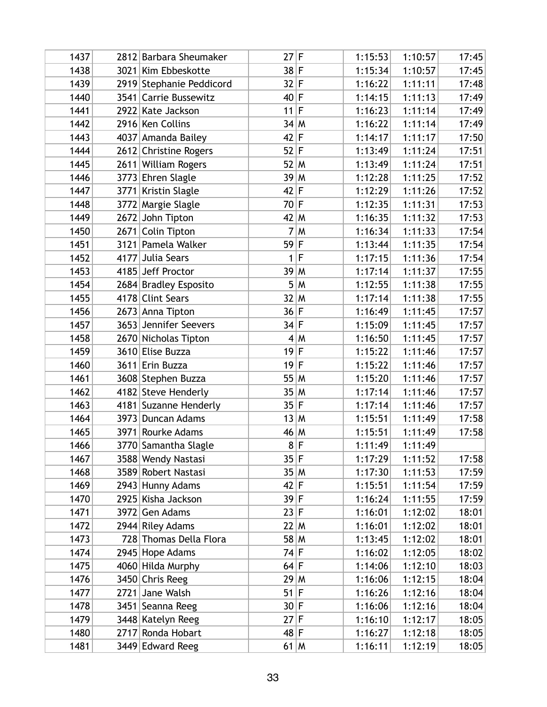| 1437 |      | 2812 Barbara Sheumaker   | 27     | F            | 1:15:53 | 1:10:57 | 17:45 |
|------|------|--------------------------|--------|--------------|---------|---------|-------|
| 1438 |      | 3021 Kim Ebbeskotte      | $38$ F |              | 1:15:34 | 1:10:57 | 17:45 |
| 1439 |      | 2919 Stephanie Peddicord | 32 F   |              | 1:16:22 | 1:11:11 | 17:48 |
| 1440 |      | 3541 Carrie Bussewitz    | $40$ F |              | 1:14:15 | 1:11:13 | 17:49 |
| 1441 |      | 2922 Kate Jackson        | $11$ F |              | 1:16:23 | 1:11:14 | 17:49 |
| 1442 |      | 2916 Ken Collins         | 34 M   |              | 1:16:22 | 1:11:14 | 17:49 |
| 1443 | 4037 | Amanda Bailey            | 42 F   |              | 1:14:17 | 1:11:17 | 17:50 |
| 1444 |      | 2612 Christine Rogers    | $52$ F |              | 1:13:49 | 1:11:24 | 17:51 |
| 1445 |      | 2611 William Rogers      | $52$ M |              | 1:13:49 | 1:11:24 | 17:51 |
| 1446 |      | 3773 Ehren Slagle        | 39 M   |              | 1:12:28 | 1:11:25 | 17:52 |
| 1447 | 3771 | Kristin Slagle           | 42 F   |              | 1:12:29 | 1:11:26 | 17:52 |
| 1448 |      | 3772 Margie Slagle       | $70$ F |              | 1:12:35 | 1:11:31 | 17:53 |
| 1449 |      | 2672 John Tipton         | 42 M   |              | 1:16:35 | 1:11:32 | 17:53 |
| 1450 |      | 2671 Colin Tipton        | 7      | M            | 1:16:34 | 1:11:33 | 17:54 |
| 1451 |      | 3121 Pamela Walker       | 59     | IF.          | 1:13:44 | 1:11:35 | 17:54 |
| 1452 |      | 4177 Julia Sears         | 1      | $\mathsf{F}$ | 1:17:15 | 1:11:36 | 17:54 |
| 1453 |      | 4185 Jeff Proctor        | 39     | $\mathsf{M}$ | 1:17:14 | 1:11:37 | 17:55 |
| 1454 |      | 2684 Bradley Esposito    | 5      | M            | 1:12:55 | 1:11:38 | 17:55 |
| 1455 |      | 4178 Clint Sears         | 32 M   |              | 1:17:14 | 1:11:38 | 17:55 |
| 1456 |      | 2673 Anna Tipton         | 36 F   |              | 1:16:49 | 1:11:45 | 17:57 |
| 1457 |      | 3653 Jennifer Seevers    | 34 F   |              | 1:15:09 | 1:11:45 | 17:57 |
| 1458 |      | 2670 Nicholas Tipton     |        | 4 M          | 1:16:50 | 1:11:45 | 17:57 |
| 1459 |      | 3610 Elise Buzza         | 19     | IF.          | 1:15:22 | 1:11:46 | 17:57 |
| 1460 |      | 3611 Erin Buzza          | $19$ F |              | 1:15:22 | 1:11:46 | 17:57 |
| 1461 |      | 3608 Stephen Buzza       | 55 M   |              | 1:15:20 | 1:11:46 | 17:57 |
| 1462 |      | 4182 Steve Henderly      | 35 M   |              | 1:17:14 | 1:11:46 | 17:57 |
| 1463 |      | 4181 Suzanne Henderly    | 35 F   |              | 1:17:14 | 1:11:46 | 17:57 |
| 1464 |      | 3973 Duncan Adams        | 13 M   |              | 1:15:51 | 1:11:49 | 17:58 |
| 1465 |      | 3971 Rourke Adams        | 46 M   |              | 1:15:51 | 1:11:49 | 17:58 |
| 1466 |      | 3770 Samantha Slagle     |        | 8 F          | 1:11:49 | 1:11:49 |       |
| 1467 |      | 3588 Wendy Nastasi       | 35 F   |              | 1:17:29 | 1:11:52 | 17:58 |
| 1468 |      | 3589 Robert Nastasi      | 35 M   |              | 1:17:30 | 1:11:53 | 17:59 |
| 1469 |      | 2943 Hunny Adams         | 42 F   |              | 1:15:51 | 1:11:54 | 17:59 |
| 1470 |      | 2925 Kisha Jackson       | 39 F   |              | 1:16:24 | 1:11:55 | 17:59 |
| 1471 |      | 3972 Gen Adams           | 23 F   |              | 1:16:01 | 1:12:02 | 18:01 |
| 1472 |      | 2944 Riley Adams         | 22 M   |              | 1:16:01 | 1:12:02 | 18:01 |
| 1473 |      | 728 Thomas Della Flora   | $58$ M |              | 1:13:45 | 1:12:02 | 18:01 |
| 1474 |      | 2945 Hope Adams          | $74$ F |              | 1:16:02 | 1:12:05 | 18:02 |
| 1475 |      | 4060 Hilda Murphy        | 64 F   |              | 1:14:06 | 1:12:10 | 18:03 |
| 1476 |      | 3450 Chris Reeg          | 29 M   |              | 1:16:06 | 1:12:15 | 18:04 |
| 1477 | 2721 | Jane Walsh               | $51$ F |              | 1:16:26 | 1:12:16 | 18:04 |
| 1478 |      | 3451 Seanna Reeg         | 30 F   |              | 1:16:06 | 1:12:16 | 18:04 |
| 1479 |      | 3448 Katelyn Reeg        | 27     | F            | 1:16:10 | 1:12:17 | 18:05 |
| 1480 |      | 2717 Ronda Hobart        | $48$ F |              | 1:16:27 | 1:12:18 | 18:05 |
| 1481 |      | 3449 Edward Reeg         | $61$ M |              | 1:16:11 | 1:12:19 | 18:05 |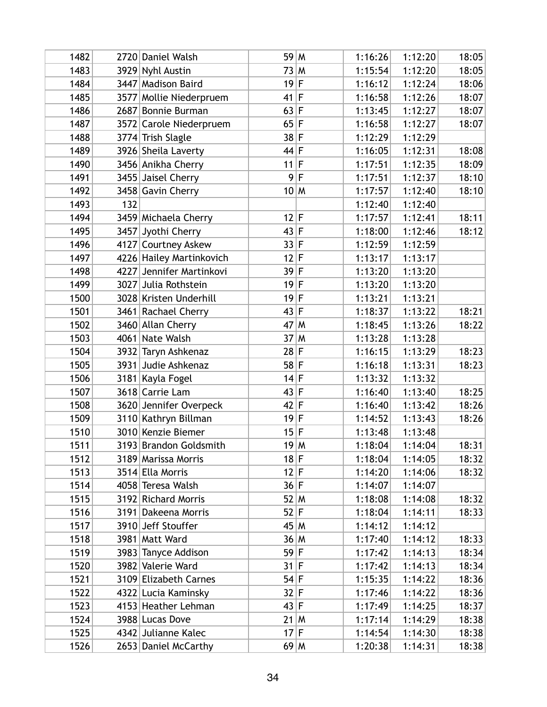| 1482 |      | 2720 Daniel Walsh        | 59 M   |      | 1:16:26 | 1:12:20 | 18:05 |
|------|------|--------------------------|--------|------|---------|---------|-------|
| 1483 |      | 3929 Nyhl Austin         | 73 M   |      | 1:15:54 | 1:12:20 | 18:05 |
| 1484 |      | 3447 Madison Baird       | $19$ F |      | 1:16:12 | 1:12:24 | 18:06 |
| 1485 |      | 3577 Mollie Niederpruem  | $41$ F |      | 1:16:58 | 1:12:26 | 18:07 |
| 1486 |      | 2687 Bonnie Burman       | 63 F   |      | 1:13:45 | 1:12:27 | 18:07 |
| 1487 |      | 3572 Carole Niederpruem  | 65 F   |      | 1:16:58 | 1:12:27 | 18:07 |
| 1488 |      | 3774 Trish Slagle        | 38 F   |      | 1:12:29 | 1:12:29 |       |
| 1489 |      | 3926 Sheila Laverty      | $44$ F |      | 1:16:05 | 1:12:31 | 18:08 |
| 1490 |      | 3456 Anikha Cherry       | $11$ F |      | 1:17:51 | 1:12:35 | 18:09 |
| 1491 |      | 3455 Jaisel Cherry       | 9      | F    | 1:17:51 | 1:12:37 | 18:10 |
| 1492 |      | 3458 Gavin Cherry        |        | 10 M | 1:17:57 | 1:12:40 | 18:10 |
| 1493 | 132  |                          |        |      | 1:12:40 | 1:12:40 |       |
| 1494 |      | 3459 Michaela Cherry     | $12$ F |      | 1:17:57 | 1:12:41 | 18:11 |
| 1495 |      | 3457 Jyothi Cherry       | 43 F   |      | 1:18:00 | 1:12:46 | 18:12 |
| 1496 | 4127 | <b>Courtney Askew</b>    | 33 F   |      | 1:12:59 | 1:12:59 |       |
| 1497 |      | 4226 Hailey Martinkovich | $12$ F |      | 1:13:17 | 1:13:17 |       |
| 1498 |      | 4227 Jennifer Martinkovi | 39 F   |      | 1:13:20 | 1:13:20 |       |
| 1499 |      | 3027 Julia Rothstein     | $19$ F |      | 1:13:20 | 1:13:20 |       |
| 1500 |      | 3028 Kristen Underhill   | 19 F   |      | 1:13:21 | 1:13:21 |       |
| 1501 |      | 3461 Rachael Cherry      | 43 F   |      | 1:18:37 | 1:13:22 | 18:21 |
| 1502 |      | 3460 Allan Cherry        | 47 M   |      | 1:18:45 | 1:13:26 | 18:22 |
| 1503 |      | 4061 Nate Walsh          | 37 M   |      | 1:13:28 | 1:13:28 |       |
| 1504 |      | 3932 Taryn Ashkenaz      | 28 F   |      | 1:16:15 | 1:13:29 | 18:23 |
| 1505 |      | 3931 Judie Ashkenaz      | $58$ F |      | 1:16:18 | 1:13:31 | 18:23 |
| 1506 |      | 3181 Kayla Fogel         | 14 F   |      | 1:13:32 | 1:13:32 |       |
| 1507 |      | 3618 Carrie Lam          | 43 F   |      | 1:16:40 | 1:13:40 | 18:25 |
| 1508 |      | 3620 Jennifer Overpeck   | 42 F   |      | 1:16:40 | 1:13:42 | 18:26 |
| 1509 |      | 3110 Kathryn Billman     | 19 F   |      | 1:14:52 | 1:13:43 | 18:26 |
| 1510 |      | 3010 Kenzie Biemer       | 15 F   |      | 1:13:48 | 1:13:48 |       |
| 1511 |      | 3193 Brandon Goldsmith   | 19 M   |      | 1:18:04 | 1:14:04 | 18:31 |
| 1512 |      | 3189 Marissa Morris      | 18 F   |      | 1:18:04 | 1:14:05 | 18:32 |
| 1513 |      | 3514 Ella Morris         | 12 F   |      | 1:14:20 | 1:14:06 | 18:32 |
| 1514 |      | 4058 Teresa Walsh        | 36 F   |      | 1:14:07 | 1:14:07 |       |
| 1515 |      | 3192 Richard Morris      | 52 M   |      | 1:18:08 | 1:14:08 | 18:32 |
| 1516 |      | 3191 Dakeena Morris      | 52 F   |      | 1:18:04 | 1:14:11 | 18:33 |
| 1517 |      | 3910 Jeff Stouffer       | 45 M   |      | 1:14:12 | 1:14:12 |       |
| 1518 |      | 3981 Matt Ward           |        | 36 M | 1:17:40 | 1:14:12 | 18:33 |
| 1519 |      | 3983 Tanyce Addison      | 59 F   |      | 1:17:42 | 1:14:13 | 18:34 |
| 1520 |      | 3982 Valerie Ward        | 31 F   |      | 1:17:42 | 1:14:13 | 18:34 |
| 1521 |      | 3109 Elizabeth Carnes    | $54$ F |      | 1:15:35 | 1:14:22 | 18:36 |
| 1522 |      | 4322 Lucia Kaminsky      | 32 F   |      | 1:17:46 | 1:14:22 | 18:36 |
| 1523 |      | 4153 Heather Lehman      | 43 F   |      | 1:17:49 | 1:14:25 | 18:37 |
| 1524 |      | 3988 Lucas Dove          |        | 21 M | 1:17:14 | 1:14:29 | 18:38 |
| 1525 |      | 4342 Julianne Kalec      | $17$ F |      | 1:14:54 | 1:14:30 | 18:38 |
| 1526 |      | 2653 Daniel McCarthy     |        | 69 M | 1:20:38 | 1:14:31 | 18:38 |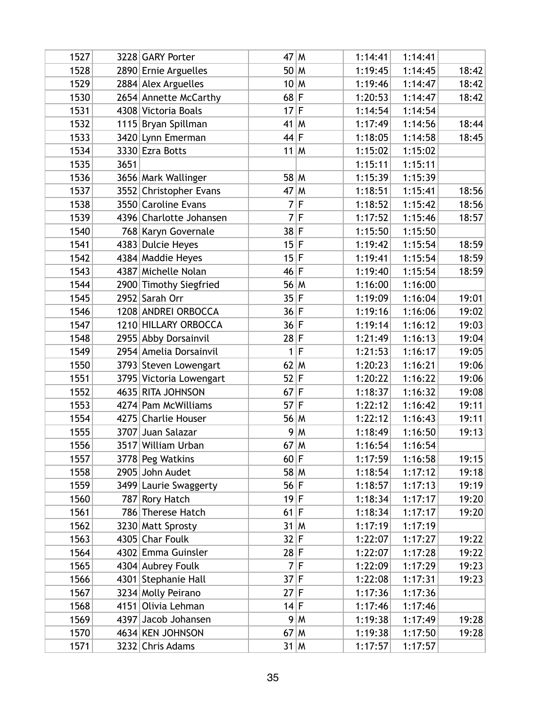| 1527 |      | 3228 GARY Porter        | 47 M   |             | 1:14:41 | 1:14:41 |       |
|------|------|-------------------------|--------|-------------|---------|---------|-------|
| 1528 |      | 2890 Ernie Arguelles    | 50 M   |             | 1:19:45 | 1:14:45 | 18:42 |
| 1529 |      | 2884 Alex Arguelles     | 10 M   |             | 1:19:46 | 1:14:47 | 18:42 |
| 1530 |      | 2654 Annette McCarthy   | $68$ F |             | 1:20:53 | 1:14:47 | 18:42 |
| 1531 |      | 4308 Victoria Boals     | $17$ F |             | 1:14:54 | 1:14:54 |       |
| 1532 |      | 1115 Bryan Spillman     | $41$ M |             | 1:17:49 | 1:14:56 | 18:44 |
| 1533 |      | 3420 Lynn Emerman       | 44 F   |             | 1:18:05 | 1:14:58 | 18:45 |
| 1534 |      | 3330 Ezra Botts         | $11$ M |             | 1:15:02 | 1:15:02 |       |
| 1535 | 3651 |                         |        |             | 1:15:11 | 1:15:11 |       |
| 1536 |      | 3656 Mark Wallinger     | 58 M   |             | 1:15:39 | 1:15:39 |       |
| 1537 |      | 3552 Christopher Evans  | 47 M   |             | 1:18:51 | 1:15:41 | 18:56 |
| 1538 |      | 3550 Caroline Evans     | 7      | $\mathsf F$ | 1:18:52 | 1:15:42 | 18:56 |
| 1539 |      | 4396 Charlotte Johansen |        | 7 F         | 1:17:52 | 1:15:46 | 18:57 |
| 1540 |      | 768 Karyn Governale     | $38$ F |             | 1:15:50 | 1:15:50 |       |
| 1541 |      | 4383 Dulcie Heyes       | 15 F   |             | 1:19:42 | 1:15:54 | 18:59 |
| 1542 |      | 4384 Maddie Heyes       | 15 F   |             | 1:19:41 | 1:15:54 | 18:59 |
| 1543 |      | 4387 Michelle Nolan     | 46 F   |             | 1:19:40 | 1:15:54 | 18:59 |
| 1544 |      | 2900 Timothy Siegfried  | 56 M   |             | 1:16:00 | 1:16:00 |       |
| 1545 |      | 2952 Sarah Orr          | 35 F   |             | 1:19:09 | 1:16:04 | 19:01 |
| 1546 |      | 1208 ANDREI ORBOCCA     | 36 F   |             | 1:19:16 | 1:16:06 | 19:02 |
| 1547 |      | 1210 HILLARY ORBOCCA    | 36 F   |             | 1:19:14 | 1:16:12 | 19:03 |
| 1548 |      | 2955 Abby Dorsainvil    | $28$ F |             | 1:21:49 | 1:16:13 | 19:04 |
| 1549 |      | 2954 Amelia Dorsainvil  | 1      | F           | 1:21:53 | 1:16:17 | 19:05 |
| 1550 |      | 3793 Steven Lowengart   | $62$ M |             | 1:20:23 | 1:16:21 | 19:06 |
| 1551 |      | 3795 Victoria Lowengart | $52$ F |             | 1:20:22 | 1:16:22 | 19:06 |
| 1552 |      | 4635 RITA JOHNSON       | $67$ F |             | 1:18:37 | 1:16:32 | 19:08 |
| 1553 |      | 4274 Pam McWilliams     | $57$ F |             | 1:22:12 | 1:16:42 | 19:11 |
| 1554 |      | 4275 Charlie Houser     | 56 M   |             | 1:22:12 | 1:16:43 | 19:11 |
| 1555 |      | 3707 Juan Salazar       | 9      | M           | 1:18:49 | 1:16:50 | 19:13 |
| 1556 |      | 3517 William Urban      | $67$ M |             | 1:16:54 | 1:16:54 |       |
| 1557 |      | 3778 Peg Watkins        | 60 F   |             | 1:17:59 | 1:16:58 | 19:15 |
| 1558 |      | 2905 John Audet         | 58 M   |             | 1:18:54 | 1:17:12 | 19:18 |
| 1559 |      | 3499 Laurie Swaggerty   | 56 F   |             | 1:18:57 | 1:17:13 | 19:19 |
| 1560 |      | 787 Rory Hatch          | 19 F   |             | 1:18:34 | 1:17:17 | 19:20 |
| 1561 |      | 786 Therese Hatch       | $61$ F |             | 1:18:34 | 1:17:17 | 19:20 |
| 1562 |      | 3230 Matt Sprosty       | $31$ M |             | 1:17:19 | 1:17:19 |       |
| 1563 |      | 4305 Char Foulk         | 32 F   |             | 1:22:07 | 1:17:27 | 19:22 |
| 1564 |      | 4302 Emma Guinsler      | 28 F   |             | 1:22:07 | 1:17:28 | 19:22 |
| 1565 |      | 4304 Aubrey Foulk       |        | 7 F         | 1:22:09 | 1:17:29 | 19:23 |
| 1566 |      | 4301 Stephanie Hall     | $37$ F |             | 1:22:08 | 1:17:31 | 19:23 |
| 1567 |      | 3234 Molly Peirano      | 27 F   |             | 1:17:36 | 1:17:36 |       |
| 1568 |      | 4151 Olivia Lehman      | $14$ F |             | 1:17:46 | 1:17:46 |       |
| 1569 |      | 4397 Jacob Johansen     |        | 9 M         | 1:19:38 | 1:17:49 | 19:28 |
| 1570 |      | 4634 KEN JOHNSON        | $67$ M |             | 1:19:38 | 1:17:50 | 19:28 |
| 1571 |      | 3232 Chris Adams        | $31$ M |             | 1:17:57 | 1:17:57 |       |